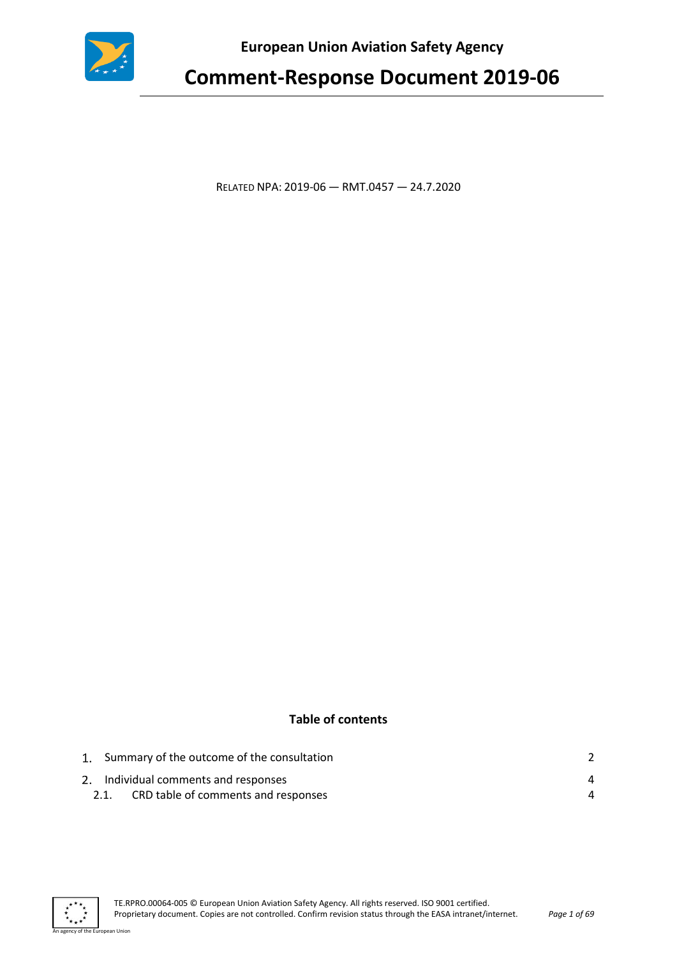

**European Union Aviation Safety Agency** 

# **Comment-Response Document 2019-06**

RELATED NPA: 2019-06 — RMT.0457 — 24.7.2020

#### **Table of contents**

|  | 1. Summary of the outcome of the consultation |   |
|--|-----------------------------------------------|---|
|  | 2. Individual comments and responses          | Δ |
|  | CRD table of comments and responses           | Δ |



an Union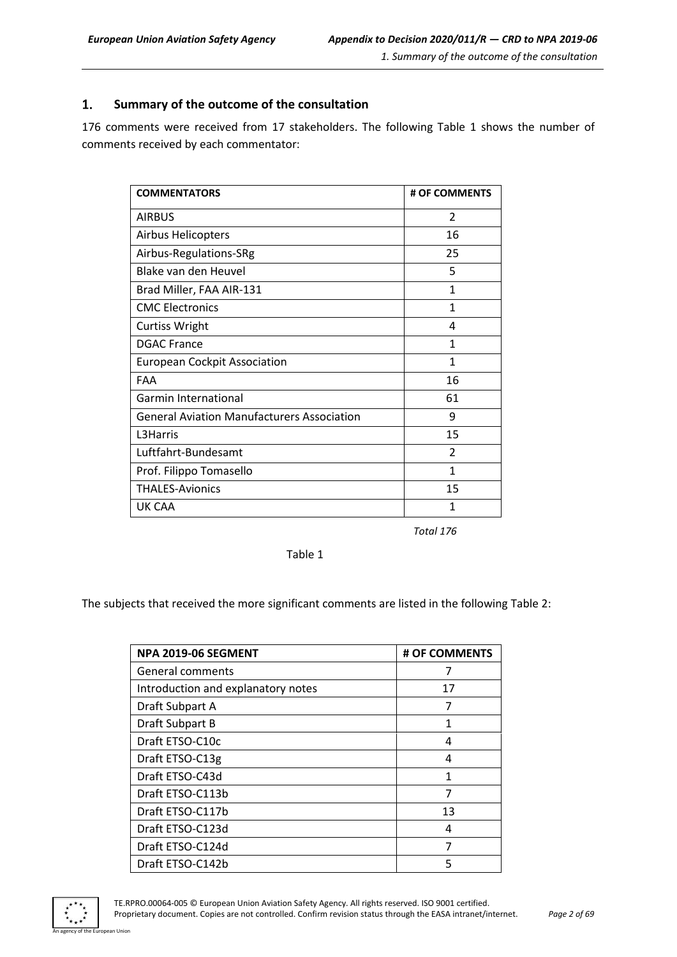#### <span id="page-1-0"></span> $\mathbf{1}$ . **Summary of the outcome of the consultation**

176 comments were received from 17 stakeholders. The following Table 1 shows the number of comments received by each commentator:

| <b>COMMENTATORS</b>                               | # OF COMMENTS           |
|---------------------------------------------------|-------------------------|
| <b>AIRBUS</b>                                     | $\overline{2}$          |
| <b>Airbus Helicopters</b>                         | 16                      |
| Airbus-Regulations-SRg                            | 25                      |
| Blake van den Heuvel                              | 5                       |
| Brad Miller, FAA AIR-131                          | $\mathbf{1}$            |
| <b>CMC Electronics</b>                            | $\mathbf{1}$            |
| <b>Curtiss Wright</b>                             | 4                       |
| <b>DGAC France</b>                                | $\mathbf{1}$            |
| <b>European Cockpit Association</b>               | $\mathbf{1}$            |
| FAA                                               | 16                      |
| <b>Garmin International</b>                       | 61                      |
| <b>General Aviation Manufacturers Association</b> | 9                       |
| L3Harris                                          | 15                      |
| Luftfahrt-Bundesamt                               | $\overline{\mathbf{c}}$ |
| Prof. Filippo Tomasello                           | $\mathbf{1}$            |
| <b>THALES-Avionics</b>                            | 15                      |
| UK CAA                                            | 1                       |

 *Total 176*

Table 1

The subjects that received the more significant comments are listed in the following Table 2:

| NPA 2019-06 SEGMENT                | # OF COMMENTS |
|------------------------------------|---------------|
| <b>General comments</b>            | 7             |
| Introduction and explanatory notes | 17            |
| Draft Subpart A                    | 7             |
| Draft Subpart B                    | 1             |
| Draft ETSO-C10c                    | 4             |
| Draft ETSO-C13g                    | 4             |
| Draft ETSO-C43d                    | 1             |
| Draft ETSO-C113b                   | 7             |
| Draft ETSO-C117b                   | 13            |
| Draft ETSO-C123d                   | 4             |
| Draft ETSO-C124d                   | 7             |
| Draft ETSO-C142b                   | 5             |



n Hoio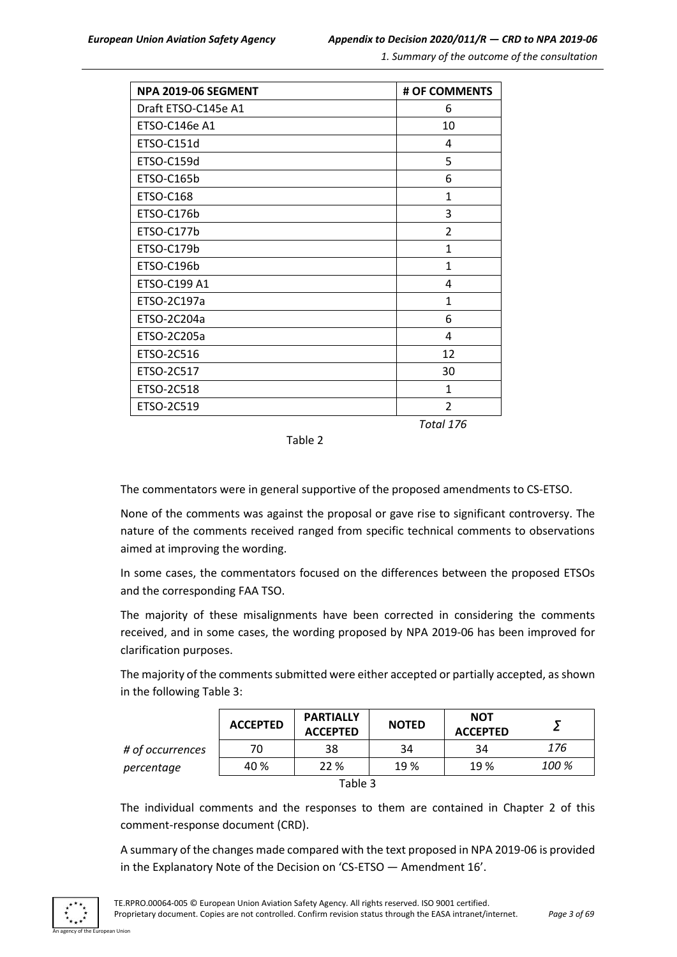*1. Summary of the outcome of the consultation*

| <b>NPA 2019-06 SEGMENT</b> | # OF COMMENTS  |
|----------------------------|----------------|
| Draft ETSO-C145e A1        | 6              |
| ETSO-C146e A1              | 10             |
| ETSO-C151d                 | 4              |
| ETSO-C159d                 | 5              |
| ETSO-C165b                 | 6              |
| <b>ETSO-C168</b>           | $\mathbf{1}$   |
| ETSO-C176b                 | 3              |
| ETSO-C177b                 | $\overline{2}$ |
| ETSO-C179b                 | $\mathbf{1}$   |
| ETSO-C196b                 | 1              |
| ETSO-C199 A1               | 4              |
| ETSO-2C197a                | $\mathbf{1}$   |
| ETSO-2C204a                | 6              |
| ETSO-2C205a                | 4              |
| ETSO-2C516                 | 12             |
| ETSO-2C517                 | 30             |
| ETSO-2C518                 | $\mathbf{1}$   |
| ETSO-2C519                 | 2              |
|                            | Total 176      |

Table 2

The commentators were in general supportive of the proposed amendments to CS-ETSO.

None of the comments was against the proposal or gave rise to significant controversy. The nature of the comments received ranged from specific technical comments to observations aimed at improving the wording.

In some cases, the commentators focused on the differences between the proposed ETSOs and the corresponding FAA TSO.

The majority of these misalignments have been corrected in considering the comments received, and in some cases, the wording proposed by NPA 2019-06 has been improved for clarification purposes.

The majority of the comments submitted were either accepted or partially accepted, as shown in the following Table 3:

|                  | <b>ACCEPTED</b> | <b>PARTIALLY</b><br><b>ACCEPTED</b> | <b>NOTED</b> | <b>NOT</b><br><b>ACCEPTED</b> |       |
|------------------|-----------------|-------------------------------------|--------------|-------------------------------|-------|
| # of occurrences | 70              | 38                                  | 34           | 34                            | 176   |
| percentage       | 40 %            | 22 %                                | 19 %         | 19 %                          | 100 % |
| Table 3          |                 |                                     |              |                               |       |

The individual comments and the responses to them are contained in Chapter 2 of this comment-response document (CRD).

A summary of the changes made compared with the text proposed in NPA 2019-06 is provided in the Explanatory Note of the Decision on 'CS-ETSO — Amendment 16'.

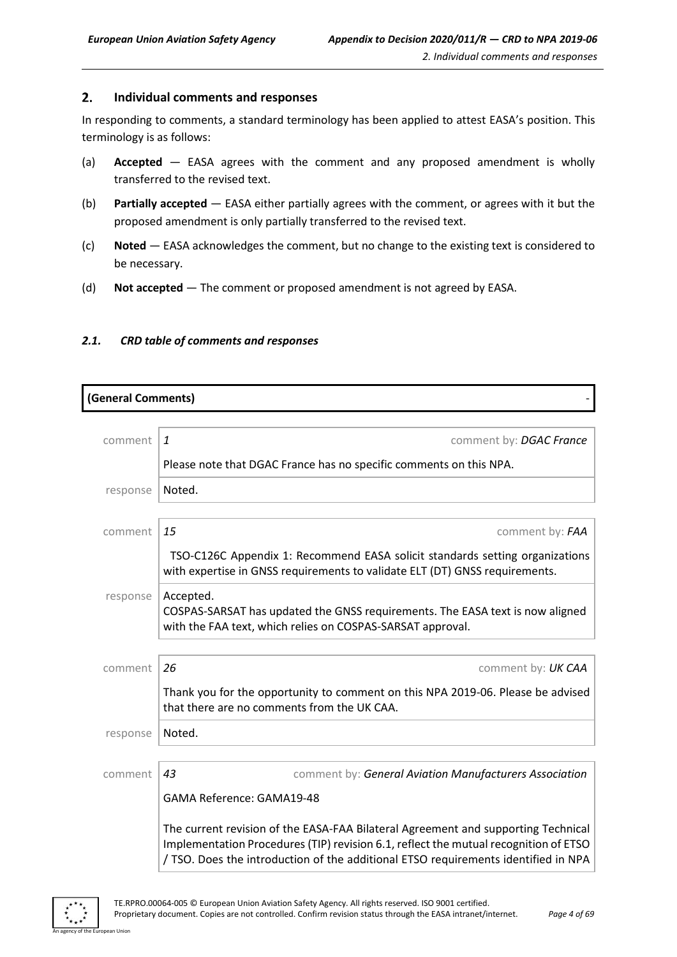<span id="page-3-0"></span>In responding to comments, a standard terminology has been applied to attest EASA's position. This terminology is as follows:

- (a) **Accepted** EASA agrees with the comment and any proposed amendment is wholly transferred to the revised text.
- (b) **Partially accepted** EASA either partially agrees with the comment, or agrees with it but the proposed amendment is only partially transferred to the revised text.
- (c) **Noted** EASA acknowledges the comment, but no change to the existing text is considered to be necessary.
- (d) **Not accepted** The comment or proposed amendment is not agreed by EASA.

#### <span id="page-3-1"></span>*2.1. CRD table of comments and responses*

| (General Comments) |                                                                                                                                                                                                                                                                 |  |
|--------------------|-----------------------------------------------------------------------------------------------------------------------------------------------------------------------------------------------------------------------------------------------------------------|--|
|                    |                                                                                                                                                                                                                                                                 |  |
| comment            | $\mathbf{1}$<br>comment by: DGAC France                                                                                                                                                                                                                         |  |
|                    | Please note that DGAC France has no specific comments on this NPA.                                                                                                                                                                                              |  |
| response           | Noted.                                                                                                                                                                                                                                                          |  |
|                    |                                                                                                                                                                                                                                                                 |  |
| comment            | 15<br>comment by: FAA                                                                                                                                                                                                                                           |  |
|                    | TSO-C126C Appendix 1: Recommend EASA solicit standards setting organizations<br>with expertise in GNSS requirements to validate ELT (DT) GNSS requirements.                                                                                                     |  |
| response           | Accepted.<br>COSPAS-SARSAT has updated the GNSS requirements. The EASA text is now aligned<br>with the FAA text, which relies on COSPAS-SARSAT approval.                                                                                                        |  |
|                    |                                                                                                                                                                                                                                                                 |  |
| comment            | 26<br>comment by: UK CAA                                                                                                                                                                                                                                        |  |
|                    | Thank you for the opportunity to comment on this NPA 2019-06. Please be advised<br>that there are no comments from the UK CAA.                                                                                                                                  |  |
| response           | Noted.                                                                                                                                                                                                                                                          |  |
|                    |                                                                                                                                                                                                                                                                 |  |
| comment            | 43<br>comment by: General Aviation Manufacturers Association                                                                                                                                                                                                    |  |
|                    | GAMA Reference: GAMA19-48                                                                                                                                                                                                                                       |  |
|                    | The current revision of the EASA-FAA Bilateral Agreement and supporting Technical<br>Implementation Procedures (TIP) revision 6.1, reflect the mutual recognition of ETSO<br>/ TSO. Does the introduction of the additional ETSO requirements identified in NPA |  |

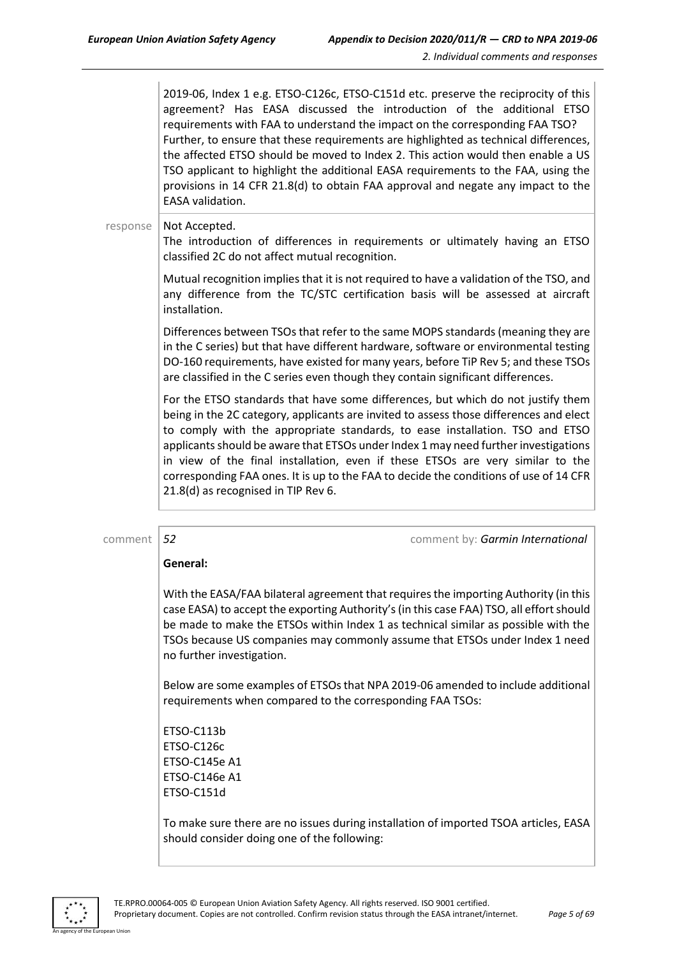2019-06, Index 1 e.g. ETSO-C126c, ETSO-C151d etc. preserve the reciprocity of this agreement? Has EASA discussed the introduction of the additional ETSO requirements with FAA to understand the impact on the corresponding FAA TSO? Further, to ensure that these requirements are highlighted as technical differences, the affected ETSO should be moved to Index 2. This action would then enable a US TSO applicant to highlight the additional EASA requirements to the FAA, using the provisions in 14 CFR 21.8(d) to obtain FAA approval and negate any impact to the EASA validation.

response | Not Accepted.

The introduction of differences in requirements or ultimately having an ETSO classified 2C do not affect mutual recognition.

Mutual recognition implies that it is not required to have a validation of the TSO, and any difference from the TC/STC certification basis will be assessed at aircraft installation.

Differences between TSOs that refer to the same MOPS standards (meaning they are in the C series) but that have different hardware, software or environmental testing DO-160 requirements, have existed for many years, before TiP Rev 5; and these TSOs are classified in the C series even though they contain significant differences.

For the ETSO standards that have some differences, but which do not justify them being in the 2C category, applicants are invited to assess those differences and elect to comply with the appropriate standards, to ease installation. TSO and ETSO applicants should be aware that ETSOs under Index 1 may need further investigations in view of the final installation, even if these ETSOs are very similar to the corresponding FAA ones. It is up to the FAA to decide the conditions of use of 14 CFR 21.8(d) as recognised in TIP Rev 6.

comment *52* comment by: *Garmin International*

#### **General:**

With the EASA/FAA bilateral agreement that requires the importing Authority (in this case EASA) to accept the exporting Authority's (in this case FAA) TSO, all effort should be made to make the ETSOs within Index 1 as technical similar as possible with the TSOs because US companies may commonly assume that ETSOs under Index 1 need no further investigation.

Below are some examples of ETSOs that NPA 2019-06 amended to include additional requirements when compared to the corresponding FAA TSOs:

ETSO-C113b ETSO-C126c ETSO-C145e A1 ETSO-C146e A1 ETSO-C151d

To make sure there are no issues during installation of imported TSOA articles, EASA should consider doing one of the following:

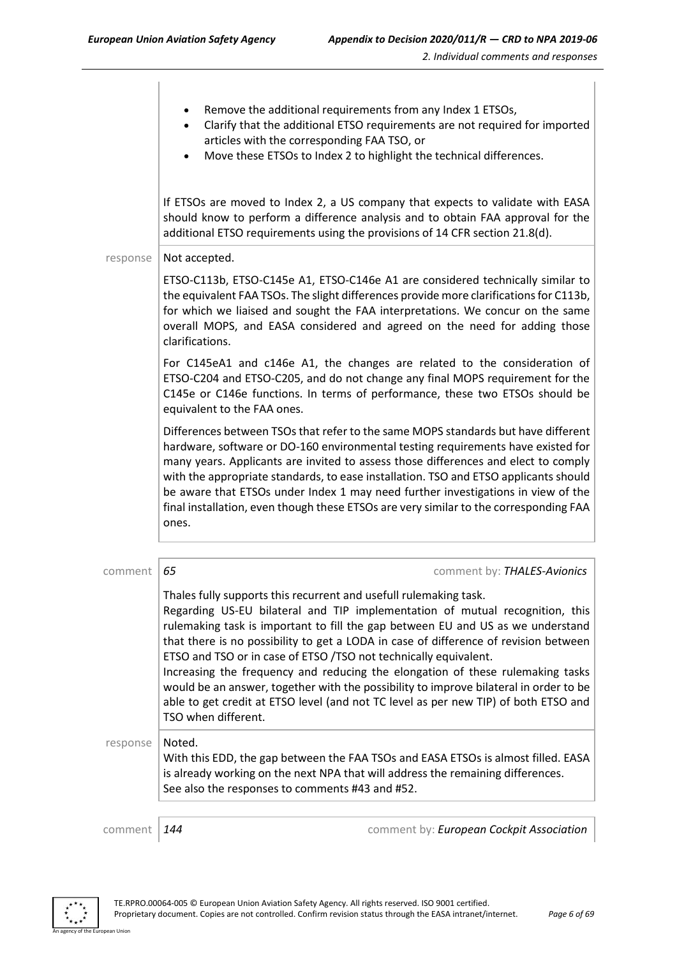- Remove the additional requirements from any Index 1 ETSOs,
- Clarify that the additional ETSO requirements are not required for imported articles with the corresponding FAA TSO, or
- Move these ETSOs to Index 2 to highlight the technical differences.

If ETSOs are moved to Index 2, a US company that expects to validate with EASA should know to perform a difference analysis and to obtain FAA approval for the additional ETSO requirements using the provisions of 14 CFR section 21.8(d).

#### response  $\vert$  Not accepted.

ETSO-C113b, ETSO-C145e A1, ETSO-C146e A1 are considered technically similar to the equivalent FAA TSOs. The slight differences provide more clarifications for C113b, for which we liaised and sought the FAA interpretations. We concur on the same overall MOPS, and EASA considered and agreed on the need for adding those clarifications.

For C145eA1 and c146e A1, the changes are related to the consideration of ETSO-C204 and ETSO-C205, and do not change any final MOPS requirement for the C145e or C146e functions. In terms of performance, these two ETSOs should be equivalent to the FAA ones.

Differences between TSOs that refer to the same MOPS standards but have different hardware, software or DO-160 environmental testing requirements have existed for many years. Applicants are invited to assess those differences and elect to comply with the appropriate standards, to ease installation. TSO and ETSO applicants should be aware that ETSOs under Index 1 may need further investigations in view of the final installation, even though these ETSOs are very similar to the corresponding FAA ones.

| comment  | 65                  | comment by: THALES-Avionics                                                                                                                                                                                                                                                                                                                                                                                                                                                                                                                                                                                                                                        |
|----------|---------------------|--------------------------------------------------------------------------------------------------------------------------------------------------------------------------------------------------------------------------------------------------------------------------------------------------------------------------------------------------------------------------------------------------------------------------------------------------------------------------------------------------------------------------------------------------------------------------------------------------------------------------------------------------------------------|
|          | TSO when different. | Thales fully supports this recurrent and usefull rulemaking task.<br>Regarding US-EU bilateral and TIP implementation of mutual recognition, this<br>rulemaking task is important to fill the gap between EU and US as we understand<br>that there is no possibility to get a LODA in case of difference of revision between<br>ETSO and TSO or in case of ETSO /TSO not technically equivalent.<br>Increasing the frequency and reducing the elongation of these rulemaking tasks<br>would be an answer, together with the possibility to improve bilateral in order to be<br>able to get credit at ETSO level (and not TC level as per new TIP) of both ETSO and |
| response | Noted.              | With this EDD, the gap between the FAA TSOs and EASA ETSOs is almost filled. EASA<br>is already working on the next NPA that will address the remaining differences.<br>See also the responses to comments #43 and #52.                                                                                                                                                                                                                                                                                                                                                                                                                                            |
|          |                     |                                                                                                                                                                                                                                                                                                                                                                                                                                                                                                                                                                                                                                                                    |
| comment  | 144                 | comment by: European Cockpit Association                                                                                                                                                                                                                                                                                                                                                                                                                                                                                                                                                                                                                           |

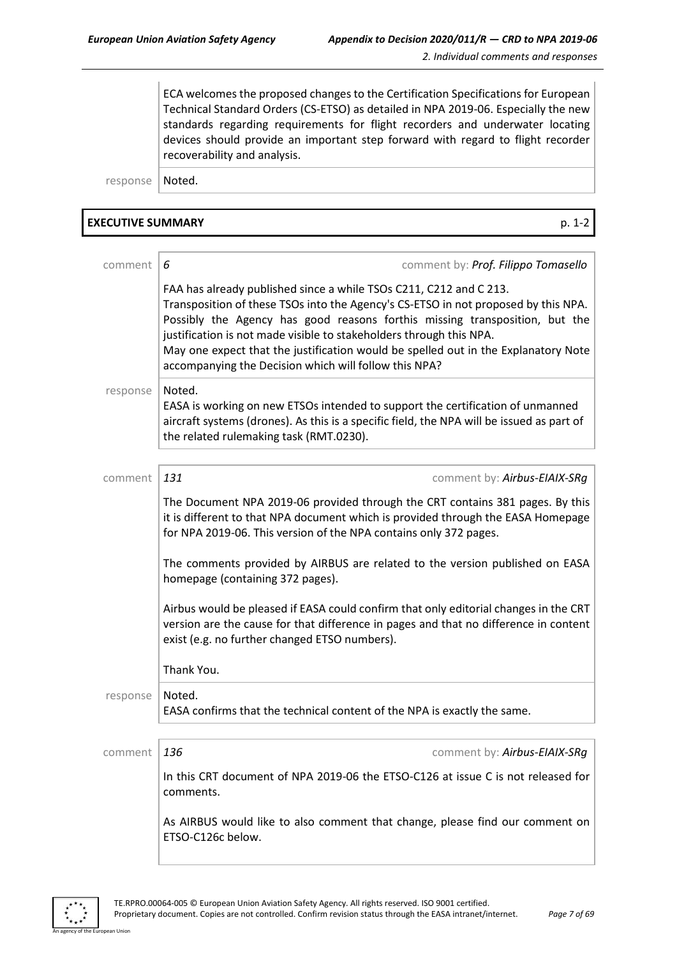ECA welcomes the proposed changes to the Certification Specifications for European Technical Standard Orders (CS-ETSO) as detailed in NPA 2019-06. Especially the new standards regarding requirements for flight recorders and underwater locating devices should provide an important step forward with regard to flight recorder recoverability and analysis.

response | Noted.

#### **EXECUTIVE SUMMARY** p. 1-2

| comment  | comment by: Prof. Filippo Tomasello<br>6                                                                                                                                                                                                                                                                                                                                                                                                                      |
|----------|---------------------------------------------------------------------------------------------------------------------------------------------------------------------------------------------------------------------------------------------------------------------------------------------------------------------------------------------------------------------------------------------------------------------------------------------------------------|
|          | FAA has already published since a while TSOs C211, C212 and C 213.<br>Transposition of these TSOs into the Agency's CS-ETSO in not proposed by this NPA.<br>Possibly the Agency has good reasons forthis missing transposition, but the<br>justification is not made visible to stakeholders through this NPA.<br>May one expect that the justification would be spelled out in the Explanatory Note<br>accompanying the Decision which will follow this NPA? |
| response | Noted.<br>EASA is working on new ETSOs intended to support the certification of unmanned<br>aircraft systems (drones). As this is a specific field, the NPA will be issued as part of<br>the related rulemaking task (RMT.0230).                                                                                                                                                                                                                              |
|          |                                                                                                                                                                                                                                                                                                                                                                                                                                                               |
| comment  | 131<br>comment by: Airbus-EIAIX-SRg                                                                                                                                                                                                                                                                                                                                                                                                                           |
|          | The Document NPA 2019-06 provided through the CRT contains 381 pages. By this<br>it is different to that NPA document which is provided through the EASA Homepage<br>for NPA 2019-06. This version of the NPA contains only 372 pages.                                                                                                                                                                                                                        |
|          | The comments provided by AIRBUS are related to the version published on EASA<br>homepage (containing 372 pages).                                                                                                                                                                                                                                                                                                                                              |
|          | Airbus would be pleased if EASA could confirm that only editorial changes in the CRT<br>version are the cause for that difference in pages and that no difference in content<br>exist (e.g. no further changed ETSO numbers).                                                                                                                                                                                                                                 |
|          | Thank You.                                                                                                                                                                                                                                                                                                                                                                                                                                                    |
| response | Noted.<br>EASA confirms that the technical content of the NPA is exactly the same.                                                                                                                                                                                                                                                                                                                                                                            |
|          |                                                                                                                                                                                                                                                                                                                                                                                                                                                               |
| comment  | 136<br>comment by: Airbus-EIAIX-SRq                                                                                                                                                                                                                                                                                                                                                                                                                           |
|          | In this CRT document of NPA 2019-06 the ETSO-C126 at issue C is not released for<br>comments.                                                                                                                                                                                                                                                                                                                                                                 |
|          | As AIRBUS would like to also comment that change, please find our comment on<br>ETSO-C126c below.                                                                                                                                                                                                                                                                                                                                                             |



n Hoio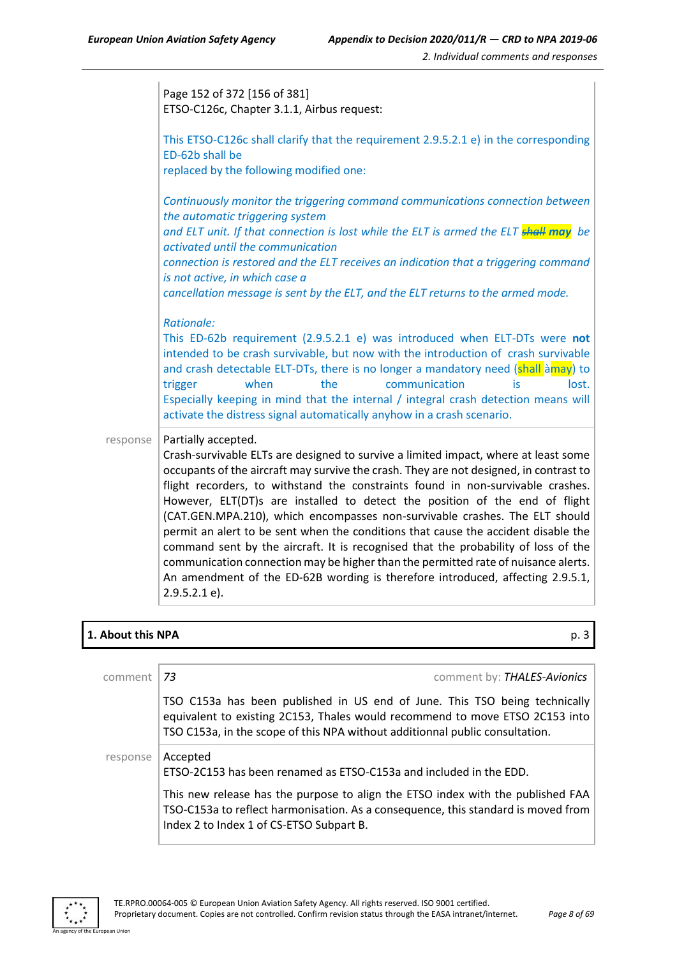|          | Page 152 of 372 [156 of 381]<br>ETSO-C126c, Chapter 3.1.1, Airbus request:                                                                                                                                                                                                                                                                                                                                                                                                                                                                                                                                                                                                                                                                                                                                                    |
|----------|-------------------------------------------------------------------------------------------------------------------------------------------------------------------------------------------------------------------------------------------------------------------------------------------------------------------------------------------------------------------------------------------------------------------------------------------------------------------------------------------------------------------------------------------------------------------------------------------------------------------------------------------------------------------------------------------------------------------------------------------------------------------------------------------------------------------------------|
|          | This ETSO-C126c shall clarify that the requirement 2.9.5.2.1 e) in the corresponding<br>ED-62b shall be<br>replaced by the following modified one:                                                                                                                                                                                                                                                                                                                                                                                                                                                                                                                                                                                                                                                                            |
|          | Continuously monitor the triggering command communications connection between<br>the automatic triggering system<br>and ELT unit. If that connection is lost while the ELT is armed the ELT <b>shall may</b> be<br>activated until the communication<br>connection is restored and the ELT receives an indication that a triggering command<br>is not active, in which case a<br>cancellation message is sent by the ELT, and the ELT returns to the armed mode.                                                                                                                                                                                                                                                                                                                                                              |
|          | Rationale:<br>This ED-62b requirement (2.9.5.2.1 e) was introduced when ELT-DTs were not<br>intended to be crash survivable, but now with the introduction of crash survivable<br>and crash detectable ELT-DTs, there is no longer a mandatory need (shall amay) to<br>the<br>communication<br>when<br>lost.<br>trigger<br>is<br>Especially keeping in mind that the internal / integral crash detection means will<br>activate the distress signal automatically anyhow in a crash scenario.                                                                                                                                                                                                                                                                                                                                 |
| response | Partially accepted.<br>Crash-survivable ELTs are designed to survive a limited impact, where at least some<br>occupants of the aircraft may survive the crash. They are not designed, in contrast to<br>flight recorders, to withstand the constraints found in non-survivable crashes.<br>However, ELT(DT)s are installed to detect the position of the end of flight<br>(CAT.GEN.MPA.210), which encompasses non-survivable crashes. The ELT should<br>permit an alert to be sent when the conditions that cause the accident disable the<br>command sent by the aircraft. It is recognised that the probability of loss of the<br>communication connection may be higher than the permitted rate of nuisance alerts.<br>An amendment of the ED-62B wording is therefore introduced, affecting 2.9.5.1,<br>$2.9.5.2.1 e$ ). |

#### **1. About this NPA** p. 3

| comment  | comment by: THALES-Avionics<br>-73                                                                                                                                                                                                         |
|----------|--------------------------------------------------------------------------------------------------------------------------------------------------------------------------------------------------------------------------------------------|
|          | TSO C153a has been published in US end of June. This TSO being technically<br>equivalent to existing 2C153, Thales would recommend to move ETSO 2C153 into<br>TSO C153a, in the scope of this NPA without additionnal public consultation. |
| response | Accepted<br>ETSO-2C153 has been renamed as ETSO-C153a and included in the EDD.                                                                                                                                                             |
|          | This new release has the purpose to align the ETSO index with the published FAA<br>TSO-C153a to reflect harmonisation. As a consequence, this standard is moved from<br>Index 2 to Index 1 of CS-ETSO Subpart B.                           |

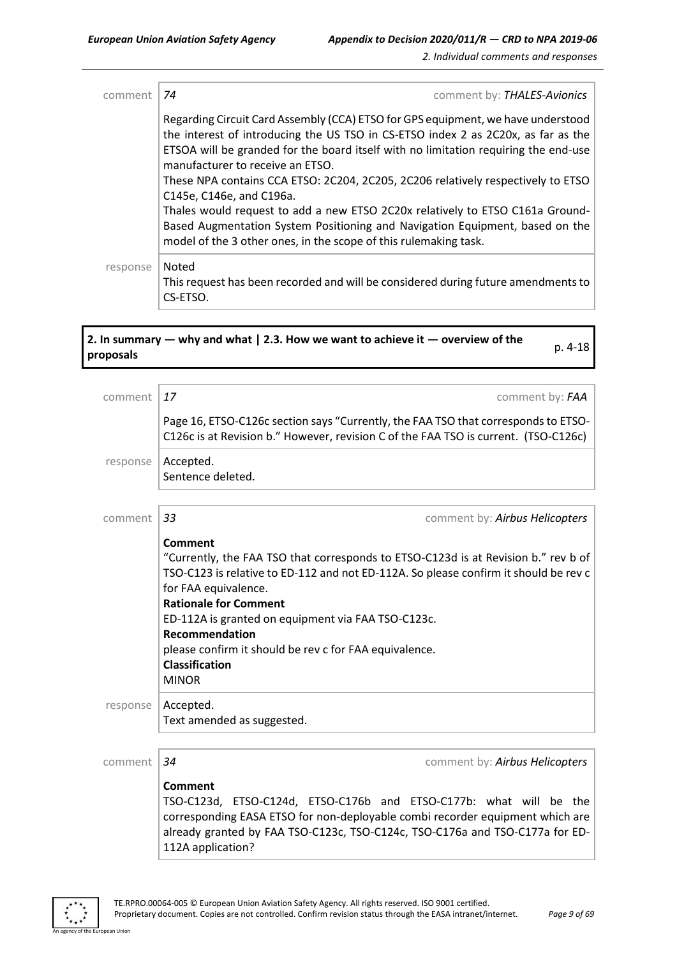| comment  | comment by: THALES-Avionics<br>74                                                                                                                                                                                                                                                                                                                                                                                                                                                                                                                                                                                                                     |
|----------|-------------------------------------------------------------------------------------------------------------------------------------------------------------------------------------------------------------------------------------------------------------------------------------------------------------------------------------------------------------------------------------------------------------------------------------------------------------------------------------------------------------------------------------------------------------------------------------------------------------------------------------------------------|
|          | Regarding Circuit Card Assembly (CCA) ETSO for GPS equipment, we have understood<br>the interest of introducing the US TSO in CS-ETSO index 2 as 2C20x, as far as the<br>ETSOA will be granded for the board itself with no limitation requiring the end-use<br>manufacturer to receive an ETSO.<br>These NPA contains CCA ETSO: 2C204, 2C205, 2C206 relatively respectively to ETSO<br>C145e, C146e, and C196a.<br>Thales would request to add a new ETSO 2C20x relatively to ETSO C161a Ground-<br>Based Augmentation System Positioning and Navigation Equipment, based on the<br>model of the 3 other ones, in the scope of this rulemaking task. |
| response | Noted<br>This request has been recorded and will be considered during future amendments to<br>CS-ETSO.                                                                                                                                                                                                                                                                                                                                                                                                                                                                                                                                                |

# **2. In summary — why and what | 2.3. How we want to achieve it — overview of the proposals** p. 4-18

| comment  | 17                                                                                   | comment by: FAA                                                                                                                                                           |  |
|----------|--------------------------------------------------------------------------------------|---------------------------------------------------------------------------------------------------------------------------------------------------------------------------|--|
|          |                                                                                      | Page 16, ETSO-C126c section says "Currently, the FAA TSO that corresponds to ETSO-<br>C126c is at Revision b." However, revision C of the FAA TSO is current. (TSO-C126c) |  |
| response | Accepted.<br>Sentence deleted.                                                       |                                                                                                                                                                           |  |
|          |                                                                                      |                                                                                                                                                                           |  |
| comment  | 33                                                                                   | comment by: Airbus Helicopters                                                                                                                                            |  |
|          |                                                                                      |                                                                                                                                                                           |  |
|          | Comment                                                                              |                                                                                                                                                                           |  |
|          | "Currently, the FAA TSO that corresponds to ETSO-C123d is at Revision b." rev b of   |                                                                                                                                                                           |  |
|          | TSO-C123 is relative to ED-112 and not ED-112A. So please confirm it should be rev c |                                                                                                                                                                           |  |
|          | for FAA equivalence.                                                                 |                                                                                                                                                                           |  |
|          | <b>Rationale for Comment</b>                                                         |                                                                                                                                                                           |  |
|          | ED-112A is granted on equipment via FAA TSO-C123c.                                   |                                                                                                                                                                           |  |
|          | Recommendation                                                                       |                                                                                                                                                                           |  |
|          | please confirm it should be rev c for FAA equivalence.                               |                                                                                                                                                                           |  |
|          | <b>Classification</b>                                                                |                                                                                                                                                                           |  |
|          |                                                                                      |                                                                                                                                                                           |  |
|          | <b>MINOR</b>                                                                         |                                                                                                                                                                           |  |
| response | Accepted.                                                                            |                                                                                                                                                                           |  |
|          | Text amended as suggested.                                                           |                                                                                                                                                                           |  |
|          |                                                                                      |                                                                                                                                                                           |  |
|          |                                                                                      |                                                                                                                                                                           |  |
| comment  | 34                                                                                   | comment by: Airbus Helicopters                                                                                                                                            |  |
|          | Comment                                                                              |                                                                                                                                                                           |  |
|          | TCO CANNA<br>TTCAC134                                                                | $TTCO$ $C17Ch$ and $TTCO$ $C177h$ , what will be the                                                                                                                      |  |

TSO-C123d, ETSO-C124d, ETSO-C176b and ETSO-C177b: what will be the corresponding EASA ETSO for non-deployable combi recorder equipment which are already granted by FAA TSO-C123c, TSO-C124c, TSO-C176a and TSO-C177a for ED-112A application?



an Unio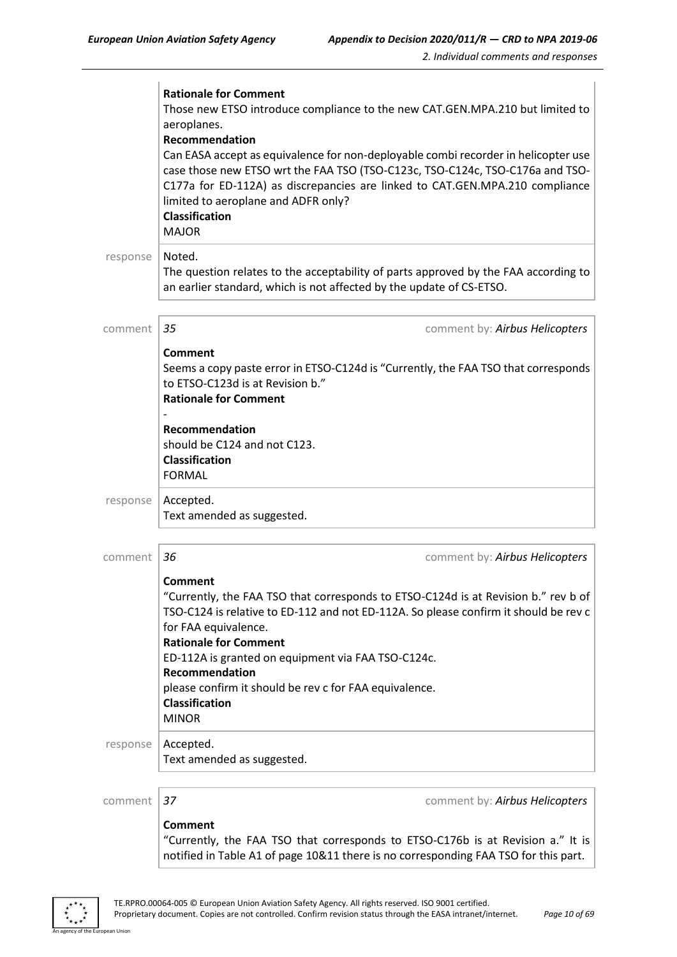|          | <b>Rationale for Comment</b><br>Those new ETSO introduce compliance to the new CAT.GEN.MPA.210 but limited to<br>aeroplanes.<br><b>Recommendation</b><br>Can EASA accept as equivalence for non-deployable combi recorder in helicopter use<br>case those new ETSO wrt the FAA TSO (TSO-C123c, TSO-C124c, TSO-C176a and TSO-<br>C177a for ED-112A) as discrepancies are linked to CAT.GEN.MPA.210 compliance<br>limited to aeroplane and ADFR only?<br><b>Classification</b><br><b>MAJOR</b> |  |  |
|----------|----------------------------------------------------------------------------------------------------------------------------------------------------------------------------------------------------------------------------------------------------------------------------------------------------------------------------------------------------------------------------------------------------------------------------------------------------------------------------------------------|--|--|
| response | Noted.<br>The question relates to the acceptability of parts approved by the FAA according to<br>an earlier standard, which is not affected by the update of CS-ETSO.                                                                                                                                                                                                                                                                                                                        |  |  |
| comment  | 35<br>comment by: Airbus Helicopters                                                                                                                                                                                                                                                                                                                                                                                                                                                         |  |  |
|          | Comment<br>Seems a copy paste error in ETSO-C124d is "Currently, the FAA TSO that corresponds<br>to ETSO-C123d is at Revision b."<br><b>Rationale for Comment</b>                                                                                                                                                                                                                                                                                                                            |  |  |
|          | Recommendation<br>should be C124 and not C123.<br><b>Classification</b><br><b>FORMAL</b>                                                                                                                                                                                                                                                                                                                                                                                                     |  |  |
| response | Accepted.<br>Text amended as suggested.                                                                                                                                                                                                                                                                                                                                                                                                                                                      |  |  |
| comment  | 36<br>comment by: Airbus Helicopters                                                                                                                                                                                                                                                                                                                                                                                                                                                         |  |  |
|          | Comment<br>"Currently, the FAA TSO that corresponds to ETSO-C124d is at Revision b." rev b of<br>TSO-C124 is relative to ED-112 and not ED-112A. So please confirm it should be rev c<br>for FAA equivalence.<br><b>Rationale for Comment</b><br>ED-112A is granted on equipment via FAA TSO-C124c.<br>Recommendation<br>please confirm it should be rev c for FAA equivalence.<br><b>Classification</b><br><b>MINOR</b>                                                                     |  |  |
| response | Accepted.<br>Text amended as suggested.                                                                                                                                                                                                                                                                                                                                                                                                                                                      |  |  |
|          |                                                                                                                                                                                                                                                                                                                                                                                                                                                                                              |  |  |
| comment  | 37<br>comment by: Airbus Helicopters                                                                                                                                                                                                                                                                                                                                                                                                                                                         |  |  |
|          | <b>Comment</b><br>"Currently, the FAA TSO that corresponds to ETSO-C176b is at Revision a." It is                                                                                                                                                                                                                                                                                                                                                                                            |  |  |

.<br>An Union

notified in Table A1 of page 10&11 there is no corresponding FAA TSO for this part.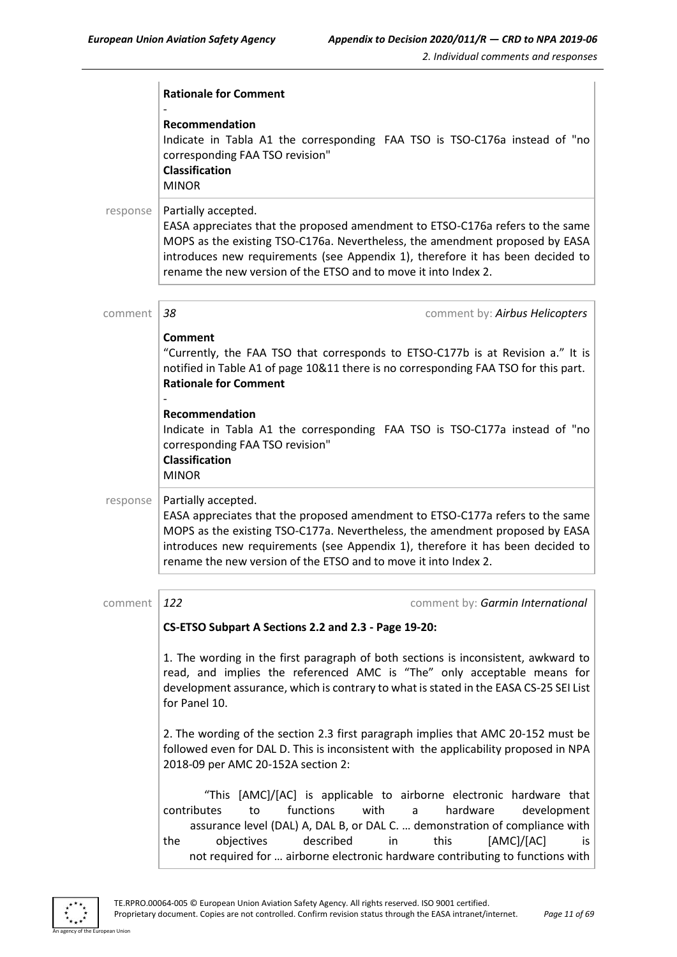|          | <b>Rationale for Comment</b>                                                                                                                                                                                                                                                                                                                                                       |  |
|----------|------------------------------------------------------------------------------------------------------------------------------------------------------------------------------------------------------------------------------------------------------------------------------------------------------------------------------------------------------------------------------------|--|
|          | Recommendation<br>Indicate in Tabla A1 the corresponding FAA TSO is TSO-C176a instead of "no<br>corresponding FAA TSO revision"<br><b>Classification</b><br><b>MINOR</b>                                                                                                                                                                                                           |  |
| response | Partially accepted.<br>EASA appreciates that the proposed amendment to ETSO-C176a refers to the same<br>MOPS as the existing TSO-C176a. Nevertheless, the amendment proposed by EASA<br>introduces new requirements (see Appendix 1), therefore it has been decided to<br>rename the new version of the ETSO and to move it into Index 2.                                          |  |
| comment  | 38<br>comment by: Airbus Helicopters                                                                                                                                                                                                                                                                                                                                               |  |
|          | <b>Comment</b><br>"Currently, the FAA TSO that corresponds to ETSO-C177b is at Revision a." It is<br>notified in Table A1 of page 10&11 there is no corresponding FAA TSO for this part.<br><b>Rationale for Comment</b>                                                                                                                                                           |  |
|          | Recommendation<br>Indicate in Tabla A1 the corresponding FAA TSO is TSO-C177a instead of "no<br>corresponding FAA TSO revision"<br><b>Classification</b><br><b>MINOR</b>                                                                                                                                                                                                           |  |
| response | Partially accepted.<br>EASA appreciates that the proposed amendment to ETSO-C177a refers to the same<br>MOPS as the existing TSO-C177a. Nevertheless, the amendment proposed by EASA<br>introduces new requirements (see Appendix 1), therefore it has been decided to<br>rename the new version of the ETSO and to move it into Index 2.                                          |  |
| comment  | 122<br>comment by: Garmin International                                                                                                                                                                                                                                                                                                                                            |  |
|          | CS-ETSO Subpart A Sections 2.2 and 2.3 - Page 19-20:                                                                                                                                                                                                                                                                                                                               |  |
|          | 1. The wording in the first paragraph of both sections is inconsistent, awkward to<br>read, and implies the referenced AMC is "The" only acceptable means for<br>development assurance, which is contrary to what is stated in the EASA CS-25 SEI List<br>for Panel 10.                                                                                                            |  |
|          | 2. The wording of the section 2.3 first paragraph implies that AMC 20-152 must be<br>followed even for DAL D. This is inconsistent with the applicability proposed in NPA<br>2018-09 per AMC 20-152A section 2:                                                                                                                                                                    |  |
|          | "This [AMC]/[AC] is applicable to airborne electronic hardware that<br>contributes<br>functions<br>with<br>hardware<br>development<br>to<br>a<br>assurance level (DAL) A, DAL B, or DAL C.  demonstration of compliance with<br>objectives<br>described<br>in<br>this<br>[AMC]/[AC]<br>the<br>is.<br>not required for  airborne electronic hardware contributing to functions with |  |

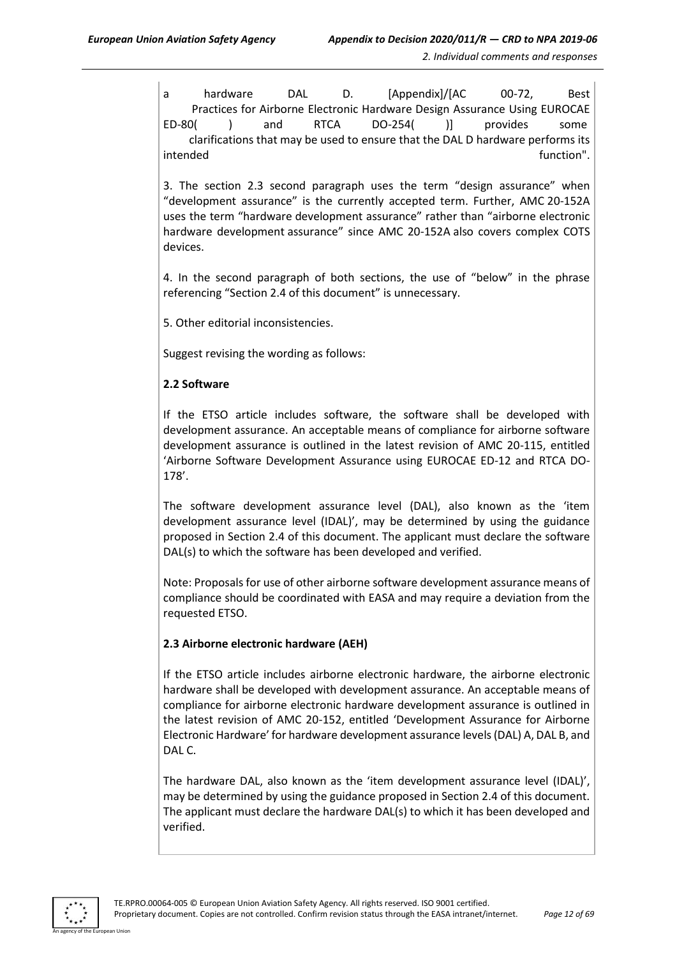a hardware DAL D. [Appendix]/[AC 00-72, Best Practices for Airborne Electronic Hardware Design Assurance Using EUROCAE ED-80( ) and RTCA DO-254( )] provides some clarifications that may be used to ensure that the DAL D hardware performs its intended function". The set of the set of the set of the set of the set of the set of the set of the set of th

3. The section 2.3 second paragraph uses the term "design assurance" when "development assurance" is the currently accepted term. Further, AMC 20-152A uses the term "hardware development assurance" rather than "airborne electronic hardware development assurance" since AMC 20-152A also covers complex COTS devices.

4. In the second paragraph of both sections, the use of "below" in the phrase referencing "Section 2.4 of this document" is unnecessary.

5. Other editorial inconsistencies.

Suggest revising the wording as follows:

#### **2.2 Software**

If the ETSO article includes software, the software shall be developed with development assurance. An acceptable means of compliance for airborne software development assurance is outlined in the latest revision of AMC 20-115, entitled 'Airborne Software Development Assurance using EUROCAE ED-12 and RTCA DO-178'.

The software development assurance level (DAL), also known as the 'item development assurance level (IDAL)', may be determined by using the guidance proposed in Section 2.4 of this document. The applicant must declare the software DAL(s) to which the software has been developed and verified.

Note: Proposals for use of other airborne software development assurance means of compliance should be coordinated with EASA and may require a deviation from the requested ETSO.

#### **2.3 Airborne electronic hardware (AEH)**

If the ETSO article includes airborne electronic hardware, the airborne electronic hardware shall be developed with development assurance. An acceptable means of compliance for airborne electronic hardware development assurance is outlined in the latest revision of AMC 20-152, entitled 'Development Assurance for Airborne Electronic Hardware' for hardware development assurance levels (DAL) A, DAL B, and DAL C.

The hardware DAL, also known as the 'item development assurance level (IDAL)', may be determined by using the guidance proposed in Section 2.4 of this document. The applicant must declare the hardware DAL(s) to which it has been developed and verified.

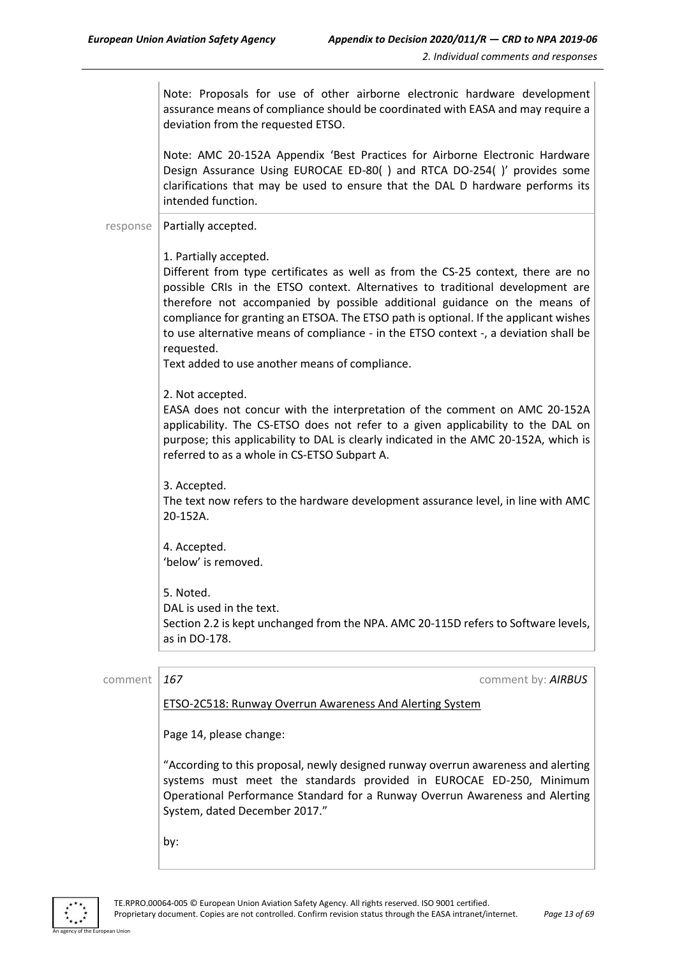|          | Note: Proposals for use of other airborne electronic hardware development<br>assurance means of compliance should be coordinated with EASA and may require a<br>deviation from the requested ETSO.                                                                                                                                                                                                                                                                      |
|----------|-------------------------------------------------------------------------------------------------------------------------------------------------------------------------------------------------------------------------------------------------------------------------------------------------------------------------------------------------------------------------------------------------------------------------------------------------------------------------|
|          | Note: AMC 20-152A Appendix 'Best Practices for Airborne Electronic Hardware<br>Design Assurance Using EUROCAE ED-80() and RTCA DO-254()' provides some<br>clarifications that may be used to ensure that the DAL D hardware performs its<br>intended function.                                                                                                                                                                                                          |
| response | Partially accepted.                                                                                                                                                                                                                                                                                                                                                                                                                                                     |
|          | 1. Partially accepted.<br>Different from type certificates as well as from the CS-25 context, there are no<br>possible CRIs in the ETSO context. Alternatives to traditional development are<br>therefore not accompanied by possible additional guidance on the means of<br>compliance for granting an ETSOA. The ETSO path is optional. If the applicant wishes<br>to use alternative means of compliance - in the ETSO context -, a deviation shall be<br>requested. |
|          | Text added to use another means of compliance.                                                                                                                                                                                                                                                                                                                                                                                                                          |
|          | 2. Not accepted.<br>EASA does not concur with the interpretation of the comment on AMC 20-152A<br>applicability. The CS-ETSO does not refer to a given applicability to the DAL on<br>purpose; this applicability to DAL is clearly indicated in the AMC 20-152A, which is<br>referred to as a whole in CS-ETSO Subpart A.                                                                                                                                              |
|          | 3. Accepted.<br>The text now refers to the hardware development assurance level, in line with AMC<br>20-152A.                                                                                                                                                                                                                                                                                                                                                           |
|          | 4. Accepted.<br>'below' is removed.                                                                                                                                                                                                                                                                                                                                                                                                                                     |
|          | 5. Noted.<br>DAL is used in the text.<br>Section 2.2 is kept unchanged from the NPA. AMC 20-115D refers to Software levels,<br>as in DO-178.                                                                                                                                                                                                                                                                                                                            |
| comment  | 167<br>comment by: AIRBUS                                                                                                                                                                                                                                                                                                                                                                                                                                               |
|          | <b>ETSO-2C518: Runway Overrun Awareness And Alerting System</b>                                                                                                                                                                                                                                                                                                                                                                                                         |
|          | Page 14, please change:                                                                                                                                                                                                                                                                                                                                                                                                                                                 |
|          | "According to this proposal, newly designed runway overrun awareness and alerting<br>systems must meet the standards provided in EUROCAE ED-250, Minimum<br>Operational Performance Standard for a Runway Overrun Awareness and Alerting<br>System, dated December 2017."                                                                                                                                                                                               |

by:



an Union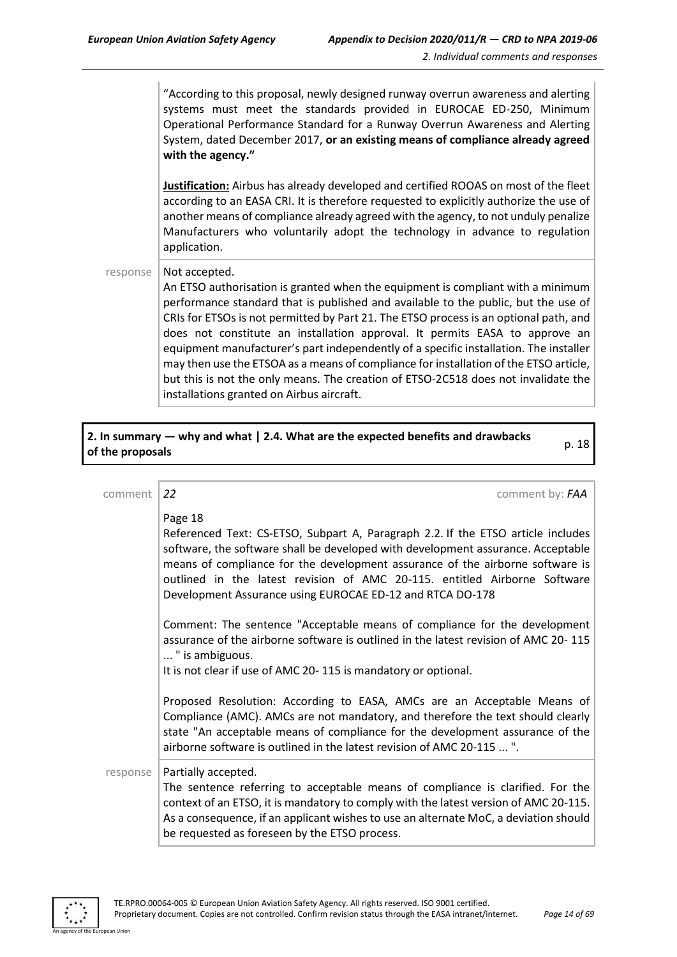"According to this proposal, newly designed runway overrun awareness and alerting systems must meet the standards provided in EUROCAE ED-250, Minimum Operational Performance Standard for a Runway Overrun Awareness and Alerting System, dated December 2017, **or an existing means of compliance already agreed with the agency."**

**Justification:** Airbus has already developed and certified ROOAS on most of the fleet according to an EASA CRI. It is therefore requested to explicitly authorize the use of another means of compliance already agreed with the agency, to not unduly penalize Manufacturers who voluntarily adopt the technology in advance to regulation application.

response  $\vert$  Not accepted.

An ETSO authorisation is granted when the equipment is compliant with a minimum performance standard that is published and available to the public, but the use of CRIs for ETSOs is not permitted by Part 21. The ETSO process is an optional path, and does not constitute an installation approval. It permits EASA to approve an equipment manufacturer's part independently of a specific installation. The installer may then use the ETSOA as a means of compliance for installation of the ETSO article, but this is not the only means. The creation of ETSO-2C518 does not invalidate the installations granted on Airbus aircraft.

# **2. In summary — why and what | 2.4. What are the expected benefits and drawbacks of the proposals** p. 18

| comment  | 22<br>comment by: FAA                                                                                                                                                                                                                                                                                                                                                                                      |
|----------|------------------------------------------------------------------------------------------------------------------------------------------------------------------------------------------------------------------------------------------------------------------------------------------------------------------------------------------------------------------------------------------------------------|
|          | Page 18<br>Referenced Text: CS-ETSO, Subpart A, Paragraph 2.2. If the ETSO article includes<br>software, the software shall be developed with development assurance. Acceptable<br>means of compliance for the development assurance of the airborne software is<br>outlined in the latest revision of AMC 20-115. entitled Airborne Software<br>Development Assurance using EUROCAE ED-12 and RTCA DO-178 |
|          | Comment: The sentence "Acceptable means of compliance for the development<br>assurance of the airborne software is outlined in the latest revision of AMC 20-115<br>" is ambiguous.<br>It is not clear if use of AMC 20-115 is mandatory or optional.                                                                                                                                                      |
|          | Proposed Resolution: According to EASA, AMCs are an Acceptable Means of<br>Compliance (AMC). AMCs are not mandatory, and therefore the text should clearly<br>state "An acceptable means of compliance for the development assurance of the<br>airborne software is outlined in the latest revision of AMC 20-115  ".                                                                                      |
| response | Partially accepted.<br>The sentence referring to acceptable means of compliance is clarified. For the<br>context of an ETSO, it is mandatory to comply with the latest version of AMC 20-115.<br>As a consequence, if an applicant wishes to use an alternate MoC, a deviation should<br>be requested as foreseen by the ETSO process.                                                                     |

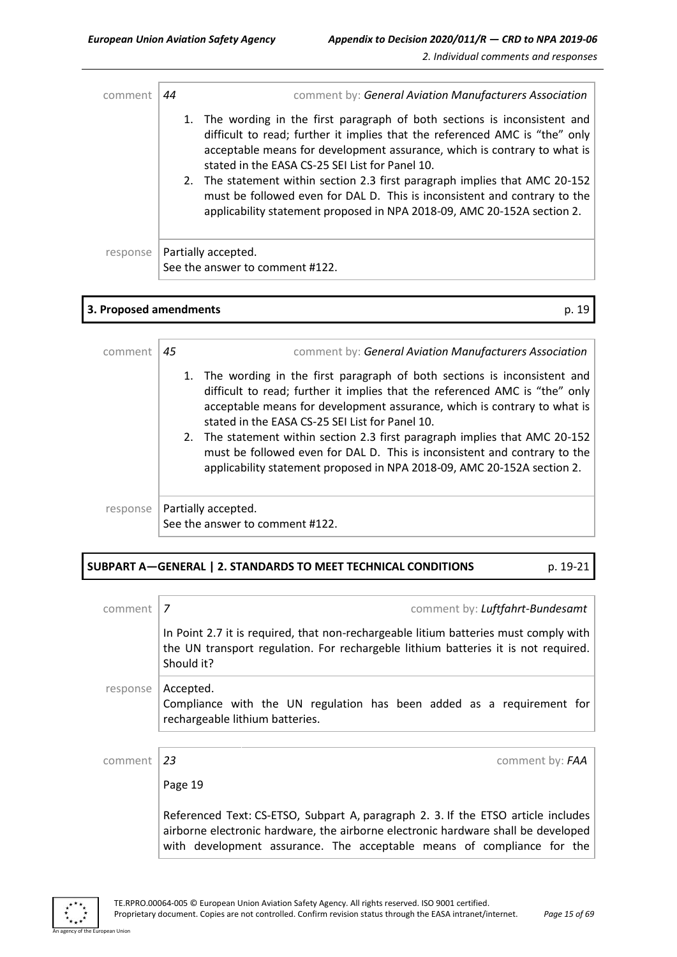| comment  | 44 | comment by: General Aviation Manufacturers Association                                                                                                                                                                                                                                                                                                                                                                                                                                                                          |
|----------|----|---------------------------------------------------------------------------------------------------------------------------------------------------------------------------------------------------------------------------------------------------------------------------------------------------------------------------------------------------------------------------------------------------------------------------------------------------------------------------------------------------------------------------------|
|          |    | 1. The wording in the first paragraph of both sections is inconsistent and<br>difficult to read; further it implies that the referenced AMC is "the" only<br>acceptable means for development assurance, which is contrary to what is<br>stated in the EASA CS-25 SEI List for Panel 10.<br>2. The statement within section 2.3 first paragraph implies that AMC 20-152<br>must be followed even for DAL D. This is inconsistent and contrary to the<br>applicability statement proposed in NPA 2018-09, AMC 20-152A section 2. |
| response |    | Partially accepted.<br>See the answer to comment #122.                                                                                                                                                                                                                                                                                                                                                                                                                                                                          |

| 3. Proposed amendments |    | p. 19                                                                                                                                                                                                                                                                                                                                                                                                                                                                                                                           |
|------------------------|----|---------------------------------------------------------------------------------------------------------------------------------------------------------------------------------------------------------------------------------------------------------------------------------------------------------------------------------------------------------------------------------------------------------------------------------------------------------------------------------------------------------------------------------|
| comment                | 45 | comment by: General Aviation Manufacturers Association                                                                                                                                                                                                                                                                                                                                                                                                                                                                          |
|                        |    | 1. The wording in the first paragraph of both sections is inconsistent and<br>difficult to read; further it implies that the referenced AMC is "the" only<br>acceptable means for development assurance, which is contrary to what is<br>stated in the EASA CS-25 SEI List for Panel 10.<br>2. The statement within section 2.3 first paragraph implies that AMC 20-152<br>must be followed even for DAL D. This is inconsistent and contrary to the<br>applicability statement proposed in NPA 2018-09, AMC 20-152A section 2. |
| response               |    | Partially accepted.<br>See the answer to comment #122.                                                                                                                                                                                                                                                                                                                                                                                                                                                                          |

#### **SUBPART A—GENERAL | 2. STANDARDS TO MEET TECHNICAL CONDITIONS** p. 19-21

| comment  | 7<br>comment by: Luftfahrt-Bundesamt                                                                                                                                                                                                             |
|----------|--------------------------------------------------------------------------------------------------------------------------------------------------------------------------------------------------------------------------------------------------|
|          | In Point 2.7 it is required, that non-rechargeable litium batteries must comply with<br>the UN transport regulation. For rechargeble lithium batteries it is not required.<br>Should it?                                                         |
| response | Accepted.<br>Compliance with the UN regulation has been added as a requirement for<br>rechargeable lithium batteries.                                                                                                                            |
|          |                                                                                                                                                                                                                                                  |
| comment  | 23<br>comment by: FAA                                                                                                                                                                                                                            |
|          | Page 19                                                                                                                                                                                                                                          |
|          | Referenced Text: CS-ETSO, Subpart A, paragraph 2. 3. If the ETSO article includes<br>airborne electronic hardware, the airborne electronic hardware shall be developed<br>with development assurance. The acceptable means of compliance for the |



.<br>An Union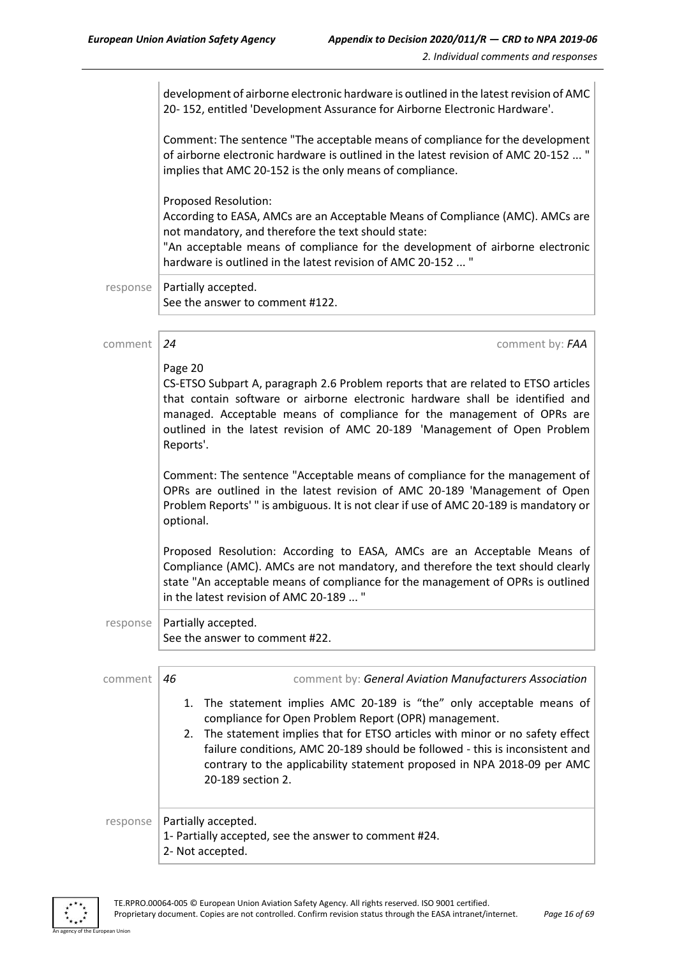|          | development of airborne electronic hardware is outlined in the latest revision of AMC<br>20-152, entitled 'Development Assurance for Airborne Electronic Hardware'.                                                                                                                                                                                                                                |
|----------|----------------------------------------------------------------------------------------------------------------------------------------------------------------------------------------------------------------------------------------------------------------------------------------------------------------------------------------------------------------------------------------------------|
|          | Comment: The sentence "The acceptable means of compliance for the development<br>of airborne electronic hardware is outlined in the latest revision of AMC 20-152  "<br>implies that AMC 20-152 is the only means of compliance.                                                                                                                                                                   |
|          | Proposed Resolution:<br>According to EASA, AMCs are an Acceptable Means of Compliance (AMC). AMCs are<br>not mandatory, and therefore the text should state:<br>"An acceptable means of compliance for the development of airborne electronic<br>hardware is outlined in the latest revision of AMC 20-152  "                                                                                      |
| response | Partially accepted.<br>See the answer to comment #122.                                                                                                                                                                                                                                                                                                                                             |
|          |                                                                                                                                                                                                                                                                                                                                                                                                    |
| comment  | 24<br>comment by: FAA                                                                                                                                                                                                                                                                                                                                                                              |
|          | Page 20<br>CS-ETSO Subpart A, paragraph 2.6 Problem reports that are related to ETSO articles<br>that contain software or airborne electronic hardware shall be identified and<br>managed. Acceptable means of compliance for the management of OPRs are<br>outlined in the latest revision of AMC 20-189 'Management of Open Problem<br>Reports'.                                                 |
|          | Comment: The sentence "Acceptable means of compliance for the management of<br>OPRs are outlined in the latest revision of AMC 20-189 'Management of Open<br>Problem Reports'" is ambiguous. It is not clear if use of AMC 20-189 is mandatory or<br>optional.                                                                                                                                     |
|          | Proposed Resolution: According to EASA, AMCs are an Acceptable Means of<br>Compliance (AMC). AMCs are not mandatory, and therefore the text should clearly<br>state "An acceptable means of compliance for the management of OPRs is outlined<br>in the latest revision of AMC 20-189  "                                                                                                           |
| response | Partially accepted.<br>See the answer to comment #22.                                                                                                                                                                                                                                                                                                                                              |
| comment  | 46<br>comment by: General Aviation Manufacturers Association                                                                                                                                                                                                                                                                                                                                       |
|          | The statement implies AMC 20-189 is "the" only acceptable means of<br>1.<br>compliance for Open Problem Report (OPR) management.<br>2. The statement implies that for ETSO articles with minor or no safety effect<br>failure conditions, AMC 20-189 should be followed - this is inconsistent and<br>contrary to the applicability statement proposed in NPA 2018-09 per AMC<br>20-189 section 2. |
| response | Partially accepted.<br>1- Partially accepted, see the answer to comment #24.<br>2- Not accepted.                                                                                                                                                                                                                                                                                                   |

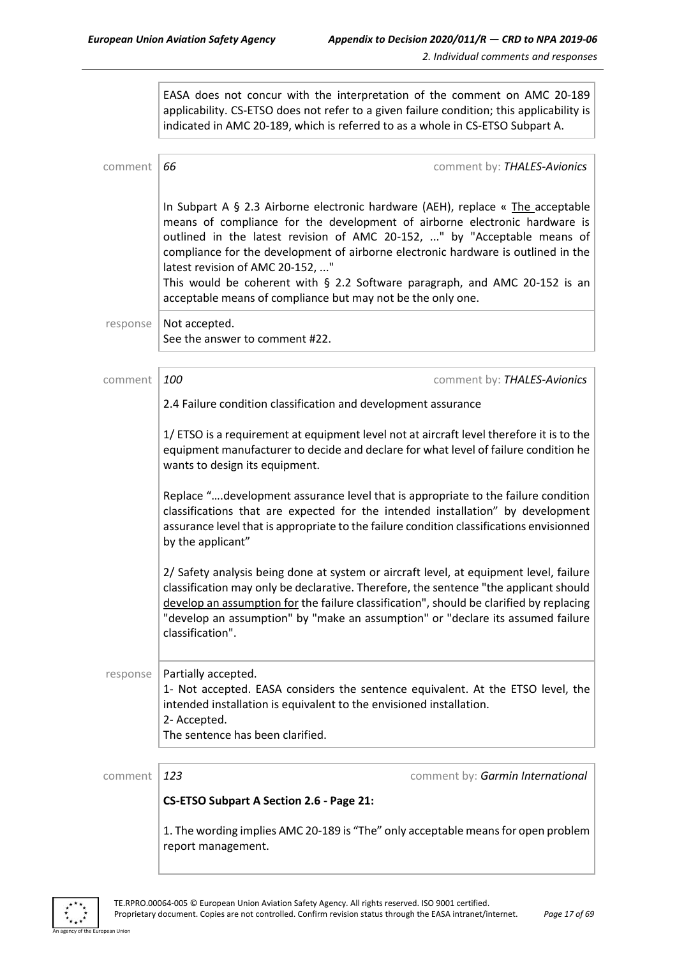EASA does not concur with the interpretation of the comment on AMC 20-189 applicability. CS-ETSO does not refer to a given failure condition; this applicability is indicated in AMC 20-189, which is referred to as a whole in CS-ETSO Subpart A.

| comment  | 66<br>comment by: THALES-Avionics                                                                                                                                                                                                                                                                                                                                                                                                                                                                                     |  |  |
|----------|-----------------------------------------------------------------------------------------------------------------------------------------------------------------------------------------------------------------------------------------------------------------------------------------------------------------------------------------------------------------------------------------------------------------------------------------------------------------------------------------------------------------------|--|--|
|          | In Subpart A $\S$ 2.3 Airborne electronic hardware (AEH), replace « The acceptable<br>means of compliance for the development of airborne electronic hardware is<br>outlined in the latest revision of AMC 20-152, " by "Acceptable means of<br>compliance for the development of airborne electronic hardware is outlined in the<br>latest revision of AMC 20-152, "<br>This would be coherent with $\S$ 2.2 Software paragraph, and AMC 20-152 is an<br>acceptable means of compliance but may not be the only one. |  |  |
| response | Not accepted.<br>See the answer to comment #22.                                                                                                                                                                                                                                                                                                                                                                                                                                                                       |  |  |
| comment  | 100<br>comment by: THALES-Avionics                                                                                                                                                                                                                                                                                                                                                                                                                                                                                    |  |  |
|          | 2.4 Failure condition classification and development assurance                                                                                                                                                                                                                                                                                                                                                                                                                                                        |  |  |
|          | 1/ ETSO is a requirement at equipment level not at aircraft level therefore it is to the<br>equipment manufacturer to decide and declare for what level of failure condition he<br>wants to design its equipment.                                                                                                                                                                                                                                                                                                     |  |  |
|          | Replace "development assurance level that is appropriate to the failure condition<br>classifications that are expected for the intended installation" by development<br>assurance level that is appropriate to the failure condition classifications envisionned<br>by the applicant"                                                                                                                                                                                                                                 |  |  |
|          | 2/ Safety analysis being done at system or aircraft level, at equipment level, failure<br>classification may only be declarative. Therefore, the sentence "the applicant should<br>develop an assumption for the failure classification", should be clarified by replacing<br>"develop an assumption" by "make an assumption" or "declare its assumed failure<br>classification".                                                                                                                                     |  |  |
| response | Partially accepted.<br>1- Not accepted. EASA considers the sentence equivalent. At the ETSO level, the<br>intended installation is equivalent to the envisioned installation.<br>2- Accepted.<br>The sentence has been clarified.                                                                                                                                                                                                                                                                                     |  |  |
| comment  | 123<br>comment by: Garmin International                                                                                                                                                                                                                                                                                                                                                                                                                                                                               |  |  |
|          | CS-ETSO Subpart A Section 2.6 - Page 21:                                                                                                                                                                                                                                                                                                                                                                                                                                                                              |  |  |
|          | 1. The wording implies AMC 20-189 is "The" only acceptable means for open problem<br>report management.                                                                                                                                                                                                                                                                                                                                                                                                               |  |  |



an Unio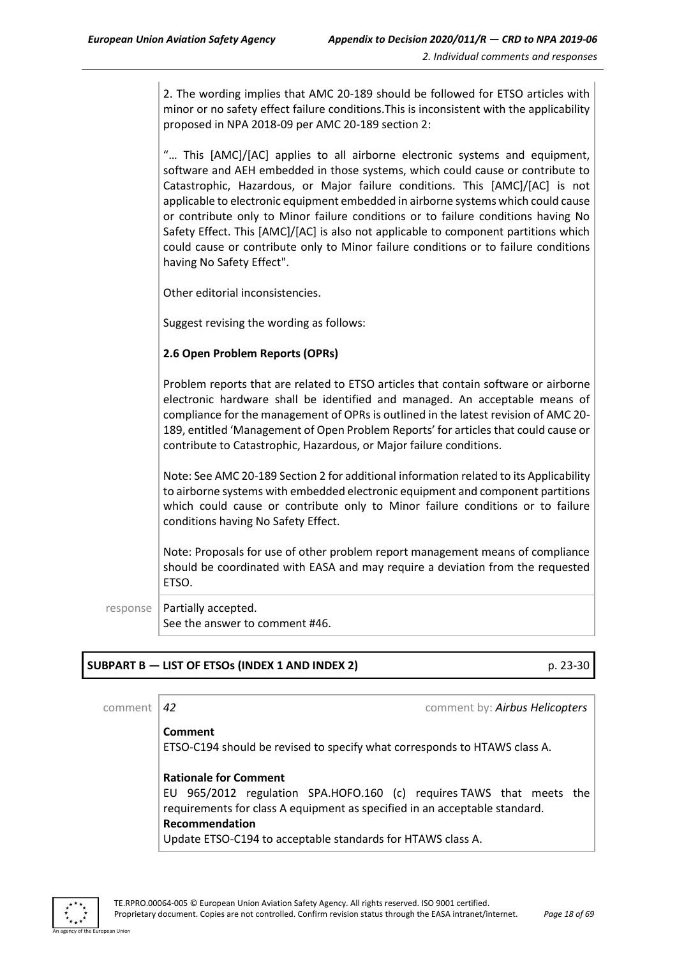2. The wording implies that AMC 20-189 should be followed for ETSO articles with minor or no safety effect failure conditions.This is inconsistent with the applicability proposed in NPA 2018-09 per AMC 20-189 section 2:

"… This [AMC]/[AC] applies to all airborne electronic systems and equipment, software and AEH embedded in those systems, which could cause or contribute to Catastrophic, Hazardous, or Major failure conditions. This [AMC]/[AC] is not applicable to electronic equipment embedded in airborne systems which could cause or contribute only to Minor failure conditions or to failure conditions having No Safety Effect. This [AMC]/[AC] is also not applicable to component partitions which could cause or contribute only to Minor failure conditions or to failure conditions having No Safety Effect".

Other editorial inconsistencies.

Suggest revising the wording as follows:

#### **2.6 Open Problem Reports (OPRs)**

Problem reports that are related to ETSO articles that contain software or airborne electronic hardware shall be identified and managed. An acceptable means of compliance for the management of OPRs is outlined in the latest revision of AMC 20- 189, entitled 'Management of Open Problem Reports' for articles that could cause or contribute to Catastrophic, Hazardous, or Major failure conditions.

Note: See AMC 20-189 Section 2 for additional information related to its Applicability to airborne systems with embedded electronic equipment and component partitions which could cause or contribute only to Minor failure conditions or to failure conditions having No Safety Effect.

Note: Proposals for use of other problem report management means of compliance should be coordinated with EASA and may require a deviation from the requested ETSO.

 $response$  | Partially accepted. See the answer to comment #46.

#### **SUBPART B — LIST OF ETSOs (INDEX 1 AND INDEX 2)** p. 23-30

comment *42* comment by: *Airbus Helicopters*

#### **Comment**

ETSO-C194 should be revised to specify what corresponds to HTAWS class A.

#### **Rationale for Comment**

EU 965/2012 regulation SPA.HOFO.160 (c) requires TAWS that meets the requirements for class A equipment as specified in an acceptable standard. **Recommendation** Update ETSO-C194 to acceptable standards for HTAWS class A.

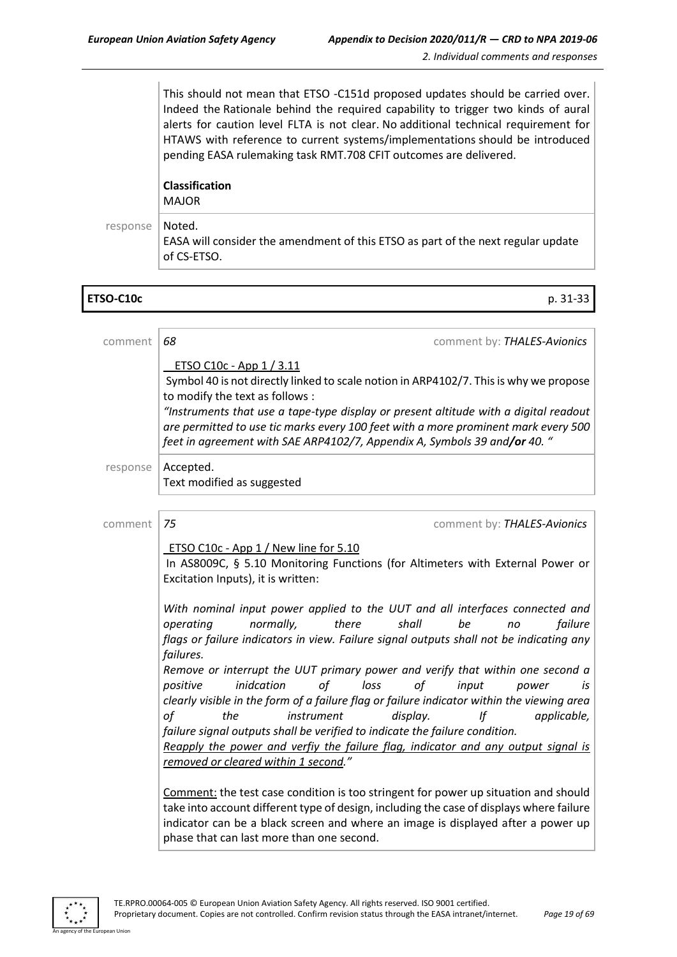This should not mean that ETSO -C151d proposed updates should be carried over. Indeed the Rationale behind the required capability to trigger two kinds of aural alerts for caution level FLTA is not clear. No additional technical requirement for HTAWS with reference to current systems/implementations should be introduced pending EASA rulemaking task RMT.708 CFIT outcomes are delivered.

|          | <b>Classification</b><br><b>MAJOR</b>                                                                     |
|----------|-----------------------------------------------------------------------------------------------------------|
| response | Noted.<br>EASA will consider the amendment of this ETSO as part of the next regular update<br>of CS-ETSO. |

| ETSO-C10c | $\sim$ $\sim$<br>$p.31 - 33$ |
|-----------|------------------------------|

| comment  | 68<br>comment by: THALES-Avionics                                                                                                                                                                                                                                                                                                                                                                                                                                                                                         |
|----------|---------------------------------------------------------------------------------------------------------------------------------------------------------------------------------------------------------------------------------------------------------------------------------------------------------------------------------------------------------------------------------------------------------------------------------------------------------------------------------------------------------------------------|
|          | ETSO C10c - App 1 / 3.11<br>Symbol 40 is not directly linked to scale notion in ARP4102/7. This is why we propose<br>to modify the text as follows :<br>"Instruments that use a tape-type display or present altitude with a digital readout<br>are permitted to use tic marks every 100 feet with a more prominent mark every 500<br>feet in agreement with SAE ARP4102/7, Appendix A, Symbols 39 and/or 40. "                                                                                                           |
| response | Accepted.<br>Text modified as suggested                                                                                                                                                                                                                                                                                                                                                                                                                                                                                   |
|          |                                                                                                                                                                                                                                                                                                                                                                                                                                                                                                                           |
| comment  | 75<br>comment by: THALES-Avionics                                                                                                                                                                                                                                                                                                                                                                                                                                                                                         |
|          | ETSO C10c - App 1 / New line for 5.10<br>In AS8009C, § 5.10 Monitoring Functions (for Altimeters with External Power or<br>Excitation Inputs), it is written:                                                                                                                                                                                                                                                                                                                                                             |
|          | With nominal input power applied to the UUT and all interfaces connected and<br>there<br>be<br>failure<br>operating<br>normally,<br>shall<br>no<br>flags or failure indicators in view. Failure signal outputs shall not be indicating any<br>failures.                                                                                                                                                                                                                                                                   |
|          | Remove or interrupt the UUT primary power and verify that within one second a<br>inidcation<br>of<br>loss<br>of<br>positive<br>input<br>is<br>power<br>clearly visible in the form of a failure flag or failure indicator within the viewing area<br>of<br>If<br>applicable,<br>the<br>instrument<br>display.<br>failure signal outputs shall be verified to indicate the failure condition.<br>Reapply the power and verfiy the failure flag, indicator and any output signal is<br>removed or cleared within 1 second." |
|          | Comment: the test case condition is too stringent for power up situation and should<br>take into account different type of design, including the case of displays where failure<br>indicator can be a black screen and where an image is displayed after a power up<br>phase that can last more than one second.                                                                                                                                                                                                          |



n I Ini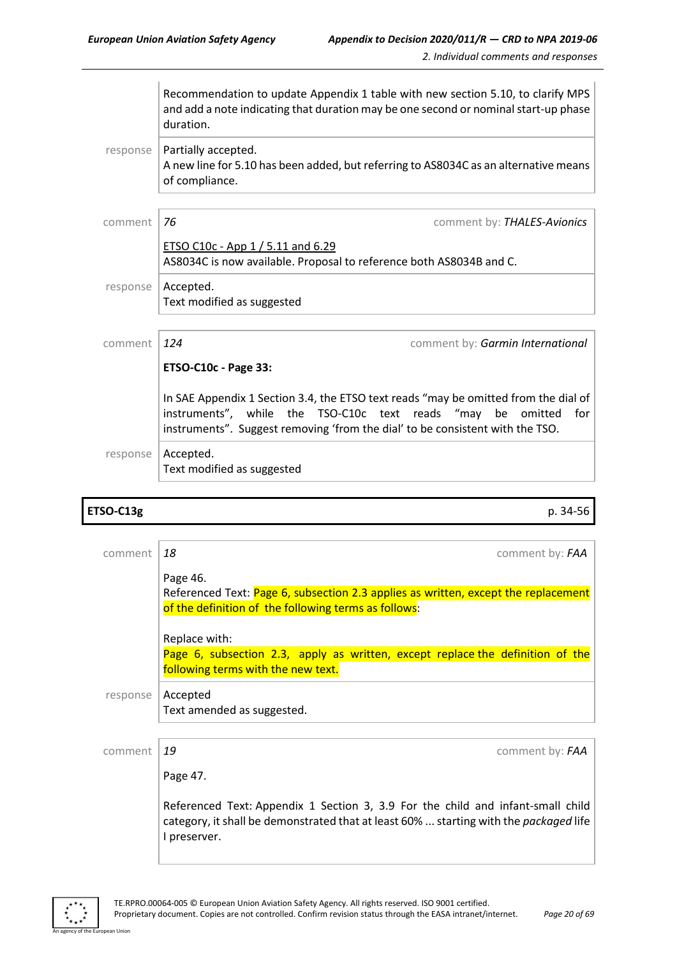|          | Recommendation to update Appendix 1 table with new section 5.10, to clarify MPS<br>and add a note indicating that duration may be one second or nominal start-up phase<br>duration.                                                                 |
|----------|-----------------------------------------------------------------------------------------------------------------------------------------------------------------------------------------------------------------------------------------------------|
| response | Partially accepted.<br>A new line for 5.10 has been added, but referring to AS8034C as an alternative means<br>of compliance.                                                                                                                       |
| comment  | 76<br>comment by: THALES-Avionics                                                                                                                                                                                                                   |
|          | ETSO C10c - App 1 / 5.11 and 6.29<br>AS8034C is now available. Proposal to reference both AS8034B and C.                                                                                                                                            |
| response | Accepted.<br>Text modified as suggested                                                                                                                                                                                                             |
| comment  | 124<br>comment by: Garmin International                                                                                                                                                                                                             |
|          | <b>ETSO-C10c - Page 33:</b>                                                                                                                                                                                                                         |
|          | In SAE Appendix 1 Section 3.4, the ETSO text reads "may be omitted from the dial of<br>instruments", while the TSO-C10c text reads<br>"may<br>be<br>omitted<br>for<br>instruments". Suggest removing 'from the dial' to be consistent with the TSO. |
| response | Accepted.<br>Text modified as suggested                                                                                                                                                                                                             |

### **ETSO-C13g** p. 34-56

| comment  | 18<br>comment by: FAA                                                                                                                                                                           |
|----------|-------------------------------------------------------------------------------------------------------------------------------------------------------------------------------------------------|
|          | Page 46.                                                                                                                                                                                        |
|          | Referenced Text: Page 6, subsection 2.3 applies as written, except the replacement<br>of the definition of the following terms as follows:                                                      |
|          | Replace with:                                                                                                                                                                                   |
|          | Page 6, subsection 2.3, apply as written, except replace the definition of the<br>following terms with the new text.                                                                            |
| response | Accepted<br>Text amended as suggested.                                                                                                                                                          |
|          |                                                                                                                                                                                                 |
| comment  | 19<br>comment by: FAA                                                                                                                                                                           |
|          | Page 47.                                                                                                                                                                                        |
|          | Referenced Text: Appendix 1 Section 3, 3.9 For the child and infant-small child<br>category, it shall be demonstrated that at least 60%  starting with the <i>packaged</i> life<br>I preserver. |



an Union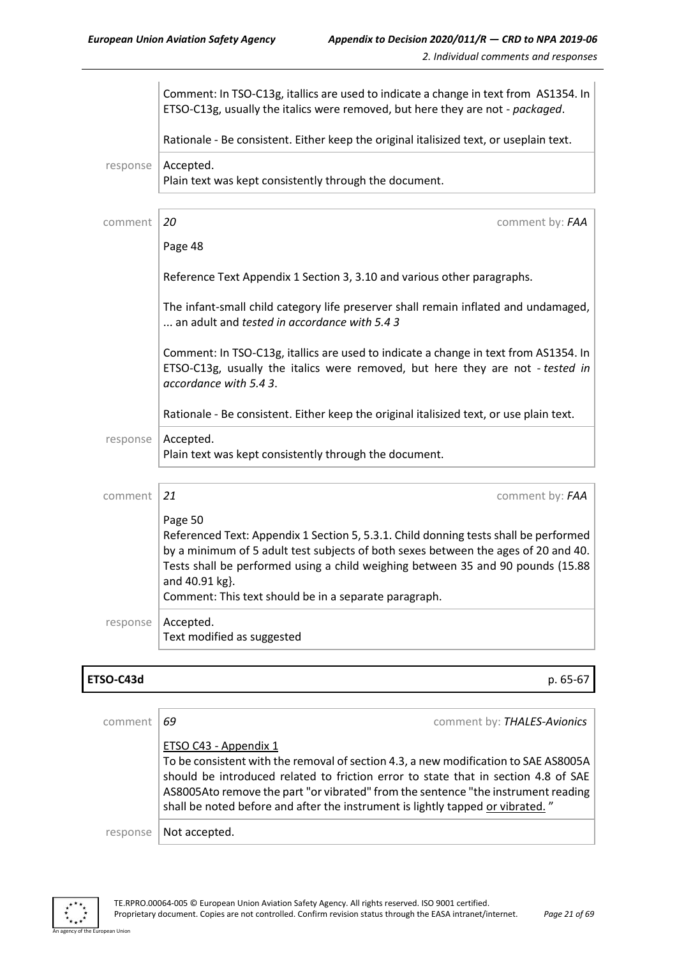|          | Comment: In TSO-C13g, itallics are used to indicate a change in text from AS1354. In<br>ETSO-C13g, usually the italics were removed, but here they are not - packaged.                                                                                                                                                                              |
|----------|-----------------------------------------------------------------------------------------------------------------------------------------------------------------------------------------------------------------------------------------------------------------------------------------------------------------------------------------------------|
|          | Rationale - Be consistent. Either keep the original italisized text, or useplain text.                                                                                                                                                                                                                                                              |
| response | Accepted.<br>Plain text was kept consistently through the document.                                                                                                                                                                                                                                                                                 |
| comment  | 20<br>comment by: FAA                                                                                                                                                                                                                                                                                                                               |
|          | Page 48                                                                                                                                                                                                                                                                                                                                             |
|          | Reference Text Appendix 1 Section 3, 3.10 and various other paragraphs.                                                                                                                                                                                                                                                                             |
|          | The infant-small child category life preserver shall remain inflated and undamaged,<br>an adult and tested in accordance with 5.43                                                                                                                                                                                                                  |
|          | Comment: In TSO-C13g, itallics are used to indicate a change in text from AS1354. In<br>ETSO-C13g, usually the italics were removed, but here they are not - tested in<br>accordance with 5.4 3.                                                                                                                                                    |
|          | Rationale - Be consistent. Either keep the original italisized text, or use plain text.                                                                                                                                                                                                                                                             |
| response | Accepted.<br>Plain text was kept consistently through the document.                                                                                                                                                                                                                                                                                 |
| comment  | 21<br>comment by: FAA                                                                                                                                                                                                                                                                                                                               |
|          | Page 50<br>Referenced Text: Appendix 1 Section 5, 5.3.1. Child donning tests shall be performed<br>by a minimum of 5 adult test subjects of both sexes between the ages of 20 and 40.<br>Tests shall be performed using a child weighing between 35 and 90 pounds (15.88<br>and 40.91 kg}.<br>Comment: This text should be in a separate paragraph. |
| response | Accepted.<br>Text modified as suggested                                                                                                                                                                                                                                                                                                             |

#### **ETSO-C43d** p. 65-67

| comment  | comment by: THALES-Avionics<br>69                                                                                                                                                                                                                                                                                                                                         |
|----------|---------------------------------------------------------------------------------------------------------------------------------------------------------------------------------------------------------------------------------------------------------------------------------------------------------------------------------------------------------------------------|
|          | ETSO C43 - Appendix 1<br>To be consistent with the removal of section 4.3, a new modification to SAE AS8005A<br>should be introduced related to friction error to state that in section 4.8 of SAE<br>AS8005Ato remove the part "or vibrated" from the sentence "the instrument reading<br>shall be noted before and after the instrument is lightly tapped or vibrated." |
| response | Not accepted.                                                                                                                                                                                                                                                                                                                                                             |



an Union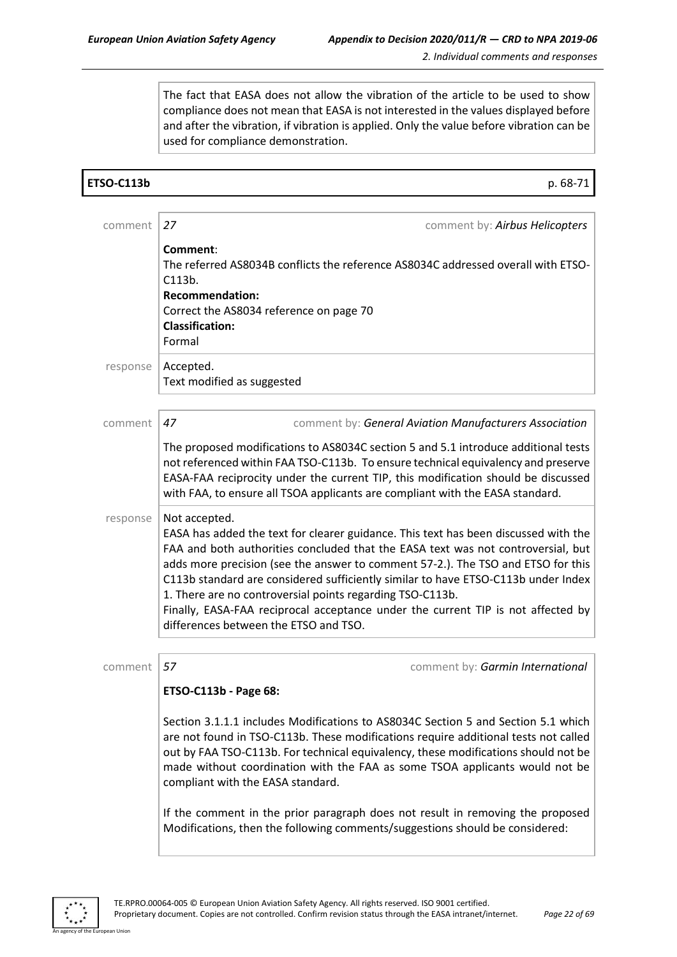The fact that EASA does not allow the vibration of the article to be used to show compliance does not mean that EASA is not interested in the values displayed before and after the vibration, if vibration is applied. Only the value before vibration can be used for compliance demonstration.

| <b>ETSO-C113b</b> | p. 68-71                                                                                                                                                                                                                                                                                                                                                                                                                                                                                                                                                                      |
|-------------------|-------------------------------------------------------------------------------------------------------------------------------------------------------------------------------------------------------------------------------------------------------------------------------------------------------------------------------------------------------------------------------------------------------------------------------------------------------------------------------------------------------------------------------------------------------------------------------|
|                   |                                                                                                                                                                                                                                                                                                                                                                                                                                                                                                                                                                               |
| comment           | 27<br>comment by: Airbus Helicopters                                                                                                                                                                                                                                                                                                                                                                                                                                                                                                                                          |
|                   | Comment:<br>The referred AS8034B conflicts the reference AS8034C addressed overall with ETSO-<br>C113b.<br><b>Recommendation:</b><br>Correct the AS8034 reference on page 70<br><b>Classification:</b><br>Formal                                                                                                                                                                                                                                                                                                                                                              |
| response          | Accepted.<br>Text modified as suggested                                                                                                                                                                                                                                                                                                                                                                                                                                                                                                                                       |
| comment           | 47<br>comment by: General Aviation Manufacturers Association                                                                                                                                                                                                                                                                                                                                                                                                                                                                                                                  |
|                   | The proposed modifications to AS8034C section 5 and 5.1 introduce additional tests<br>not referenced within FAA TSO-C113b. To ensure technical equivalency and preserve<br>EASA-FAA reciprocity under the current TIP, this modification should be discussed<br>with FAA, to ensure all TSOA applicants are compliant with the EASA standard.                                                                                                                                                                                                                                 |
| response          | Not accepted.<br>EASA has added the text for clearer guidance. This text has been discussed with the<br>FAA and both authorities concluded that the EASA text was not controversial, but<br>adds more precision (see the answer to comment 57-2.). The TSO and ETSO for this<br>C113b standard are considered sufficiently similar to have ETSO-C113b under Index<br>1. There are no controversial points regarding TSO-C113b.<br>Finally, EASA-FAA reciprocal acceptance under the current TIP is not affected by<br>differences between the ETSO and TSO.                   |
| comment           | 57<br>comment by: Garmin International                                                                                                                                                                                                                                                                                                                                                                                                                                                                                                                                        |
|                   | ETSO-C113b - Page 68:<br>Section 3.1.1.1 includes Modifications to AS8034C Section 5 and Section 5.1 which<br>are not found in TSO-C113b. These modifications require additional tests not called<br>out by FAA TSO-C113b. For technical equivalency, these modifications should not be<br>made without coordination with the FAA as some TSOA applicants would not be<br>compliant with the EASA standard.<br>If the comment in the prior paragraph does not result in removing the proposed<br>Modifications, then the following comments/suggestions should be considered: |



n Unio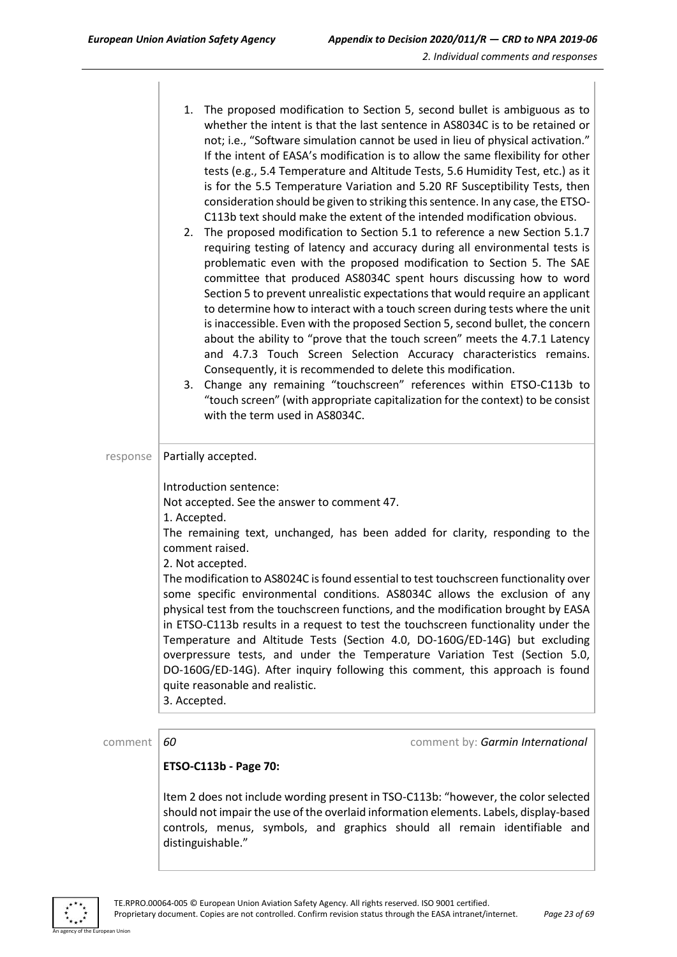|          | 1. The proposed modification to Section 5, second bullet is ambiguous as to<br>whether the intent is that the last sentence in AS8034C is to be retained or<br>not; i.e., "Software simulation cannot be used in lieu of physical activation."<br>If the intent of EASA's modification is to allow the same flexibility for other<br>tests (e.g., 5.4 Temperature and Altitude Tests, 5.6 Humidity Test, etc.) as it<br>is for the 5.5 Temperature Variation and 5.20 RF Susceptibility Tests, then<br>consideration should be given to striking this sentence. In any case, the ETSO-<br>C113b text should make the extent of the intended modification obvious.<br>2. The proposed modification to Section 5.1 to reference a new Section 5.1.7<br>requiring testing of latency and accuracy during all environmental tests is<br>problematic even with the proposed modification to Section 5. The SAE<br>committee that produced AS8034C spent hours discussing how to word<br>Section 5 to prevent unrealistic expectations that would require an applicant<br>to determine how to interact with a touch screen during tests where the unit<br>is inaccessible. Even with the proposed Section 5, second bullet, the concern<br>about the ability to "prove that the touch screen" meets the 4.7.1 Latency<br>and 4.7.3 Touch Screen Selection Accuracy characteristics remains.<br>Consequently, it is recommended to delete this modification.<br>Change any remaining "touchscreen" references within ETSO-C113b to<br>3.<br>"touch screen" (with appropriate capitalization for the context) to be consist<br>with the term used in AS8034C. |
|----------|-------------------------------------------------------------------------------------------------------------------------------------------------------------------------------------------------------------------------------------------------------------------------------------------------------------------------------------------------------------------------------------------------------------------------------------------------------------------------------------------------------------------------------------------------------------------------------------------------------------------------------------------------------------------------------------------------------------------------------------------------------------------------------------------------------------------------------------------------------------------------------------------------------------------------------------------------------------------------------------------------------------------------------------------------------------------------------------------------------------------------------------------------------------------------------------------------------------------------------------------------------------------------------------------------------------------------------------------------------------------------------------------------------------------------------------------------------------------------------------------------------------------------------------------------------------------------------------------------------------------------------------------------------|
| response | Partially accepted.<br>Introduction sentence:<br>Not accepted. See the answer to comment 47.<br>1. Accepted.<br>The remaining text, unchanged, has been added for clarity, responding to the<br>comment raised.<br>2. Not accepted.<br>The modification to AS8024C is found essential to test touchscreen functionality over<br>some specific environmental conditions. AS8034C allows the exclusion of any<br>physical test from the touchscreen functions, and the modification brought by EASA<br>in ETSO-C113b results in a request to test the touchscreen functionality under the<br>Temperature and Altitude Tests (Section 4.0, DO-160G/ED-14G) but excluding<br>overpressure tests, and under the Temperature Variation Test (Section 5.0,<br>DO-160G/ED-14G). After inquiry following this comment, this approach is found<br>quite reasonable and realistic.<br>3. Accepted.                                                                                                                                                                                                                                                                                                                                                                                                                                                                                                                                                                                                                                                                                                                                                               |

comment **60 comment 60 comment by:** *Garmin International* 

#### **ETSO-C113b - Page 70:**

Item 2 does not include wording present in TSO-C113b: "however, the color selected should not impair the use of the overlaid information elements. Labels, display-based controls, menus, symbols, and graphics should all remain identifiable and distinguishable."



n Hoio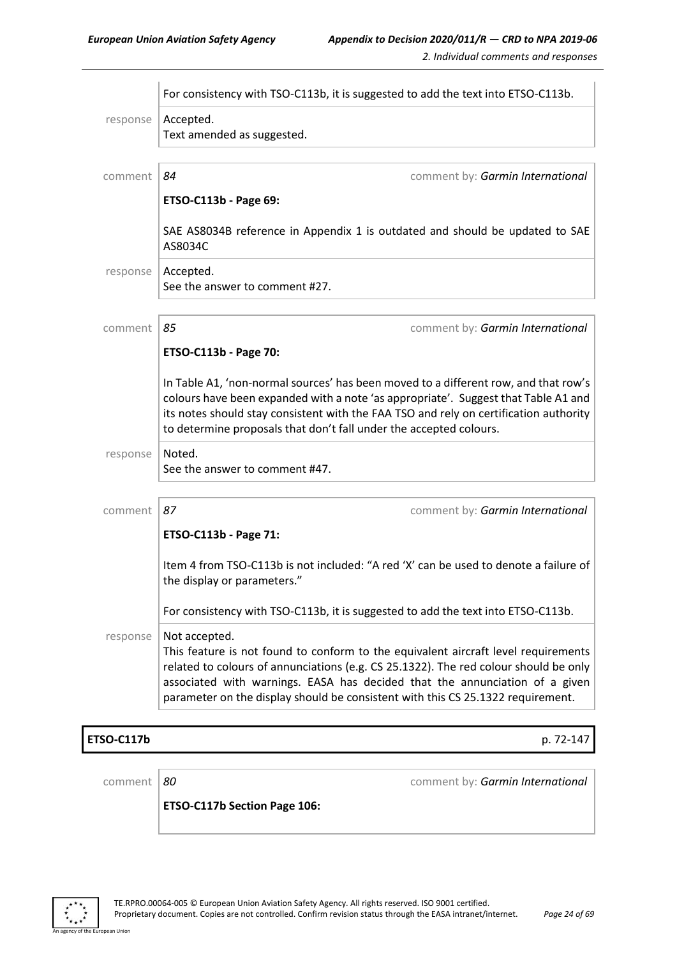|                   |                                                                    | For consistency with TSO-C113b, it is suggested to add the text into ETSO-C113b.                                                                                                                                                                                   |
|-------------------|--------------------------------------------------------------------|--------------------------------------------------------------------------------------------------------------------------------------------------------------------------------------------------------------------------------------------------------------------|
| response          | Accepted.<br>Text amended as suggested.                            |                                                                                                                                                                                                                                                                    |
| comment           | 84                                                                 | comment by: Garmin International                                                                                                                                                                                                                                   |
|                   | ETSO-C113b - Page 69:                                              |                                                                                                                                                                                                                                                                    |
|                   | AS8034C                                                            | SAE AS8034B reference in Appendix 1 is outdated and should be updated to SAE                                                                                                                                                                                       |
| response          | Accepted.<br>See the answer to comment #27.                        |                                                                                                                                                                                                                                                                    |
| comment           | 85                                                                 | comment by: Garmin International                                                                                                                                                                                                                                   |
|                   | ETSO-C113b - Page 70:                                              |                                                                                                                                                                                                                                                                    |
|                   | to determine proposals that don't fall under the accepted colours. | In Table A1, 'non-normal sources' has been moved to a different row, and that row's<br>colours have been expanded with a note 'as appropriate'. Suggest that Table A1 and<br>its notes should stay consistent with the FAA TSO and rely on certification authority |
| response          | Noted.<br>See the answer to comment #47.                           |                                                                                                                                                                                                                                                                    |
| comment           | 87                                                                 | comment by: Garmin International                                                                                                                                                                                                                                   |
|                   | ETSO-C113b - Page 71:                                              |                                                                                                                                                                                                                                                                    |
|                   | the display or parameters."                                        | Item 4 from TSO-C113b is not included: "A red 'X' can be used to denote a failure of                                                                                                                                                                               |
|                   |                                                                    | For consistency with TSO-C113b, it is suggested to add the text into ETSO-C113b.                                                                                                                                                                                   |
| response          | Not accepted.                                                      | This feature is not found to conform to the equivalent aircraft level requirements<br>related to colours of annunciations (e.g. CS 25.1322). The red colour should be only                                                                                         |
|                   |                                                                    | associated with warnings. EASA has decided that the annunciation of a given<br>parameter on the display should be consistent with this CS 25.1322 requirement.                                                                                                     |
| <b>ETSO-C117b</b> |                                                                    | p. 72-147                                                                                                                                                                                                                                                          |
| comment           | 80                                                                 | comment by: Garmin International                                                                                                                                                                                                                                   |

**ETSO-C117b Section Page 106:**



an Union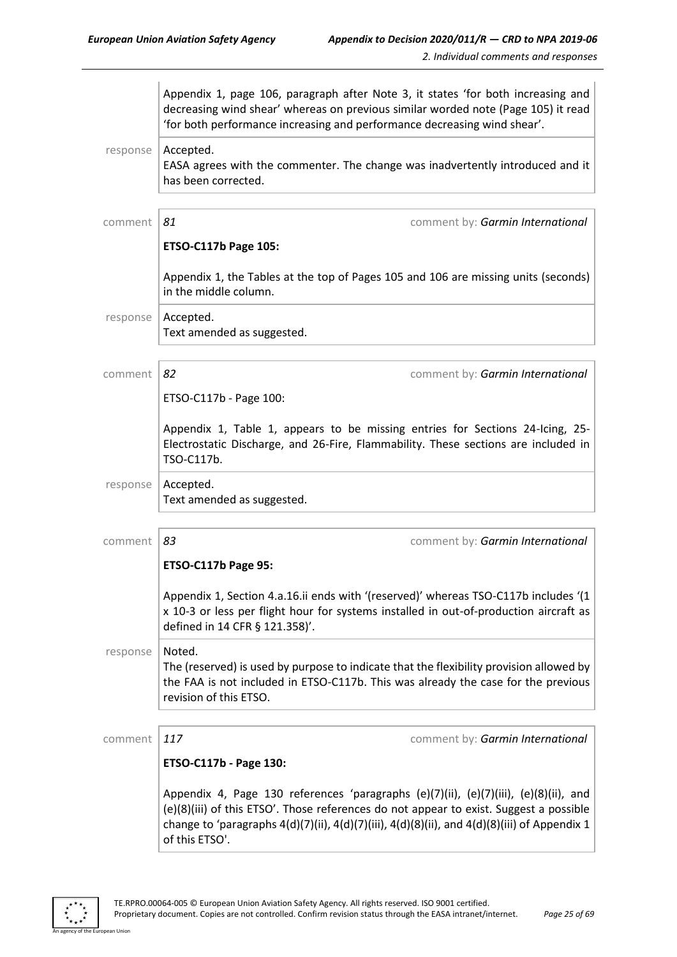|          | Appendix 1, page 106, paragraph after Note 3, it states 'for both increasing and<br>decreasing wind shear' whereas on previous similar worded note (Page 105) it read<br>'for both performance increasing and performance decreasing wind shear'.                                                           |
|----------|-------------------------------------------------------------------------------------------------------------------------------------------------------------------------------------------------------------------------------------------------------------------------------------------------------------|
| response | Accepted.<br>EASA agrees with the commenter. The change was inadvertently introduced and it<br>has been corrected.                                                                                                                                                                                          |
| comment  | 81<br>comment by: Garmin International                                                                                                                                                                                                                                                                      |
|          | <b>ETSO-C117b Page 105:</b>                                                                                                                                                                                                                                                                                 |
|          | Appendix 1, the Tables at the top of Pages 105 and 106 are missing units (seconds)<br>in the middle column.                                                                                                                                                                                                 |
| response | Accepted.<br>Text amended as suggested.                                                                                                                                                                                                                                                                     |
| comment  | 82<br>comment by: Garmin International                                                                                                                                                                                                                                                                      |
|          | ETSO-C117b - Page 100:                                                                                                                                                                                                                                                                                      |
|          | Appendix 1, Table 1, appears to be missing entries for Sections 24-Icing, 25-<br>Electrostatic Discharge, and 26-Fire, Flammability. These sections are included in<br>TSO-C117b.                                                                                                                           |
| response | Accepted.<br>Text amended as suggested.                                                                                                                                                                                                                                                                     |
| comment  | 83<br>comment by: Garmin International                                                                                                                                                                                                                                                                      |
|          | <b>ETSO-C117b Page 95:</b>                                                                                                                                                                                                                                                                                  |
|          | Appendix 1, Section 4.a.16.ii ends with '(reserved)' whereas TSO-C117b includes '(1<br>x 10-3 or less per flight hour for systems installed in out-of-production aircraft as<br>defined in 14 CFR § 121.358)'.                                                                                              |
| response | Noted.<br>The (reserved) is used by purpose to indicate that the flexibility provision allowed by<br>the FAA is not included in ETSO-C117b. This was already the case for the previous<br>revision of this ETSO.                                                                                            |
| comment  | 117<br>comment by: Garmin International                                                                                                                                                                                                                                                                     |
|          | ETSO-C117b - Page 130:                                                                                                                                                                                                                                                                                      |
|          | Appendix 4, Page 130 references 'paragraphs (e)(7)(ii), (e)(7)(iii), (e)(8)(ii), and<br>(e)(8)(iii) of this ETSO'. Those references do not appear to exist. Suggest a possible<br>change to 'paragraphs $4(d)(7)(ii)$ , $4(d)(7)(iii)$ , $4(d)(8)(ii)$ , and $4(d)(8)(iii)$ of Appendix 1<br>of this ETSO'. |

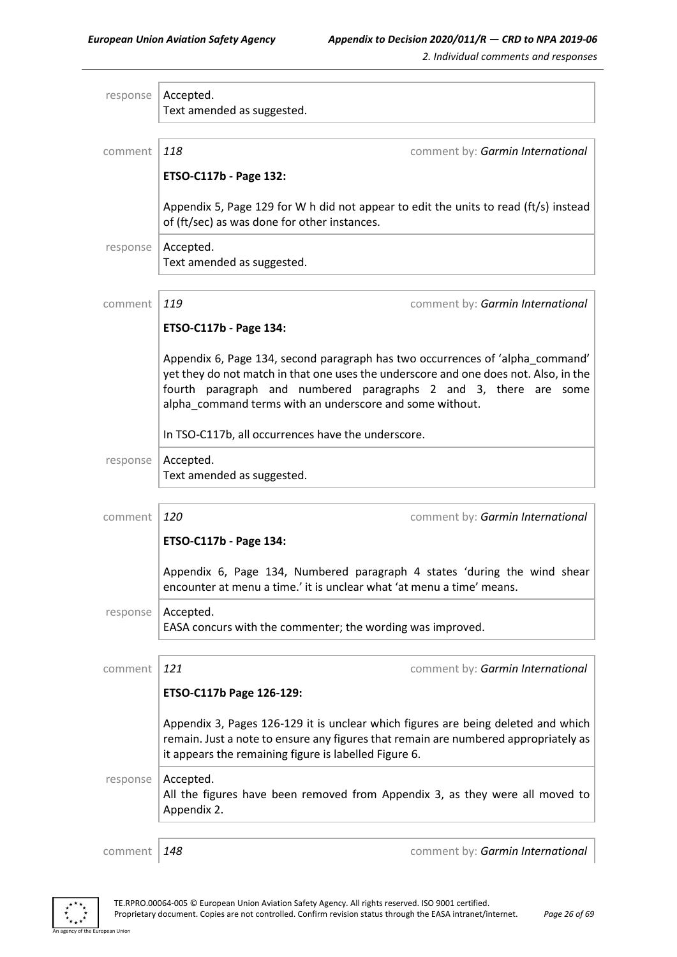| response | Accepted.                                                                                                                                                                                                                                                                                             |
|----------|-------------------------------------------------------------------------------------------------------------------------------------------------------------------------------------------------------------------------------------------------------------------------------------------------------|
|          | Text amended as suggested.                                                                                                                                                                                                                                                                            |
|          |                                                                                                                                                                                                                                                                                                       |
| comment  | 118<br>comment by: Garmin International                                                                                                                                                                                                                                                               |
|          | ETSO-C117b - Page 132:                                                                                                                                                                                                                                                                                |
|          |                                                                                                                                                                                                                                                                                                       |
|          | Appendix 5, Page 129 for W h did not appear to edit the units to read (ft/s) instead<br>of (ft/sec) as was done for other instances.                                                                                                                                                                  |
| response | Accepted.                                                                                                                                                                                                                                                                                             |
|          | Text amended as suggested.                                                                                                                                                                                                                                                                            |
|          |                                                                                                                                                                                                                                                                                                       |
| comment  | 119<br>comment by: Garmin International                                                                                                                                                                                                                                                               |
|          | ETSO-C117b - Page 134:                                                                                                                                                                                                                                                                                |
|          | Appendix 6, Page 134, second paragraph has two occurrences of 'alpha_command'<br>yet they do not match in that one uses the underscore and one does not. Also, in the<br>fourth paragraph and numbered paragraphs 2 and 3, there are some<br>alpha_command terms with an underscore and some without. |
|          | In TSO-C117b, all occurrences have the underscore.                                                                                                                                                                                                                                                    |
| response | Accepted.<br>Text amended as suggested.                                                                                                                                                                                                                                                               |
|          |                                                                                                                                                                                                                                                                                                       |
| comment  | 120<br>comment by: Garmin International                                                                                                                                                                                                                                                               |
|          | ETSO-C117b - Page 134:                                                                                                                                                                                                                                                                                |
|          | Appendix 6, Page 134, Numbered paragraph 4 states 'during the wind shear<br>encounter at menu a time.' it is unclear what 'at menu a time' means.                                                                                                                                                     |
| response | Accepted.                                                                                                                                                                                                                                                                                             |
|          | EASA concurs with the commenter; the wording was improved.                                                                                                                                                                                                                                            |
|          |                                                                                                                                                                                                                                                                                                       |
| comment  | 121<br>comment by: Garmin International                                                                                                                                                                                                                                                               |
|          | ETSO-C117b Page 126-129:                                                                                                                                                                                                                                                                              |
|          | Appendix 3, Pages 126-129 it is unclear which figures are being deleted and which<br>remain. Just a note to ensure any figures that remain are numbered appropriately as<br>it appears the remaining figure is labelled Figure 6.                                                                     |
| response | Accepted.<br>All the figures have been removed from Appendix 3, as they were all moved to<br>Appendix 2.                                                                                                                                                                                              |
|          |                                                                                                                                                                                                                                                                                                       |
| comment  | 148<br>comment by: Garmin International                                                                                                                                                                                                                                                               |

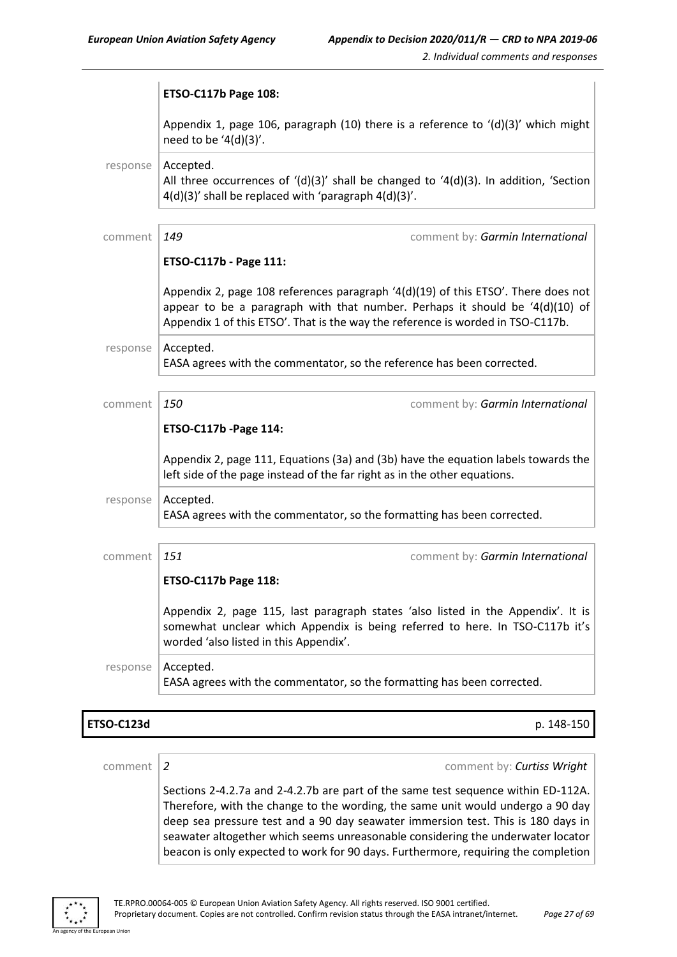|          | ETSO-C117b Page 108:                                                                                                                                                                                                                                      |
|----------|-----------------------------------------------------------------------------------------------------------------------------------------------------------------------------------------------------------------------------------------------------------|
|          | Appendix 1, page 106, paragraph (10) there is a reference to $'(d)(3)'$ which might<br>need to be '4(d)(3)'.                                                                                                                                              |
| response | Accepted.<br>All three occurrences of $'(d)(3)'$ shall be changed to $'(4(d)(3))$ . In addition, 'Section<br>4(d)(3)' shall be replaced with 'paragraph 4(d)(3)'.                                                                                         |
| comment  | 149<br>comment by: Garmin International                                                                                                                                                                                                                   |
|          | ETSO-C117b - Page 111:                                                                                                                                                                                                                                    |
|          | Appendix 2, page 108 references paragraph $(4(d)(19)$ of this ETSO'. There does not<br>appear to be a paragraph with that number. Perhaps it should be $(4(d)(10))$ of<br>Appendix 1 of this ETSO'. That is the way the reference is worded in TSO-C117b. |
| response | Accepted.<br>EASA agrees with the commentator, so the reference has been corrected.                                                                                                                                                                       |
|          |                                                                                                                                                                                                                                                           |
| comment  | 150<br>comment by: Garmin International                                                                                                                                                                                                                   |
|          | ETSO-C117b - Page 114:                                                                                                                                                                                                                                    |
|          | Appendix 2, page 111, Equations (3a) and (3b) have the equation labels towards the<br>left side of the page instead of the far right as in the other equations.                                                                                           |
| response | Accepted.<br>EASA agrees with the commentator, so the formatting has been corrected.                                                                                                                                                                      |
|          |                                                                                                                                                                                                                                                           |
| comment  | 151<br>comment by: Garmin International<br>ETSO-C117b Page 118:                                                                                                                                                                                           |
|          |                                                                                                                                                                                                                                                           |
|          | Appendix 2, page 115, last paragraph states 'also listed in the Appendix'. It is<br>somewhat unclear which Appendix is being referred to here. In TSO-C117b it's<br>worded 'also listed in this Appendix'.                                                |
| response | Accepted.<br>EASA agrees with the commentator, so the formatting has been corrected.                                                                                                                                                                      |
|          |                                                                                                                                                                                                                                                           |

#### **ETSO-C123d** p. 148-150

comment *2* comment by: *Curtiss Wright*

Sections 2-4.2.7a and 2-4.2.7b are part of the same test sequence within ED-112A. Therefore, with the change to the wording, the same unit would undergo a 90 day deep sea pressure test and a 90 day seawater immersion test. This is 180 days in seawater altogether which seems unreasonable considering the underwater locator beacon is only expected to work for 90 days. Furthermore, requiring the completion



an I Ini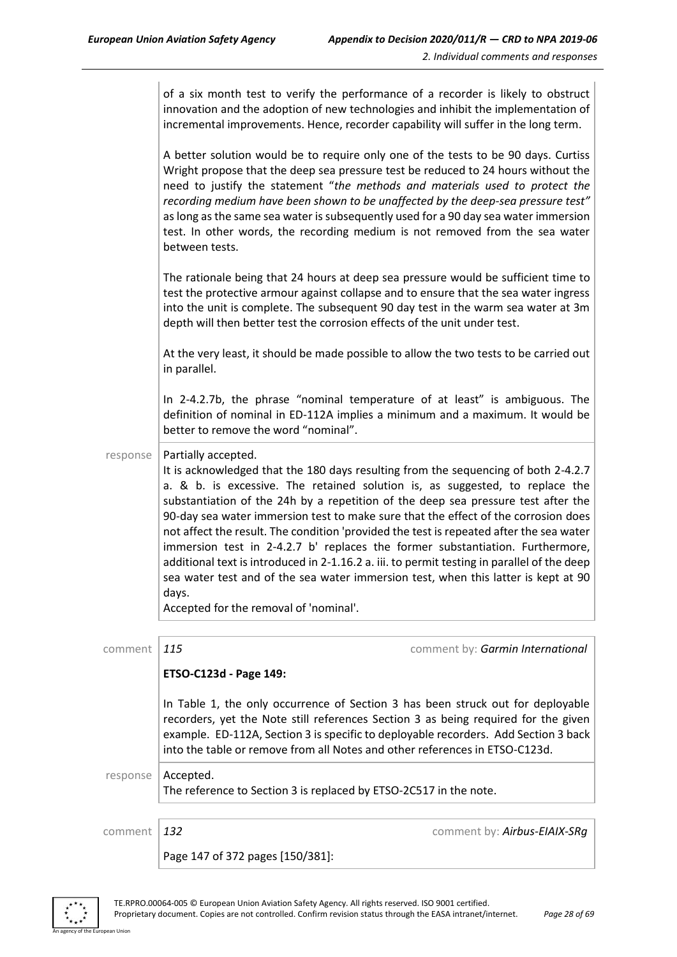|          | of a six month test to verify the performance of a recorder is likely to obstruct<br>innovation and the adoption of new technologies and inhibit the implementation of<br>incremental improvements. Hence, recorder capability will suffer in the long term.                                                                                                                                                                                                                                                                                                                                                                                                                                                                                                                             |
|----------|------------------------------------------------------------------------------------------------------------------------------------------------------------------------------------------------------------------------------------------------------------------------------------------------------------------------------------------------------------------------------------------------------------------------------------------------------------------------------------------------------------------------------------------------------------------------------------------------------------------------------------------------------------------------------------------------------------------------------------------------------------------------------------------|
|          | A better solution would be to require only one of the tests to be 90 days. Curtiss<br>Wright propose that the deep sea pressure test be reduced to 24 hours without the<br>need to justify the statement "the methods and materials used to protect the<br>recording medium have been shown to be unaffected by the deep-sea pressure test"<br>as long as the same sea water is subsequently used for a 90 day sea water immersion<br>test. In other words, the recording medium is not removed from the sea water<br>between tests.                                                                                                                                                                                                                                                     |
|          | The rationale being that 24 hours at deep sea pressure would be sufficient time to<br>test the protective armour against collapse and to ensure that the sea water ingress<br>into the unit is complete. The subsequent 90 day test in the warm sea water at 3m<br>depth will then better test the corrosion effects of the unit under test.                                                                                                                                                                                                                                                                                                                                                                                                                                             |
|          | At the very least, it should be made possible to allow the two tests to be carried out<br>in parallel.                                                                                                                                                                                                                                                                                                                                                                                                                                                                                                                                                                                                                                                                                   |
|          | In 2-4.2.7b, the phrase "nominal temperature of at least" is ambiguous. The<br>definition of nominal in ED-112A implies a minimum and a maximum. It would be<br>better to remove the word "nominal".                                                                                                                                                                                                                                                                                                                                                                                                                                                                                                                                                                                     |
| response | Partially accepted.<br>It is acknowledged that the 180 days resulting from the sequencing of both 2-4.2.7<br>a. & b. is excessive. The retained solution is, as suggested, to replace the<br>substantiation of the 24h by a repetition of the deep sea pressure test after the<br>90-day sea water immersion test to make sure that the effect of the corrosion does<br>not affect the result. The condition 'provided the test is repeated after the sea water<br>immersion test in 2-4.2.7 b' replaces the former substantiation. Furthermore,<br>additional text is introduced in 2-1.16.2 a. iii. to permit testing in parallel of the deep<br>sea water test and of the sea water immersion test, when this latter is kept at 90<br>days.<br>Accepted for the removal of 'nominal'. |
| comment  | 115<br>comment by: Garmin International                                                                                                                                                                                                                                                                                                                                                                                                                                                                                                                                                                                                                                                                                                                                                  |
|          | ETSO-C123d - Page 149:                                                                                                                                                                                                                                                                                                                                                                                                                                                                                                                                                                                                                                                                                                                                                                   |
|          | In Table 1, the only occurrence of Section 3 has been struck out for deployable<br>recorders, yet the Note still references Section 3 as being required for the given<br>example. ED-112A, Section 3 is specific to deployable recorders. Add Section 3 back<br>into the table or remove from all Notes and other references in ETSO-C123d.                                                                                                                                                                                                                                                                                                                                                                                                                                              |
| response | Accepted.<br>The reference to Section 3 is replaced by ETSO-2C517 in the note.                                                                                                                                                                                                                                                                                                                                                                                                                                                                                                                                                                                                                                                                                                           |
| comment  | 132<br>comment by: Airbus-EIAIX-SRg                                                                                                                                                                                                                                                                                                                                                                                                                                                                                                                                                                                                                                                                                                                                                      |
|          | Page 147 of 372 pages [150/381]:                                                                                                                                                                                                                                                                                                                                                                                                                                                                                                                                                                                                                                                                                                                                                         |

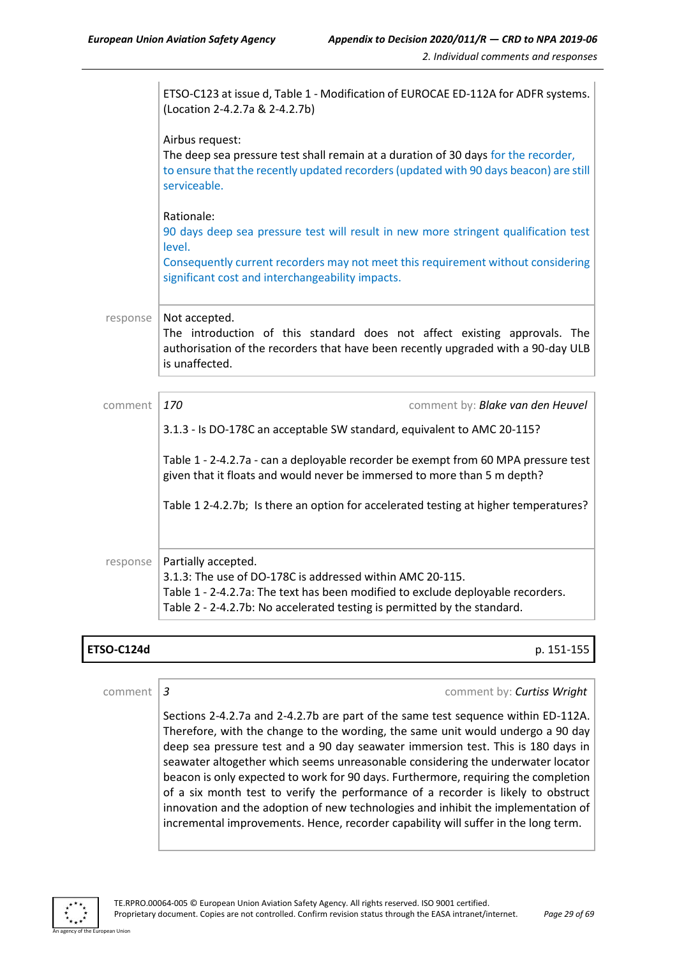|          | ETSO-C123 at issue d, Table 1 - Modification of EUROCAE ED-112A for ADFR systems.<br>(Location 2-4.2.7a & 2-4.2.7b)                                                                                                                                 |
|----------|-----------------------------------------------------------------------------------------------------------------------------------------------------------------------------------------------------------------------------------------------------|
|          | Airbus request:<br>The deep sea pressure test shall remain at a duration of 30 days for the recorder,<br>to ensure that the recently updated recorders (updated with 90 days beacon) are still<br>serviceable.                                      |
|          | Rationale:<br>90 days deep sea pressure test will result in new more stringent qualification test<br>level.<br>Consequently current recorders may not meet this requirement without considering<br>significant cost and interchangeability impacts. |
|          |                                                                                                                                                                                                                                                     |
| response | Not accepted.<br>The introduction of this standard does not affect existing approvals. The<br>authorisation of the recorders that have been recently upgraded with a 90-day ULB<br>is unaffected.                                                   |
|          |                                                                                                                                                                                                                                                     |
| comment  | 170<br>comment by: Blake van den Heuvel                                                                                                                                                                                                             |
|          | 3.1.3 - Is DO-178C an acceptable SW standard, equivalent to AMC 20-115?                                                                                                                                                                             |
|          | Table 1 - 2-4.2.7a - can a deployable recorder be exempt from 60 MPA pressure test<br>given that it floats and would never be immersed to more than 5 m depth?                                                                                      |
|          | Table 1 2-4.2.7b; Is there an option for accelerated testing at higher temperatures?                                                                                                                                                                |
| response | Partially accepted.<br>3.1.3: The use of DO-178C is addressed within AMC 20-115.<br>Table 1 - 2-4.2.7a: The text has been modified to exclude deployable recorders.<br>Table 2 - 2-4.2.7b: No accelerated testing is permitted by the standard.     |

#### **ETSO-C124d** p. 151-155

comment *3* comment by: *Curtiss Wright* Sections 2-4.2.7a and 2-4.2.7b are part of the same test sequence within ED-112A. Therefore, with the change to the wording, the same unit would undergo a 90 day deep sea pressure test and a 90 day seawater immersion test. This is 180 days in seawater altogether which seems unreasonable considering the underwater locator beacon is only expected to work for 90 days. Furthermore, requiring the completion of a six month test to verify the performance of a recorder is likely to obstruct innovation and the adoption of new technologies and inhibit the implementation of incremental improvements. Hence, recorder capability will suffer in the long term.

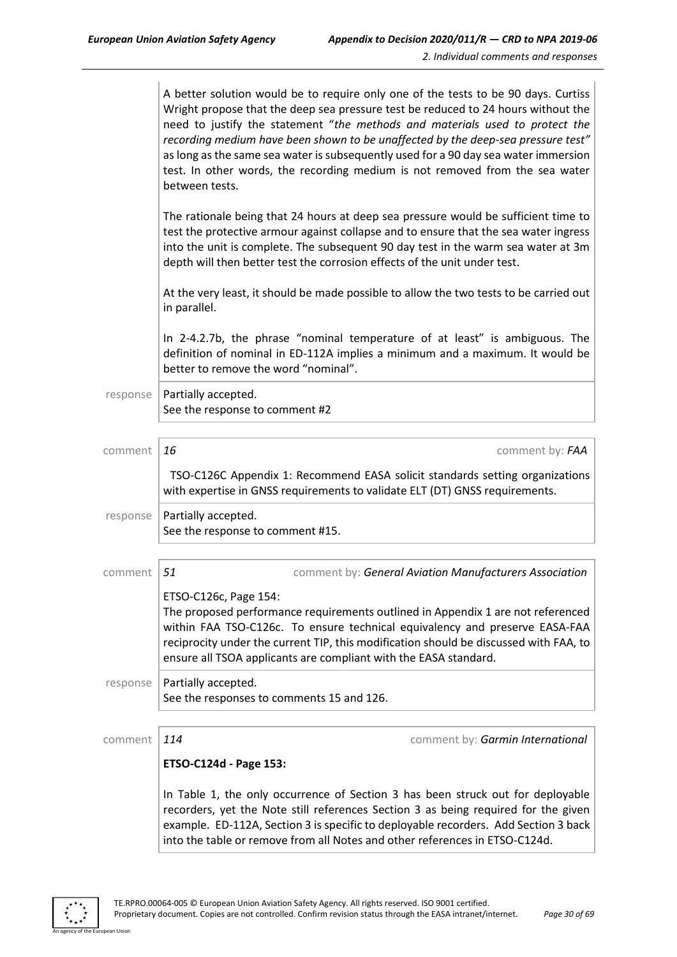| A better solution would be to require only one of the tests to be 90 days. Curtiss  |
|-------------------------------------------------------------------------------------|
| Wright propose that the deep sea pressure test be reduced to 24 hours without the   |
| need to justify the statement "the methods and materials used to protect the        |
| recording medium have been shown to be unaffected by the deep-sea pressure test"    |
| as long as the same sea water is subsequently used for a 90 day sea water immersion |
| test. In other words, the recording medium is not removed from the sea water        |
| between tests.                                                                      |

The rationale being that 24 hours at deep sea pressure would be sufficient time to test the protective armour against collapse and to ensure that the sea water ingress into the unit is complete. The subsequent 90 day test in the warm sea water at 3m depth will then better test the corrosion effects of the unit under test.

At the very least, it should be made possible to allow the two tests to be carried out in parallel.

In 2-4.2.7b, the phrase "nominal temperature of at least" is ambiguous. The definition of nominal in ED-112A implies a minimum and a maximum. It would be better to remove the word "nominal".

 $response$  Partially accepted. See the response to comment #2

| comment  | 16                                                               | comment by: FAA                                                                                                                                                                                                                                                                                                             |
|----------|------------------------------------------------------------------|-----------------------------------------------------------------------------------------------------------------------------------------------------------------------------------------------------------------------------------------------------------------------------------------------------------------------------|
|          |                                                                  | TSO-C126C Appendix 1: Recommend EASA solicit standards setting organizations<br>with expertise in GNSS requirements to validate ELT (DT) GNSS requirements.                                                                                                                                                                 |
| response | Partially accepted.<br>See the response to comment #15.          |                                                                                                                                                                                                                                                                                                                             |
|          |                                                                  |                                                                                                                                                                                                                                                                                                                             |
| comment  | .51                                                              | comment by: General Aviation Manufacturers Association                                                                                                                                                                                                                                                                      |
|          | ETSO-C126c, Page 154:                                            | The proposed performance requirements outlined in Appendix 1 are not referenced<br>within FAA TSO-C126c. To ensure technical equivalency and preserve EASA-FAA<br>reciprocity under the current TIP, this modification should be discussed with FAA, to<br>ensure all TSOA applicants are compliant with the EASA standard. |
| response | Partially accepted.<br>See the responses to comments 15 and 126. |                                                                                                                                                                                                                                                                                                                             |

comment *114* comment by: *Garmin International*

#### **ETSO-C124d - Page 153:**

In Table 1, the only occurrence of Section 3 has been struck out for deployable recorders, yet the Note still references Section 3 as being required for the given example. ED-112A, Section 3 is specific to deployable recorders. Add Section 3 back into the table or remove from all Notes and other references in ETSO-C124d.

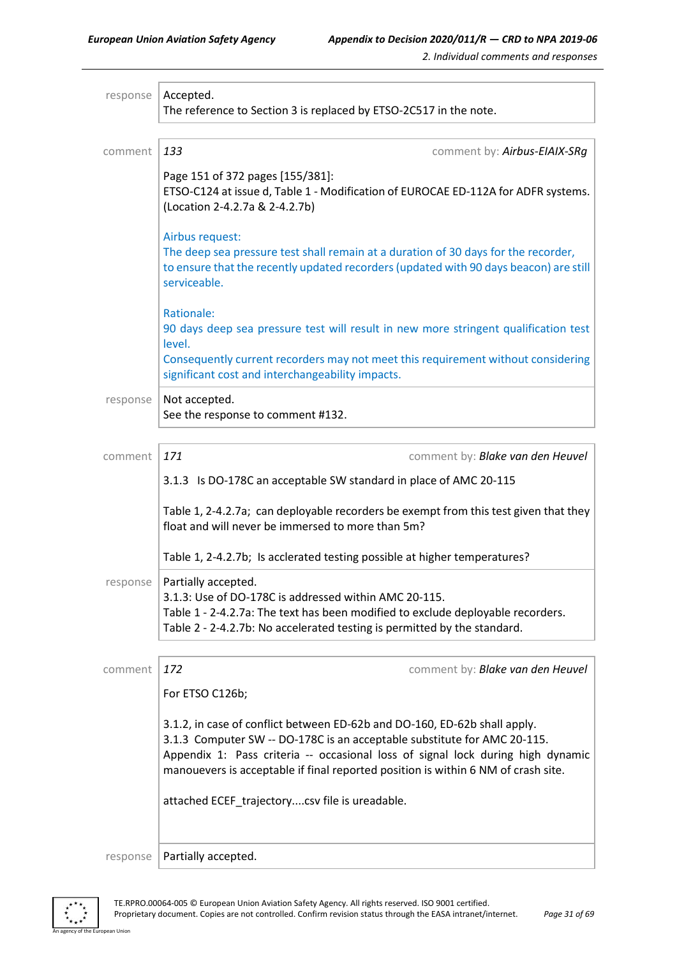| response                                                                                                                                  | Accepted.<br>The reference to Section 3 is replaced by ETSO-2C517 in the note.                                                                                                                                                                                                                                                |  |
|-------------------------------------------------------------------------------------------------------------------------------------------|-------------------------------------------------------------------------------------------------------------------------------------------------------------------------------------------------------------------------------------------------------------------------------------------------------------------------------|--|
| comment                                                                                                                                   | 133<br>comment by: Airbus-EIAIX-SRg                                                                                                                                                                                                                                                                                           |  |
|                                                                                                                                           |                                                                                                                                                                                                                                                                                                                               |  |
|                                                                                                                                           | Page 151 of 372 pages [155/381]:<br>ETSO-C124 at issue d, Table 1 - Modification of EUROCAE ED-112A for ADFR systems.<br>(Location 2-4.2.7a & 2-4.2.7b)                                                                                                                                                                       |  |
|                                                                                                                                           | Airbus request:<br>The deep sea pressure test shall remain at a duration of 30 days for the recorder,<br>to ensure that the recently updated recorders (updated with 90 days beacon) are still<br>serviceable.                                                                                                                |  |
|                                                                                                                                           | Rationale:<br>90 days deep sea pressure test will result in new more stringent qualification test<br>level.                                                                                                                                                                                                                   |  |
|                                                                                                                                           | Consequently current recorders may not meet this requirement without considering<br>significant cost and interchangeability impacts.                                                                                                                                                                                          |  |
| response                                                                                                                                  | Not accepted.<br>See the response to comment #132.                                                                                                                                                                                                                                                                            |  |
| comment                                                                                                                                   | 171<br>comment by: Blake van den Heuvel                                                                                                                                                                                                                                                                                       |  |
|                                                                                                                                           | 3.1.3 Is DO-178C an acceptable SW standard in place of AMC 20-115                                                                                                                                                                                                                                                             |  |
| Table 1, 2-4.2.7a; can deployable recorders be exempt from this test given that they<br>float and will never be immersed to more than 5m? |                                                                                                                                                                                                                                                                                                                               |  |
|                                                                                                                                           | Table 1, 2-4.2.7b; Is acclerated testing possible at higher temperatures?                                                                                                                                                                                                                                                     |  |
| response                                                                                                                                  | Partially accepted.<br>3.1.3: Use of DO-178C is addressed within AMC 20-115.<br>Table 1 - 2-4.2.7a: The text has been modified to exclude deployable recorders.<br>Table 2 - 2-4.2.7b: No accelerated testing is permitted by the standard.                                                                                   |  |
| comment                                                                                                                                   | 172<br>comment by: Blake van den Heuvel                                                                                                                                                                                                                                                                                       |  |
|                                                                                                                                           | For ETSO C126b;                                                                                                                                                                                                                                                                                                               |  |
|                                                                                                                                           | 3.1.2, in case of conflict between ED-62b and DO-160, ED-62b shall apply.<br>3.1.3 Computer SW -- DO-178C is an acceptable substitute for AMC 20-115.<br>Appendix 1: Pass criteria -- occasional loss of signal lock during high dynamic<br>manouevers is acceptable if final reported position is within 6 NM of crash site. |  |
|                                                                                                                                           | attached ECEF_trajectorycsv file is ureadable.                                                                                                                                                                                                                                                                                |  |
| response                                                                                                                                  | Partially accepted.                                                                                                                                                                                                                                                                                                           |  |

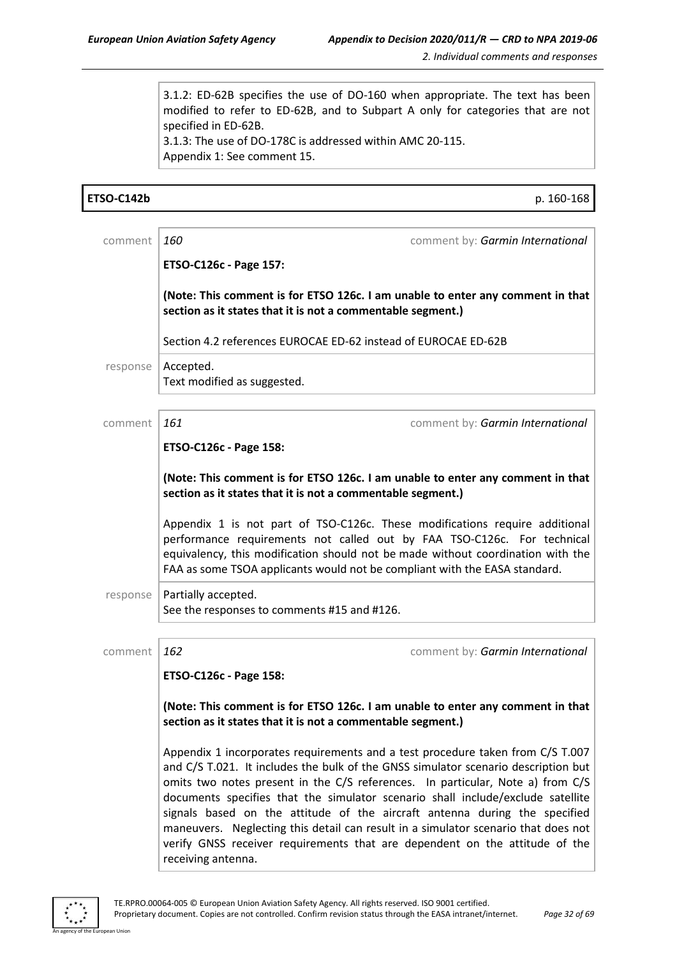3.1.2: ED-62B specifies the use of DO-160 when appropriate. The text has been modified to refer to ED-62B, and to Subpart A only for categories that are not specified in ED-62B. 3.1.3: The use of DO-178C is addressed within AMC 20-115. Appendix 1: See comment 15.

| <b>ETSO-C142b</b> | p. 160-168                                                                                                                                                                                                                                                                                                                                                                                                                                                                                                                                                                                                         |
|-------------------|--------------------------------------------------------------------------------------------------------------------------------------------------------------------------------------------------------------------------------------------------------------------------------------------------------------------------------------------------------------------------------------------------------------------------------------------------------------------------------------------------------------------------------------------------------------------------------------------------------------------|
| comment           | $\vert$ 160<br>comment by: Garmin International                                                                                                                                                                                                                                                                                                                                                                                                                                                                                                                                                                    |
|                   | ETSO-C126c - Page 157:                                                                                                                                                                                                                                                                                                                                                                                                                                                                                                                                                                                             |
|                   | (Note: This comment is for ETSO 126c. I am unable to enter any comment in that<br>section as it states that it is not a commentable segment.)                                                                                                                                                                                                                                                                                                                                                                                                                                                                      |
|                   | Section 4.2 references EUROCAE ED-62 instead of EUROCAE ED-62B                                                                                                                                                                                                                                                                                                                                                                                                                                                                                                                                                     |
| response          | Accepted.<br>Text modified as suggested.                                                                                                                                                                                                                                                                                                                                                                                                                                                                                                                                                                           |
| comment           | 161<br>comment by: Garmin International                                                                                                                                                                                                                                                                                                                                                                                                                                                                                                                                                                            |
|                   | ETSO-C126c - Page 158:                                                                                                                                                                                                                                                                                                                                                                                                                                                                                                                                                                                             |
|                   | (Note: This comment is for ETSO 126c. I am unable to enter any comment in that<br>section as it states that it is not a commentable segment.)                                                                                                                                                                                                                                                                                                                                                                                                                                                                      |
|                   | Appendix 1 is not part of TSO-C126c. These modifications require additional<br>performance requirements not called out by FAA TSO-C126c. For technical<br>equivalency, this modification should not be made without coordination with the<br>FAA as some TSOA applicants would not be compliant with the EASA standard.                                                                                                                                                                                                                                                                                            |
| response          | Partially accepted.<br>See the responses to comments #15 and #126.                                                                                                                                                                                                                                                                                                                                                                                                                                                                                                                                                 |
| comment           | 162<br>comment by: Garmin International                                                                                                                                                                                                                                                                                                                                                                                                                                                                                                                                                                            |
|                   | ETSO-C126c - Page 158:                                                                                                                                                                                                                                                                                                                                                                                                                                                                                                                                                                                             |
|                   | (Note: This comment is for ETSO 126c. I am unable to enter any comment in that<br>section as it states that it is not a commentable segment.)                                                                                                                                                                                                                                                                                                                                                                                                                                                                      |
|                   | Appendix 1 incorporates requirements and a test procedure taken from C/S T.007<br>and C/S T.021. It includes the bulk of the GNSS simulator scenario description but<br>omits two notes present in the C/S references. In particular, Note a) from C/S<br>documents specifies that the simulator scenario shall include/exclude satellite<br>signals based on the attitude of the aircraft antenna during the specified<br>maneuvers. Neglecting this detail can result in a simulator scenario that does not<br>verify GNSS receiver requirements that are dependent on the attitude of the<br>receiving antenna. |



an Union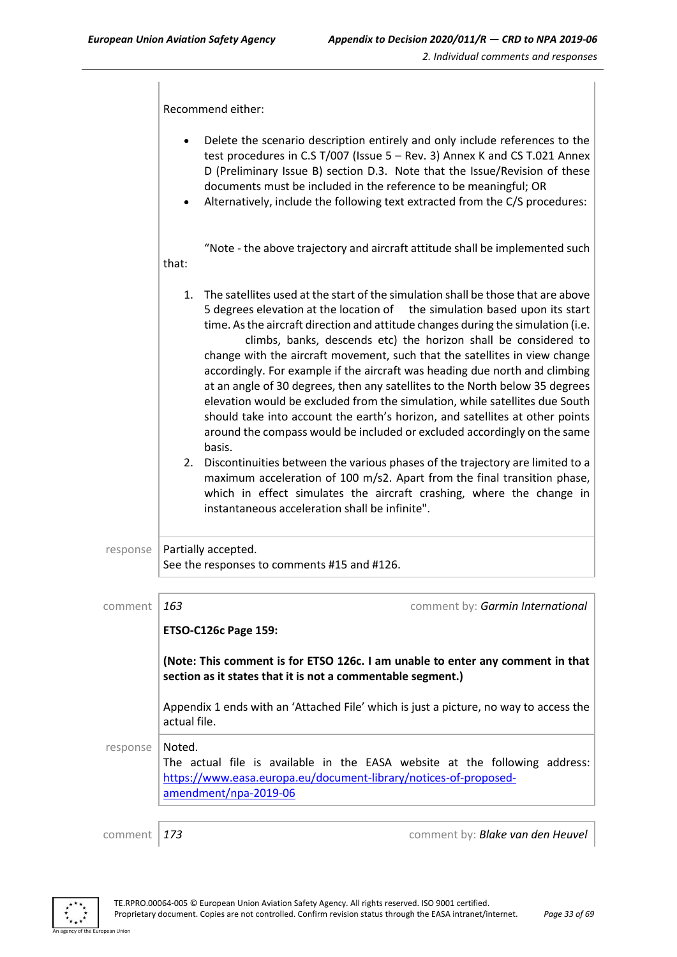Recommend either: • Delete the scenario description entirely and only include references to the test procedures in C.S T/007 (Issue 5 – Rev. 3) Annex K and CS T.021 Annex D (Preliminary Issue B) section D.3. Note that the Issue/Revision of these documents must be included in the reference to be meaningful; OR • Alternatively, include the following text extracted from the C/S procedures: "Note - the above trajectory and aircraft attitude shall be implemented such that: 1. The satellites used at the start of the simulation shall be those that are above 5 degrees elevation at the location of the simulation based upon its start time. As the aircraft direction and attitude changes during the simulation (i.e. climbs, banks, descends etc) the horizon shall be considered to change with the aircraft movement, such that the satellites in view change accordingly. For example if the aircraft was heading due north and climbing at an angle of 30 degrees, then any satellites to the North below 35 degrees elevation would be excluded from the simulation, while satellites due South should take into account the earth's horizon, and satellites at other points around the compass would be included or excluded accordingly on the same basis. 2. Discontinuities between the various phases of the trajectory are limited to a maximum acceleration of 100 m/s2. Apart from the final transition phase, which in effect simulates the aircraft crashing, where the change in instantaneous acceleration shall be infinite".  $response$  Partially accepted. See the responses to comments #15 and #126. comment *163* comment by: *Garmin International* **ETSO-C126c Page 159: (Note: This comment is for ETSO 126c. I am unable to enter any comment in that section as it states that it is not a commentable segment.)** Appendix 1 ends with an 'Attached File' which is just a picture, no way to access the actual file. response | Noted. The actual file is available in the EASA website at the following address: [https://www.easa.europa.eu/document-library/notices-of-proposed](https://www.easa.europa.eu/document-library/notices-of-proposed-amendment/npa-2019-06)[amendment/npa-2019-06](https://www.easa.europa.eu/document-library/notices-of-proposed-amendment/npa-2019-06) comment *173* comment by: *Blake van den Heuvel*

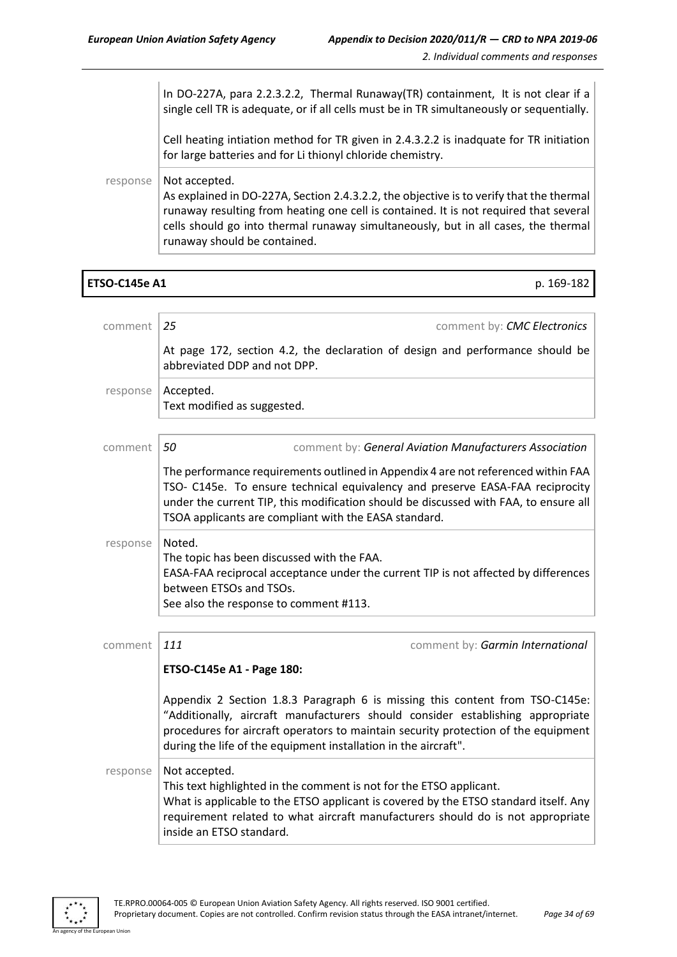|          | In DO-227A, para 2.2.3.2.2, Thermal Runaway(TR) containment, It is not clear if a<br>single cell TR is adequate, or if all cells must be in TR simultaneously or sequentially.                                                                                                                                          |
|----------|-------------------------------------------------------------------------------------------------------------------------------------------------------------------------------------------------------------------------------------------------------------------------------------------------------------------------|
|          | Cell heating intiation method for TR given in 2.4.3.2.2 is inadquate for TR initiation<br>for large batteries and for Li thionyl chloride chemistry.                                                                                                                                                                    |
| response | Not accepted.<br>As explained in DO-227A, Section 2.4.3.2.2, the objective is to verify that the thermal<br>runaway resulting from heating one cell is contained. It is not required that several<br>cells should go into thermal runaway simultaneously, but in all cases, the thermal<br>runaway should be contained. |

### **ETSO-C145e A1** p. 169-182

| comment  | 25<br>comment by: CMC Electronics                                                                                                                                                                                                                                                                                       |
|----------|-------------------------------------------------------------------------------------------------------------------------------------------------------------------------------------------------------------------------------------------------------------------------------------------------------------------------|
|          | At page 172, section 4.2, the declaration of design and performance should be<br>abbreviated DDP and not DPP.                                                                                                                                                                                                           |
| response | Accepted.<br>Text modified as suggested.                                                                                                                                                                                                                                                                                |
|          |                                                                                                                                                                                                                                                                                                                         |
| comment  | 50<br>comment by: General Aviation Manufacturers Association                                                                                                                                                                                                                                                            |
|          | The performance requirements outlined in Appendix 4 are not referenced within FAA<br>TSO- C145e. To ensure technical equivalency and preserve EASA-FAA reciprocity<br>under the current TIP, this modification should be discussed with FAA, to ensure all<br>TSOA applicants are compliant with the EASA standard.     |
| response | Noted.<br>The topic has been discussed with the FAA.<br>EASA-FAA reciprocal acceptance under the current TIP is not affected by differences<br>between ETSOs and TSOs.<br>See also the response to comment #113.                                                                                                        |
|          |                                                                                                                                                                                                                                                                                                                         |
| comment  | 111<br>comment by: Garmin International                                                                                                                                                                                                                                                                                 |
|          | ETSO-C145e A1 - Page 180:                                                                                                                                                                                                                                                                                               |
|          | Appendix 2 Section 1.8.3 Paragraph 6 is missing this content from TSO-C145e:<br>"Additionally, aircraft manufacturers should consider establishing appropriate<br>procedures for aircraft operators to maintain security protection of the equipment<br>during the life of the equipment installation in the aircraft". |
| response | Not accepted.<br>This text highlighted in the comment is not for the ETSO applicant.<br>What is applicable to the ETSO applicant is covered by the ETSO standard itself. Any<br>requirement related to what aircraft manufacturers should do is not appropriate<br>inside an ETSO standard.                             |



an Union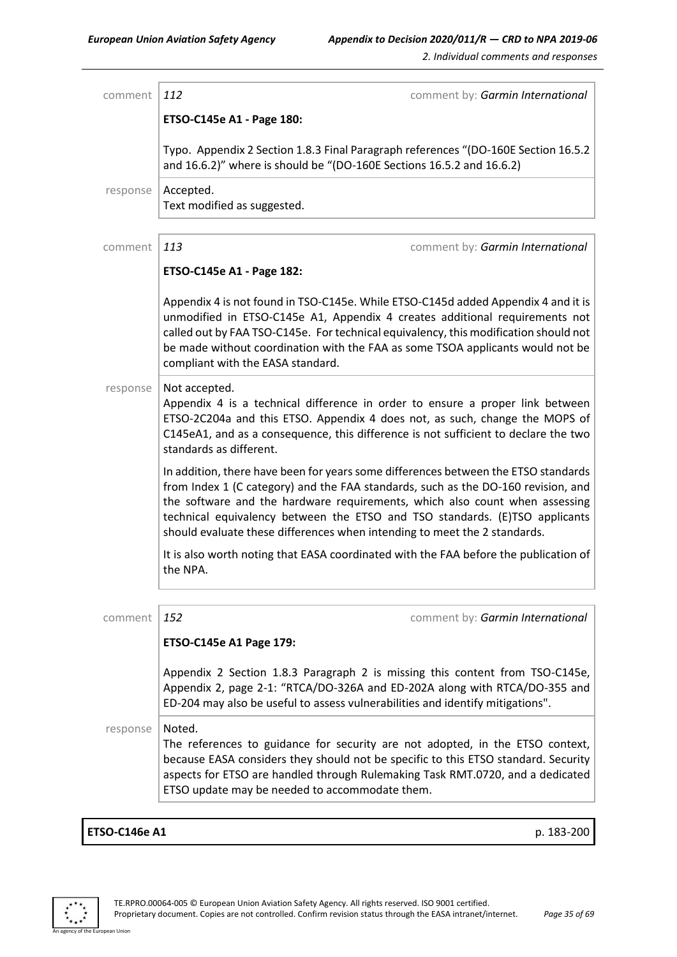| comment  | 112                                                      | comment by: Garmin International                                                                                                                                                                                                                                                                                                                                                                                   |
|----------|----------------------------------------------------------|--------------------------------------------------------------------------------------------------------------------------------------------------------------------------------------------------------------------------------------------------------------------------------------------------------------------------------------------------------------------------------------------------------------------|
|          | ETSO-C145e A1 - Page 180:                                |                                                                                                                                                                                                                                                                                                                                                                                                                    |
|          |                                                          | Typo. Appendix 2 Section 1.8.3 Final Paragraph references "(DO-160E Section 16.5.2<br>and 16.6.2)" where is should be "(DO-160E Sections 16.5.2 and 16.6.2)                                                                                                                                                                                                                                                        |
| response | Accepted.<br>Text modified as suggested.                 |                                                                                                                                                                                                                                                                                                                                                                                                                    |
| comment  | 113                                                      | comment by: Garmin International                                                                                                                                                                                                                                                                                                                                                                                   |
|          | ETSO-C145e A1 - Page 182:                                |                                                                                                                                                                                                                                                                                                                                                                                                                    |
|          | compliant with the EASA standard.                        | Appendix 4 is not found in TSO-C145e. While ETSO-C145d added Appendix 4 and it is<br>unmodified in ETSO-C145e A1, Appendix 4 creates additional requirements not<br>called out by FAA TSO-C145e. For technical equivalency, this modification should not<br>be made without coordination with the FAA as some TSOA applicants would not be                                                                         |
| response | Not accepted.<br>standards as different.                 | Appendix 4 is a technical difference in order to ensure a proper link between<br>ETSO-2C204a and this ETSO. Appendix 4 does not, as such, change the MOPS of<br>C145eA1, and as a consequence, this difference is not sufficient to declare the two                                                                                                                                                                |
|          |                                                          | In addition, there have been for years some differences between the ETSO standards<br>from Index 1 (C category) and the FAA standards, such as the DO-160 revision, and<br>the software and the hardware requirements, which also count when assessing<br>technical equivalency between the ETSO and TSO standards. (E)TSO applicants<br>should evaluate these differences when intending to meet the 2 standards. |
|          | the NPA.                                                 | It is also worth noting that EASA coordinated with the FAA before the publication of                                                                                                                                                                                                                                                                                                                               |
| comment  | 152                                                      | comment by: Garmin International                                                                                                                                                                                                                                                                                                                                                                                   |
|          | ETSO-C145e A1 Page 179:                                  |                                                                                                                                                                                                                                                                                                                                                                                                                    |
|          |                                                          | Appendix 2 Section 1.8.3 Paragraph 2 is missing this content from TSO-C145e,<br>Appendix 2, page 2-1: "RTCA/DO-326A and ED-202A along with RTCA/DO-355 and<br>ED-204 may also be useful to assess vulnerabilities and identify mitigations".                                                                                                                                                                       |
| response | Noted.<br>ETSO update may be needed to accommodate them. | The references to guidance for security are not adopted, in the ETSO context,<br>because EASA considers they should not be specific to this ETSO standard. Security<br>aspects for ETSO are handled through Rulemaking Task RMT.0720, and a dedicated                                                                                                                                                              |
|          |                                                          |                                                                                                                                                                                                                                                                                                                                                                                                                    |

### **ETSO-C146e A1** p. 183-200

an Unior

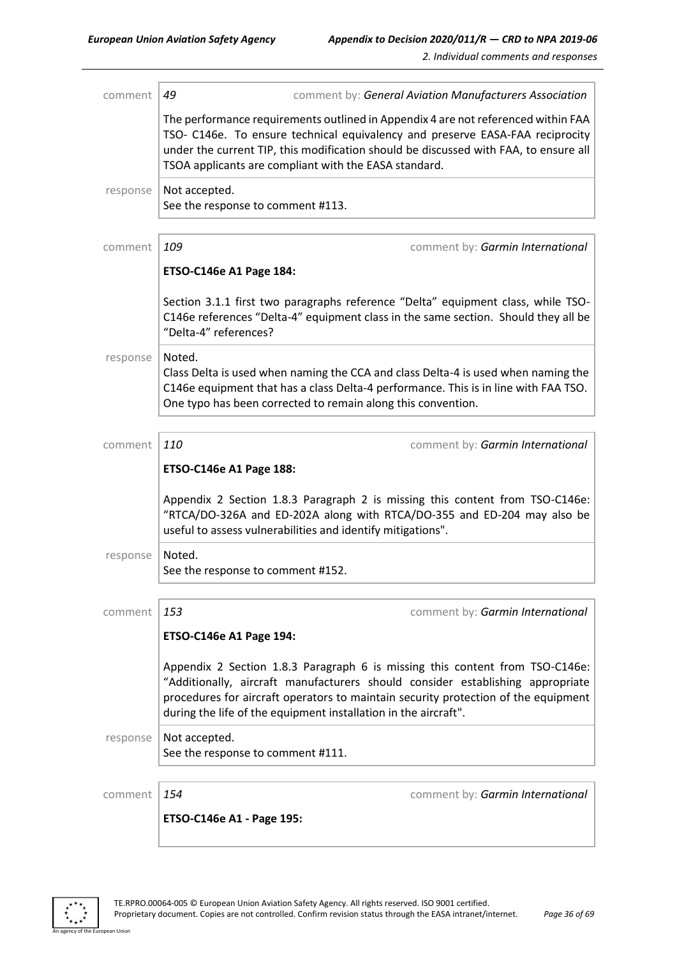| comment  | 49<br>comment by: General Aviation Manufacturers Association                                                                                                                                                                                                                                                            |                                  |
|----------|-------------------------------------------------------------------------------------------------------------------------------------------------------------------------------------------------------------------------------------------------------------------------------------------------------------------------|----------------------------------|
|          | The performance requirements outlined in Appendix 4 are not referenced within FAA<br>TSO- C146e. To ensure technical equivalency and preserve EASA-FAA reciprocity<br>under the current TIP, this modification should be discussed with FAA, to ensure all<br>TSOA applicants are compliant with the EASA standard.     |                                  |
| response | Not accepted.<br>See the response to comment #113.                                                                                                                                                                                                                                                                      |                                  |
| comment  | 109                                                                                                                                                                                                                                                                                                                     | comment by: Garmin International |
|          | <b>ETSO-C146e A1 Page 184:</b>                                                                                                                                                                                                                                                                                          |                                  |
|          | Section 3.1.1 first two paragraphs reference "Delta" equipment class, while TSO-<br>C146e references "Delta-4" equipment class in the same section. Should they all be<br>"Delta-4" references?                                                                                                                         |                                  |
| response | Noted.<br>Class Delta is used when naming the CCA and class Delta-4 is used when naming the<br>C146e equipment that has a class Delta-4 performance. This is in line with FAA TSO.<br>One typo has been corrected to remain along this convention.                                                                      |                                  |
| comment  | 110                                                                                                                                                                                                                                                                                                                     | comment by: Garmin International |
|          | ETSO-C146e A1 Page 188:                                                                                                                                                                                                                                                                                                 |                                  |
|          | Appendix 2 Section 1.8.3 Paragraph 2 is missing this content from TSO-C146e:<br>"RTCA/DO-326A and ED-202A along with RTCA/DO-355 and ED-204 may also be<br>useful to assess vulnerabilities and identify mitigations".                                                                                                  |                                  |
| response | Noted.<br>See the response to comment #152.                                                                                                                                                                                                                                                                             |                                  |
| comment  | 153                                                                                                                                                                                                                                                                                                                     | comment by: Garmin International |
|          | <b>ETSO-C146e A1 Page 194:</b>                                                                                                                                                                                                                                                                                          |                                  |
|          | Appendix 2 Section 1.8.3 Paragraph 6 is missing this content from TSO-C146e:<br>"Additionally, aircraft manufacturers should consider establishing appropriate<br>procedures for aircraft operators to maintain security protection of the equipment<br>during the life of the equipment installation in the aircraft". |                                  |
| response | Not accepted.<br>See the response to comment #111.                                                                                                                                                                                                                                                                      |                                  |
|          |                                                                                                                                                                                                                                                                                                                         |                                  |
| comment  | 154                                                                                                                                                                                                                                                                                                                     | comment by: Garmin International |
|          | ETSO-C146e A1 - Page 195:                                                                                                                                                                                                                                                                                               |                                  |



an Unior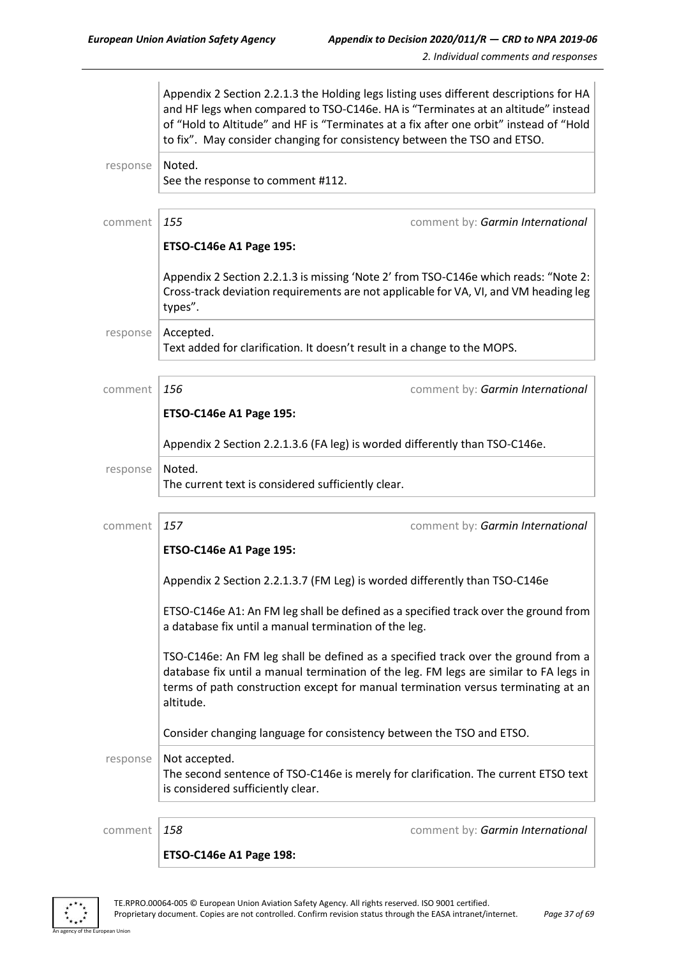|          | Appendix 2 Section 2.2.1.3 the Holding legs listing uses different descriptions for HA<br>and HF legs when compared to TSO-C146e. HA is "Terminates at an altitude" instead<br>of "Hold to Altitude" and HF is "Terminates at a fix after one orbit" instead of "Hold<br>to fix". May consider changing for consistency between the TSO and ETSO. |                                                                                                                                                                                                                                                                 |  |
|----------|---------------------------------------------------------------------------------------------------------------------------------------------------------------------------------------------------------------------------------------------------------------------------------------------------------------------------------------------------|-----------------------------------------------------------------------------------------------------------------------------------------------------------------------------------------------------------------------------------------------------------------|--|
| response | Noted.<br>See the response to comment #112.                                                                                                                                                                                                                                                                                                       |                                                                                                                                                                                                                                                                 |  |
| comment  | 155<br><b>ETSO-C146e A1 Page 195:</b>                                                                                                                                                                                                                                                                                                             | comment by: Garmin International                                                                                                                                                                                                                                |  |
|          | types".                                                                                                                                                                                                                                                                                                                                           | Appendix 2 Section 2.2.1.3 is missing 'Note 2' from TSO-C146e which reads: "Note 2:<br>Cross-track deviation requirements are not applicable for VA, VI, and VM heading leg                                                                                     |  |
| response | Accepted.                                                                                                                                                                                                                                                                                                                                         | Text added for clarification. It doesn't result in a change to the MOPS.                                                                                                                                                                                        |  |
| comment  | 156<br><b>ETSO-C146e A1 Page 195:</b>                                                                                                                                                                                                                                                                                                             | comment by: Garmin International                                                                                                                                                                                                                                |  |
|          | Appendix 2 Section 2.2.1.3.6 (FA leg) is worded differently than TSO-C146e.                                                                                                                                                                                                                                                                       |                                                                                                                                                                                                                                                                 |  |
| response | Noted.<br>The current text is considered sufficiently clear.                                                                                                                                                                                                                                                                                      |                                                                                                                                                                                                                                                                 |  |
| comment  | 157<br>ETSO-C146e A1 Page 195:                                                                                                                                                                                                                                                                                                                    | comment by: Garmin International                                                                                                                                                                                                                                |  |
|          |                                                                                                                                                                                                                                                                                                                                                   | Appendix 2 Section 2.2.1.3.7 (FM Leg) is worded differently than TSO-C146e                                                                                                                                                                                      |  |
|          | ETSO-C146e A1: An FM leg shall be defined as a specified track over the ground from<br>a database fix until a manual termination of the leg.                                                                                                                                                                                                      |                                                                                                                                                                                                                                                                 |  |
|          | altitude.                                                                                                                                                                                                                                                                                                                                         | TSO-C146e: An FM leg shall be defined as a specified track over the ground from a<br>database fix until a manual termination of the leg. FM legs are similar to FA legs in<br>terms of path construction except for manual termination versus terminating at an |  |
|          |                                                                                                                                                                                                                                                                                                                                                   | Consider changing language for consistency between the TSO and ETSO.                                                                                                                                                                                            |  |
| response | Not accepted.<br>is considered sufficiently clear.                                                                                                                                                                                                                                                                                                | The second sentence of TSO-C146e is merely for clarification. The current ETSO text                                                                                                                                                                             |  |
| comment  | 158                                                                                                                                                                                                                                                                                                                                               | comment by: Garmin International                                                                                                                                                                                                                                |  |
|          | ETSO-C146e A1 Page 198:                                                                                                                                                                                                                                                                                                                           |                                                                                                                                                                                                                                                                 |  |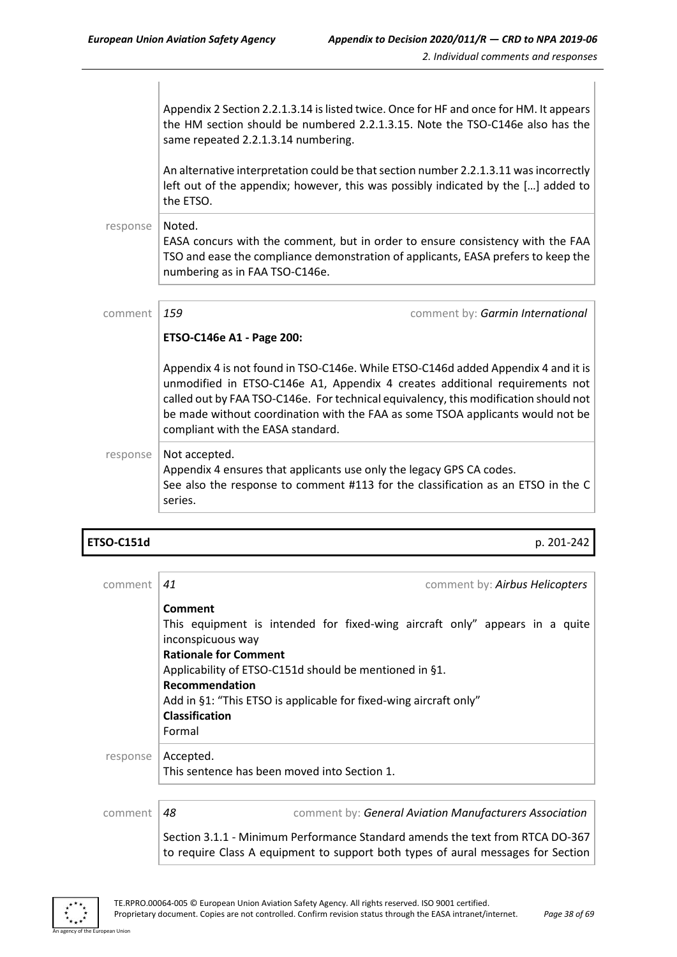Appendix 2 Section 2.2.1.3.14 is listed twice. Once for HF and once for HM. It appears the HM section should be numbered 2.2.1.3.15. Note the TSO-C146e also has the same repeated 2.2.1.3.14 numbering.

An alternative interpretation could be that section number 2.2.1.3.11 was incorrectly left out of the appendix; however, this was possibly indicated by the […] added to the ETSO.

#### response | Noted. EASA concurs with the comment, but in order to ensure consistency with the FAA TSO and ease the compliance demonstration of applicants, EASA prefers to keep the numbering as in FAA TSO-C146e.

| comment  | 159                                                                                                                                                                                                                                                                                                                                                                             | comment by: Garmin International |
|----------|---------------------------------------------------------------------------------------------------------------------------------------------------------------------------------------------------------------------------------------------------------------------------------------------------------------------------------------------------------------------------------|----------------------------------|
|          | ETSO-C146e A1 - Page 200:                                                                                                                                                                                                                                                                                                                                                       |                                  |
|          | Appendix 4 is not found in TSO-C146e. While ETSO-C146d added Appendix 4 and it is<br>unmodified in ETSO-C146e A1, Appendix 4 creates additional requirements not<br>called out by FAA TSO-C146e. For technical equivalency, this modification should not<br>be made without coordination with the FAA as some TSOA applicants would not be<br>compliant with the EASA standard. |                                  |
| response | Not accepted.<br>Appendix 4 ensures that applicants use only the legacy GPS CA codes.<br>See also the response to comment #113 for the classification as an ETSO in the C<br>series.                                                                                                                                                                                            |                                  |

| ETSO-C151d |  | p. 201-242 |
|------------|--|------------|
|            |  |            |

| comment  | comment by: Airbus Helicopters<br>41                                                                                                                                                                                                                                                                                            |
|----------|---------------------------------------------------------------------------------------------------------------------------------------------------------------------------------------------------------------------------------------------------------------------------------------------------------------------------------|
|          | Comment<br>This equipment is intended for fixed-wing aircraft only" appears in a quite<br>inconspicuous way<br><b>Rationale for Comment</b><br>Applicability of ETSO-C151d should be mentioned in §1.<br>Recommendation<br>Add in §1: "This ETSO is applicable for fixed-wing aircraft only"<br><b>Classification</b><br>Formal |
| response | Accepted.<br>This sentence has been moved into Section 1.                                                                                                                                                                                                                                                                       |
| comment  | 48<br>comment by: General Aviation Manufacturers Association                                                                                                                                                                                                                                                                    |
|          | Section 3.1.1 - Minimum Performance Standard amends the text from RTCA DO-367<br>to require Class A equipment to support both types of aural messages for Section                                                                                                                                                               |

An agency of the European Union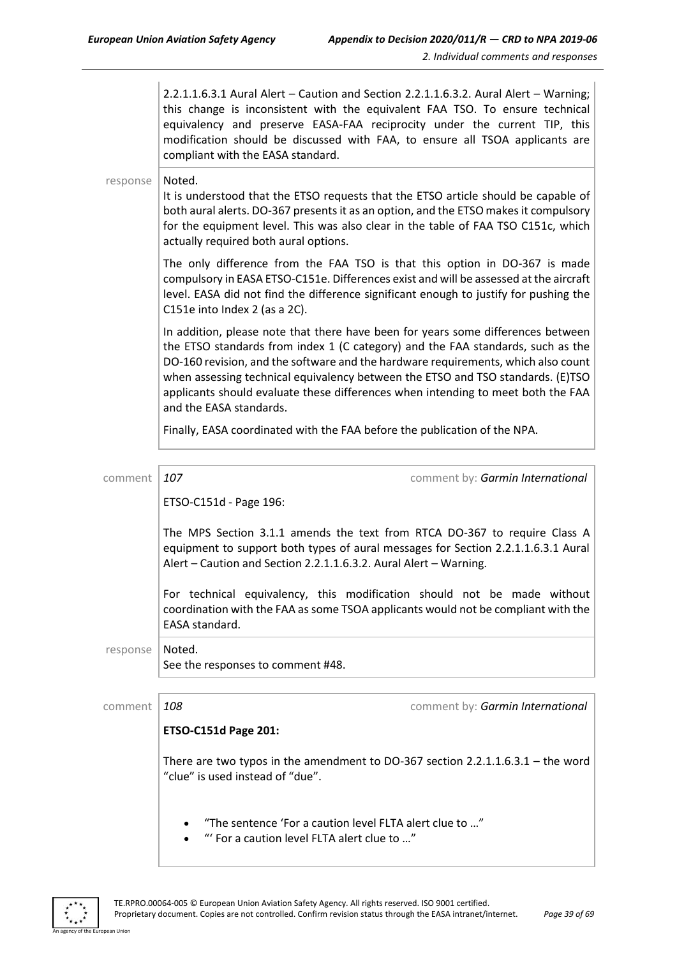2.2.1.1.6.3.1 Aural Alert – Caution and Section 2.2.1.1.6.3.2. Aural Alert – Warning; this change is inconsistent with the equivalent FAA TSO. To ensure technical equivalency and preserve EASA-FAA reciprocity under the current TIP, this modification should be discussed with FAA, to ensure all TSOA applicants are compliant with the EASA standard.

#### response | Noted.

It is understood that the ETSO requests that the ETSO article should be capable of both aural alerts. DO-367 presents it as an option, and the ETSO makes it compulsory for the equipment level. This was also clear in the table of FAA TSO C151c, which actually required both aural options.

The only difference from the FAA TSO is that this option in DO-367 is made compulsory in EASA ETSO-C151e. Differences exist and will be assessed at the aircraft level. EASA did not find the difference significant enough to justify for pushing the C151e into Index 2 (as a 2C).

In addition, please note that there have been for years some differences between the ETSO standards from index 1 (C category) and the FAA standards, such as the DO-160 revision, and the software and the hardware requirements, which also count when assessing technical equivalency between the ETSO and TSO standards. (E)TSO applicants should evaluate these differences when intending to meet both the FAA and the EASA standards.

Finally, EASA coordinated with the FAA before the publication of the NPA.

| comment  | 107                                                                                                                                                                                                                                 | comment by: Garmin International                                                                                                                             |  |
|----------|-------------------------------------------------------------------------------------------------------------------------------------------------------------------------------------------------------------------------------------|--------------------------------------------------------------------------------------------------------------------------------------------------------------|--|
|          | ETSO-C151d - Page 196:                                                                                                                                                                                                              |                                                                                                                                                              |  |
|          | The MPS Section 3.1.1 amends the text from RTCA DO-367 to require Class A<br>equipment to support both types of aural messages for Section 2.2.1.1.6.3.1 Aural<br>Alert - Caution and Section 2.2.1.1.6.3.2. Aural Alert - Warning. |                                                                                                                                                              |  |
|          | EASA standard.                                                                                                                                                                                                                      | For technical equivalency, this modification should not be made without<br>coordination with the FAA as some TSOA applicants would not be compliant with the |  |
| response | Noted.<br>See the responses to comment #48.                                                                                                                                                                                         |                                                                                                                                                              |  |
|          |                                                                                                                                                                                                                                     |                                                                                                                                                              |  |
| comment  | 108                                                                                                                                                                                                                                 | comment by: Garmin International                                                                                                                             |  |
|          | <b>ETSO-C151d Page 201:</b>                                                                                                                                                                                                         |                                                                                                                                                              |  |
|          | "clue" is used instead of "due".                                                                                                                                                                                                    | There are two typos in the amendment to DO-367 section 2.2.1.1.6.3.1 – the word                                                                              |  |
|          | "The sentence 'For a caution level FLTA alert clue to "                                                                                                                                                                             |                                                                                                                                                              |  |

• "' For a caution level FLTA alert clue to …"

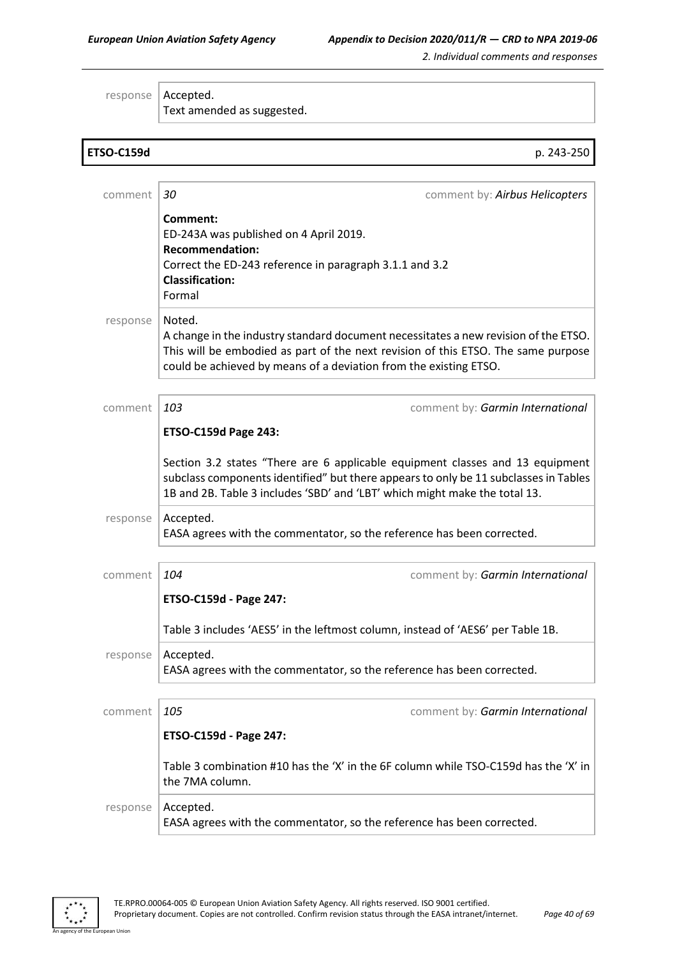response | Accepted. Text amended as suggested.

| <b>ETSO-C159d</b> | p. 243-250                                                                                                                                                                                                                                              |  |
|-------------------|---------------------------------------------------------------------------------------------------------------------------------------------------------------------------------------------------------------------------------------------------------|--|
|                   |                                                                                                                                                                                                                                                         |  |
| comment           | 30<br>comment by: Airbus Helicopters                                                                                                                                                                                                                    |  |
|                   | Comment:<br>ED-243A was published on 4 April 2019.<br><b>Recommendation:</b><br>Correct the ED-243 reference in paragraph 3.1.1 and 3.2<br><b>Classification:</b><br>Formal                                                                             |  |
| response          | Noted.<br>A change in the industry standard document necessitates a new revision of the ETSO.<br>This will be embodied as part of the next revision of this ETSO. The same purpose<br>could be achieved by means of a deviation from the existing ETSO. |  |
| comment           | 103<br>comment by: Garmin International                                                                                                                                                                                                                 |  |
|                   | <b>ETSO-C159d Page 243:</b>                                                                                                                                                                                                                             |  |
|                   | Section 3.2 states "There are 6 applicable equipment classes and 13 equipment<br>subclass components identified" but there appears to only be 11 subclasses in Tables<br>1B and 2B. Table 3 includes 'SBD' and 'LBT' which might make the total 13.     |  |
| response          | Accepted.<br>EASA agrees with the commentator, so the reference has been corrected.                                                                                                                                                                     |  |
|                   |                                                                                                                                                                                                                                                         |  |
| comment           | 104<br>comment by: Garmin International                                                                                                                                                                                                                 |  |
|                   | ETSO-C159d - Page 247:                                                                                                                                                                                                                                  |  |
|                   | Table 3 includes 'AES5' in the leftmost column, instead of 'AES6' per Table 1B.                                                                                                                                                                         |  |
| response          | Accepted.<br>EASA agrees with the commentator, so the reference has been corrected.                                                                                                                                                                     |  |
| comment           | 105<br>comment by: Garmin International                                                                                                                                                                                                                 |  |
|                   | ETSO-C159d - Page 247:                                                                                                                                                                                                                                  |  |
|                   | Table 3 combination #10 has the 'X' in the 6F column while TSO-C159d has the 'X' in<br>the 7MA column.                                                                                                                                                  |  |
| response          | Accepted.<br>EASA agrees with the commentator, so the reference has been corrected.                                                                                                                                                                     |  |



an Union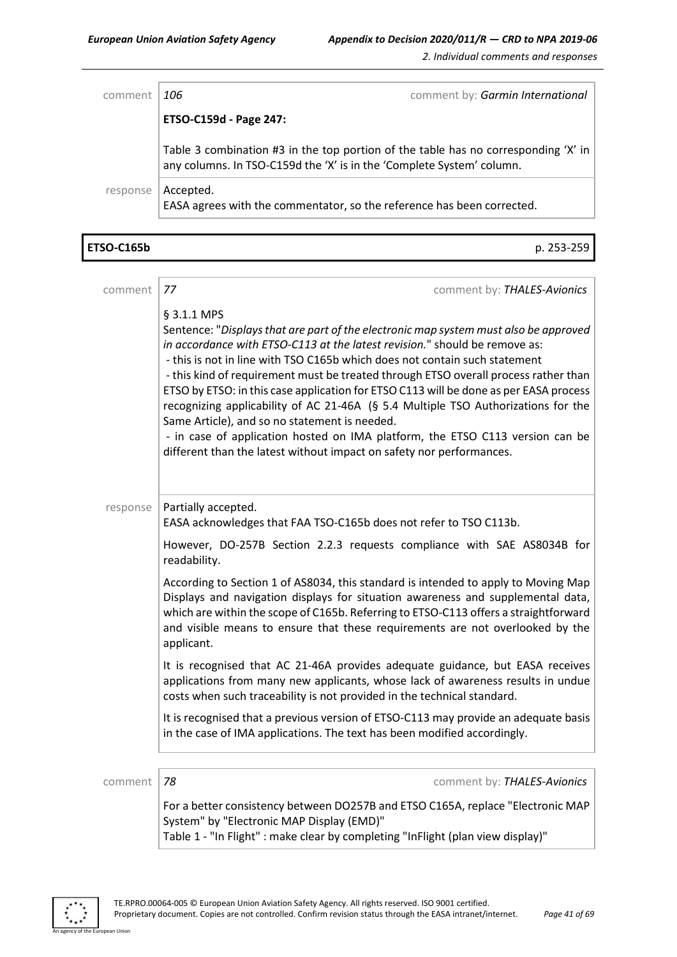Г

*2. Individual comments and responses*

٦

| comment  | 106                                                                                                                                                         | comment by: Garmin International |
|----------|-------------------------------------------------------------------------------------------------------------------------------------------------------------|----------------------------------|
|          | ETSO-C159d - Page 247:                                                                                                                                      |                                  |
|          | Table 3 combination #3 in the top portion of the table has no corresponding 'X' in<br>any columns. In TSO-C159d the 'X' is in the 'Complete System' column. |                                  |
| response | Accepted.<br>EASA agrees with the commentator, so the reference has been corrected.                                                                         |                                  |

| <b>ETSO-C165b</b> | p. 253-259                                                                                                                                                                                                                                                                                                                                                                                                                                                                                                                                                                                                                                                                                                                                     |
|-------------------|------------------------------------------------------------------------------------------------------------------------------------------------------------------------------------------------------------------------------------------------------------------------------------------------------------------------------------------------------------------------------------------------------------------------------------------------------------------------------------------------------------------------------------------------------------------------------------------------------------------------------------------------------------------------------------------------------------------------------------------------|
|                   |                                                                                                                                                                                                                                                                                                                                                                                                                                                                                                                                                                                                                                                                                                                                                |
| comment           | 77<br>comment by: THALES-Avionics                                                                                                                                                                                                                                                                                                                                                                                                                                                                                                                                                                                                                                                                                                              |
|                   | § 3.1.1 MPS<br>Sentence: "Displays that are part of the electronic map system must also be approved<br>in accordance with ETSO-C113 at the latest revision." should be remove as:<br>- this is not in line with TSO C165b which does not contain such statement<br>- this kind of requirement must be treated through ETSO overall process rather than<br>ETSO by ETSO: in this case application for ETSO C113 will be done as per EASA process<br>recognizing applicability of AC 21-46A (§ 5.4 Multiple TSO Authorizations for the<br>Same Article), and so no statement is needed.<br>- in case of application hosted on IMA platform, the ETSO C113 version can be<br>different than the latest without impact on safety nor performances. |
| response          | Partially accepted.<br>EASA acknowledges that FAA TSO-C165b does not refer to TSO C113b.                                                                                                                                                                                                                                                                                                                                                                                                                                                                                                                                                                                                                                                       |
|                   | However, DO-257B Section 2.2.3 requests compliance with SAE AS8034B for<br>readability.                                                                                                                                                                                                                                                                                                                                                                                                                                                                                                                                                                                                                                                        |
|                   | According to Section 1 of AS8034, this standard is intended to apply to Moving Map<br>Displays and navigation displays for situation awareness and supplemental data,<br>which are within the scope of C165b. Referring to ETSO-C113 offers a straightforward<br>and visible means to ensure that these requirements are not overlooked by the<br>applicant.                                                                                                                                                                                                                                                                                                                                                                                   |
|                   | It is recognised that AC 21-46A provides adequate guidance, but EASA receives<br>applications from many new applicants, whose lack of awareness results in undue<br>costs when such traceability is not provided in the technical standard.                                                                                                                                                                                                                                                                                                                                                                                                                                                                                                    |
|                   | It is recognised that a previous version of ETSO-C113 may provide an adequate basis<br>in the case of IMA applications. The text has been modified accordingly.                                                                                                                                                                                                                                                                                                                                                                                                                                                                                                                                                                                |
|                   |                                                                                                                                                                                                                                                                                                                                                                                                                                                                                                                                                                                                                                                                                                                                                |
| comment           | 78<br>comment by: THALES-Avionics                                                                                                                                                                                                                                                                                                                                                                                                                                                                                                                                                                                                                                                                                                              |
|                   | For a better consistency between DO257B and ETSO C165A, replace "Electronic MAP<br>System" by "Electronic MAP Display (EMD)"                                                                                                                                                                                                                                                                                                                                                                                                                                                                                                                                                                                                                   |

Table 1 - "In Flight" : make clear by completing "InFlight (plan view display)"



an Union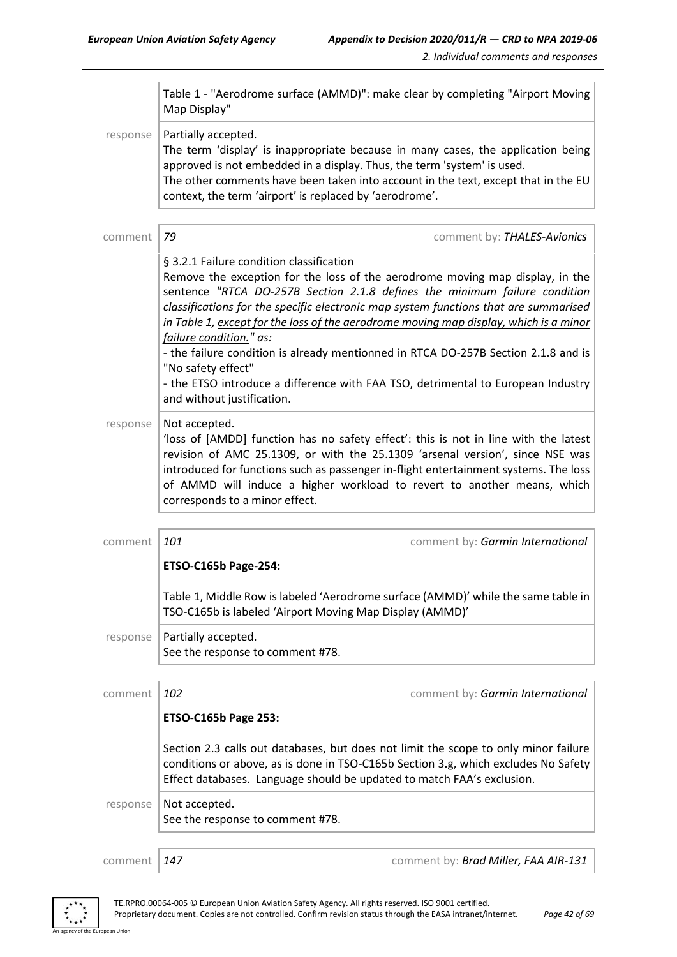|          | Table 1 - "Aerodrome surface (AMMD)": make clear by completing "Airport Moving<br>Map Display"                                                                                                                                                                                                                                                                                                                                                                                                                                                                                                                                                    |  |  |
|----------|---------------------------------------------------------------------------------------------------------------------------------------------------------------------------------------------------------------------------------------------------------------------------------------------------------------------------------------------------------------------------------------------------------------------------------------------------------------------------------------------------------------------------------------------------------------------------------------------------------------------------------------------------|--|--|
| response | Partially accepted.<br>The term 'display' is inappropriate because in many cases, the application being<br>approved is not embedded in a display. Thus, the term 'system' is used.<br>The other comments have been taken into account in the text, except that in the EU<br>context, the term 'airport' is replaced by 'aerodrome'.                                                                                                                                                                                                                                                                                                               |  |  |
| comment  | 79<br>comment by: THALES-Avionics                                                                                                                                                                                                                                                                                                                                                                                                                                                                                                                                                                                                                 |  |  |
|          | § 3.2.1 Failure condition classification<br>Remove the exception for the loss of the aerodrome moving map display, in the<br>sentence "RTCA DO-257B Section 2.1.8 defines the minimum failure condition<br>classifications for the specific electronic map system functions that are summarised<br>in Table 1, except for the loss of the aerodrome moving map display, which is a minor<br>failure condition." as:<br>- the failure condition is already mentionned in RTCA DO-257B Section 2.1.8 and is<br>"No safety effect"<br>- the ETSO introduce a difference with FAA TSO, detrimental to European Industry<br>and without justification. |  |  |
| response | Not accepted.<br>'loss of [AMDD] function has no safety effect': this is not in line with the latest<br>revision of AMC 25.1309, or with the 25.1309 'arsenal version', since NSE was<br>introduced for functions such as passenger in-flight entertainment systems. The loss<br>of AMMD will induce a higher workload to revert to another means, which<br>corresponds to a minor effect.                                                                                                                                                                                                                                                        |  |  |
| comment  | 101<br>comment by: Garmin International                                                                                                                                                                                                                                                                                                                                                                                                                                                                                                                                                                                                           |  |  |
|          | <b>ETSO-C165b Page-254:</b>                                                                                                                                                                                                                                                                                                                                                                                                                                                                                                                                                                                                                       |  |  |
|          | Table 1, Middle Row is labeled 'Aerodrome surface (AMMD)' while the same table in<br>TSO-C165b is labeled 'Airport Moving Map Display (AMMD)'                                                                                                                                                                                                                                                                                                                                                                                                                                                                                                     |  |  |
| response | Partially accepted.<br>See the response to comment #78.                                                                                                                                                                                                                                                                                                                                                                                                                                                                                                                                                                                           |  |  |
| comment  | 102<br>comment by: Garmin International                                                                                                                                                                                                                                                                                                                                                                                                                                                                                                                                                                                                           |  |  |
|          | <b>ETSO-C165b Page 253:</b>                                                                                                                                                                                                                                                                                                                                                                                                                                                                                                                                                                                                                       |  |  |
|          | Section 2.3 calls out databases, but does not limit the scope to only minor failure<br>conditions or above, as is done in TSO-C165b Section 3.g, which excludes No Safety<br>Effect databases. Language should be updated to match FAA's exclusion.                                                                                                                                                                                                                                                                                                                                                                                               |  |  |
| response | Not accepted.<br>See the response to comment #78.                                                                                                                                                                                                                                                                                                                                                                                                                                                                                                                                                                                                 |  |  |
|          |                                                                                                                                                                                                                                                                                                                                                                                                                                                                                                                                                                                                                                                   |  |  |

ean Union

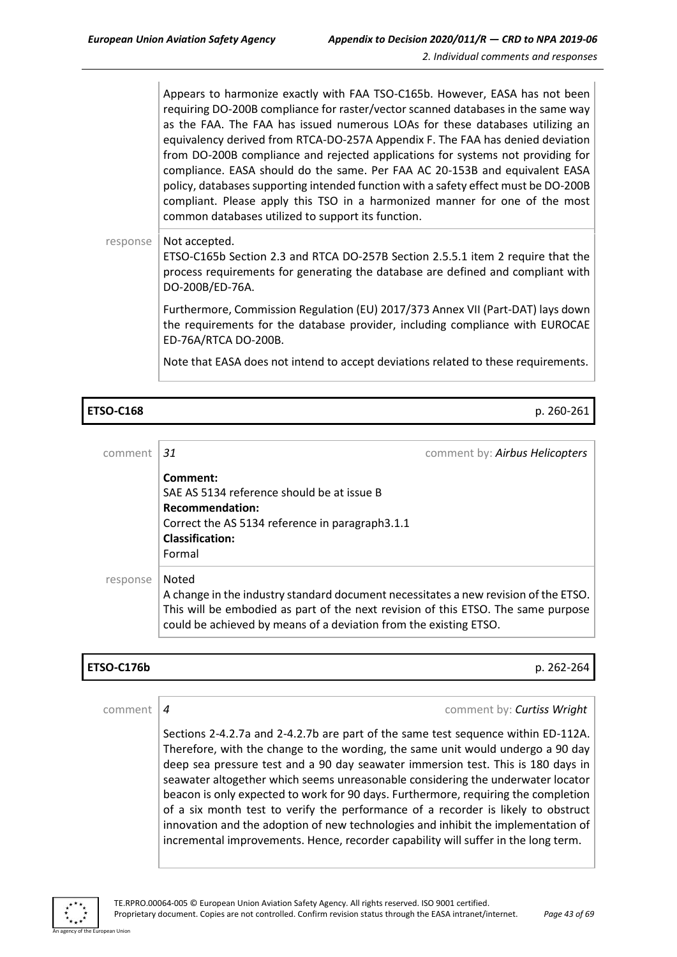Appears to harmonize exactly with FAA TSO-C165b. However, EASA has not been requiring DO-200B compliance for raster/vector scanned databases in the same way as the FAA. The FAA has issued numerous LOAs for these databases utilizing an equivalency derived from RTCA-DO-257A Appendix F. The FAA has denied deviation from DO-200B compliance and rejected applications for systems not providing for compliance. EASA should do the same. Per FAA AC 20-153B and equivalent EASA policy, databases supporting intended function with a safety effect must be DO-200B compliant. Please apply this TSO in a harmonized manner for one of the most common databases utilized to support its function.

#### response  $\vert$  Not accepted.

ETSO-C165b Section 2.3 and RTCA DO-257B Section 2.5.5.1 item 2 require that the process requirements for generating the database are defined and compliant with DO-200B/ED-76A.

Furthermore, Commission Regulation (EU) 2017/373 Annex VII (Part-DAT) lays down the requirements for the database provider, including compliance with EUROCAE ED-76A/RTCA DO-200B.

Note that EASA does not intend to accept deviations related to these requirements.

#### **ETSO-C168** p. 260-261

| comment  | 31                                                                                                                                                                                                                                                     | comment by: Airbus Helicopters |
|----------|--------------------------------------------------------------------------------------------------------------------------------------------------------------------------------------------------------------------------------------------------------|--------------------------------|
|          | Comment:<br>SAE AS 5134 reference should be at issue B<br><b>Recommendation:</b><br>Correct the AS 5134 reference in paragraph3.1.1<br><b>Classification:</b><br>Formal                                                                                |                                |
| response | Noted<br>A change in the industry standard document necessitates a new revision of the ETSO.<br>This will be embodied as part of the next revision of this ETSO. The same purpose<br>could be achieved by means of a deviation from the existing ETSO. |                                |

## **ETSO-C176b** p. 262-264

comment *4* comment by: *Curtiss Wright*

Sections 2-4.2.7a and 2-4.2.7b are part of the same test sequence within ED-112A. Therefore, with the change to the wording, the same unit would undergo a 90 day deep sea pressure test and a 90 day seawater immersion test. This is 180 days in seawater altogether which seems unreasonable considering the underwater locator beacon is only expected to work for 90 days. Furthermore, requiring the completion of a six month test to verify the performance of a recorder is likely to obstruct innovation and the adoption of new technologies and inhibit the implementation of incremental improvements. Hence, recorder capability will suffer in the long term.

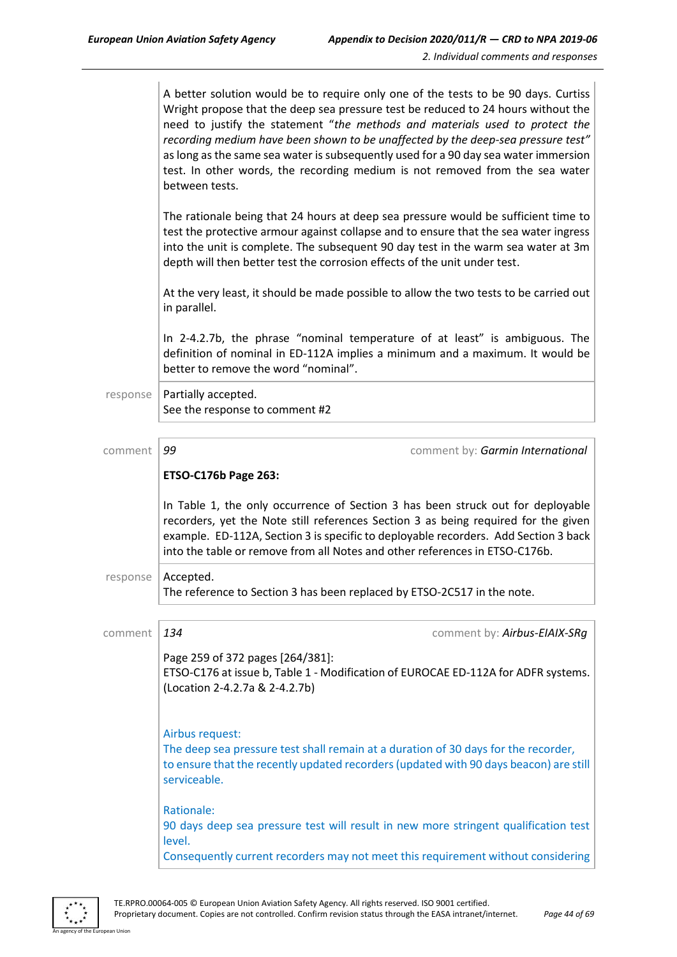| A better solution would be to require only one of the tests to be 90 days. Curtiss  |
|-------------------------------------------------------------------------------------|
| Wright propose that the deep sea pressure test be reduced to 24 hours without the   |
| need to justify the statement "the methods and materials used to protect the        |
| recording medium have been shown to be unaffected by the deep-sea pressure test"    |
| as long as the same sea water is subsequently used for a 90 day sea water immersion |
| test. In other words, the recording medium is not removed from the sea water        |
| between tests.                                                                      |

The rationale being that 24 hours at deep sea pressure would be sufficient time to test the protective armour against collapse and to ensure that the sea water ingress into the unit is complete. The subsequent 90 day test in the warm sea water at 3m depth will then better test the corrosion effects of the unit under test.

At the very least, it should be made possible to allow the two tests to be carried out in parallel.

In 2-4.2.7b, the phrase "nominal temperature of at least" is ambiguous. The definition of nominal in ED-112A implies a minimum and a maximum. It would be better to remove the word "nominal".

 $response$  Partially accepted. See the response to comment #2

| comment  | 99                                                                                                                                                                                                                                                                                                                                          | comment by: Garmin International                                                                                                                                            |  |
|----------|---------------------------------------------------------------------------------------------------------------------------------------------------------------------------------------------------------------------------------------------------------------------------------------------------------------------------------------------|-----------------------------------------------------------------------------------------------------------------------------------------------------------------------------|--|
|          | ETSO-C176b Page 263:                                                                                                                                                                                                                                                                                                                        |                                                                                                                                                                             |  |
|          | In Table 1, the only occurrence of Section 3 has been struck out for deployable<br>recorders, yet the Note still references Section 3 as being required for the given<br>example. ED-112A, Section 3 is specific to deployable recorders. Add Section 3 back<br>into the table or remove from all Notes and other references in ETSO-C176b. |                                                                                                                                                                             |  |
| response | Accepted.                                                                                                                                                                                                                                                                                                                                   | The reference to Section 3 has been replaced by ETSO-2C517 in the note.                                                                                                     |  |
|          |                                                                                                                                                                                                                                                                                                                                             |                                                                                                                                                                             |  |
| comment  | 134                                                                                                                                                                                                                                                                                                                                         | comment by: Airbus-EIAIX-SRg                                                                                                                                                |  |
|          | Page 259 of 372 pages [264/381]:<br>(Location 2-4.2.7a & 2-4.2.7b)                                                                                                                                                                                                                                                                          | ETSO-C176 at issue b, Table 1 - Modification of EUROCAE ED-112A for ADFR systems.                                                                                           |  |
|          | Airbus request:<br>serviceable.                                                                                                                                                                                                                                                                                                             | The deep sea pressure test shall remain at a duration of 30 days for the recorder,<br>to ensure that the recently updated recorders (updated with 90 days beacon) are still |  |
|          | Rationale:<br>level.                                                                                                                                                                                                                                                                                                                        | 90 days deep sea pressure test will result in new more stringent qualification test<br>Consequently current recorders may not meet this requirement without considering     |  |
|          |                                                                                                                                                                                                                                                                                                                                             |                                                                                                                                                                             |  |

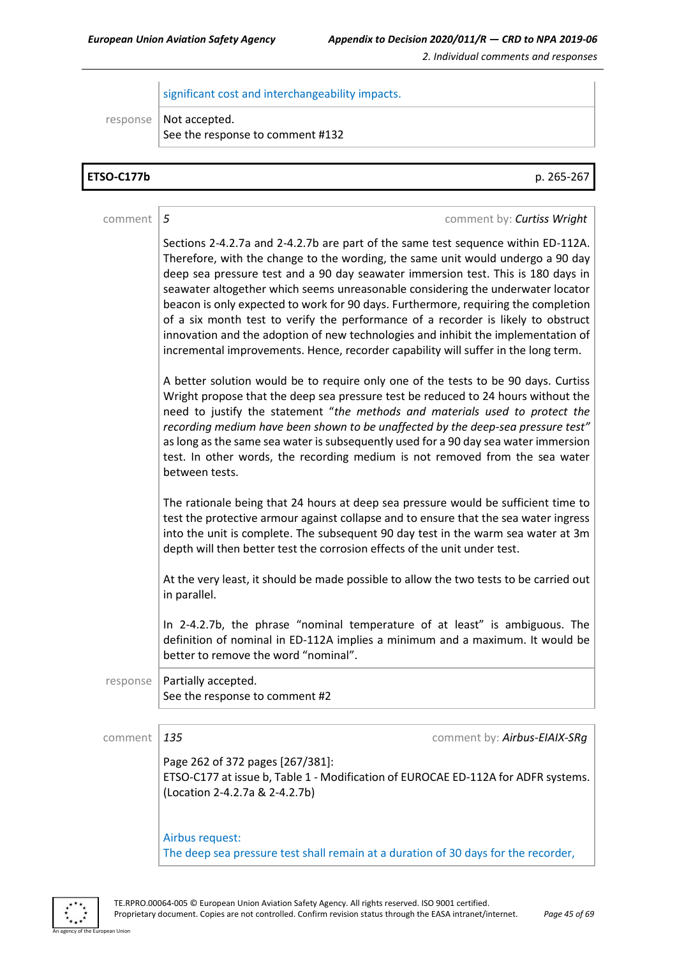significant cost and interchangeability impacts.

response | Not accepted.

See the response to comment #132

| <b>ETSO-C177b</b> | p. 265-267                                                                                                                                                                                                                                                                                                                                                                                                                                                                                                                                                                                                                                                                                        |  |  |
|-------------------|---------------------------------------------------------------------------------------------------------------------------------------------------------------------------------------------------------------------------------------------------------------------------------------------------------------------------------------------------------------------------------------------------------------------------------------------------------------------------------------------------------------------------------------------------------------------------------------------------------------------------------------------------------------------------------------------------|--|--|
|                   |                                                                                                                                                                                                                                                                                                                                                                                                                                                                                                                                                                                                                                                                                                   |  |  |
| comment           | 5<br>comment by: Curtiss Wright                                                                                                                                                                                                                                                                                                                                                                                                                                                                                                                                                                                                                                                                   |  |  |
|                   | Sections 2-4.2.7a and 2-4.2.7b are part of the same test sequence within ED-112A.<br>Therefore, with the change to the wording, the same unit would undergo a 90 day<br>deep sea pressure test and a 90 day seawater immersion test. This is 180 days in<br>seawater altogether which seems unreasonable considering the underwater locator<br>beacon is only expected to work for 90 days. Furthermore, requiring the completion<br>of a six month test to verify the performance of a recorder is likely to obstruct<br>innovation and the adoption of new technologies and inhibit the implementation of<br>incremental improvements. Hence, recorder capability will suffer in the long term. |  |  |
|                   | A better solution would be to require only one of the tests to be 90 days. Curtiss<br>Wright propose that the deep sea pressure test be reduced to 24 hours without the<br>need to justify the statement "the methods and materials used to protect the<br>recording medium have been shown to be unaffected by the deep-sea pressure test"<br>as long as the same sea water is subsequently used for a 90 day sea water immersion<br>test. In other words, the recording medium is not removed from the sea water<br>between tests.                                                                                                                                                              |  |  |
|                   | The rationale being that 24 hours at deep sea pressure would be sufficient time to<br>test the protective armour against collapse and to ensure that the sea water ingress<br>into the unit is complete. The subsequent 90 day test in the warm sea water at 3m<br>depth will then better test the corrosion effects of the unit under test.                                                                                                                                                                                                                                                                                                                                                      |  |  |
|                   | At the very least, it should be made possible to allow the two tests to be carried out<br>in parallel.                                                                                                                                                                                                                                                                                                                                                                                                                                                                                                                                                                                            |  |  |
|                   | In 2-4.2.7b, the phrase "nominal temperature of at least" is ambiguous. The<br>definition of nominal in ED-112A implies a minimum and a maximum. It would be<br>better to remove the word "nominal".                                                                                                                                                                                                                                                                                                                                                                                                                                                                                              |  |  |
| response          | Partially accepted.<br>See the response to comment #2                                                                                                                                                                                                                                                                                                                                                                                                                                                                                                                                                                                                                                             |  |  |
|                   |                                                                                                                                                                                                                                                                                                                                                                                                                                                                                                                                                                                                                                                                                                   |  |  |
| comment           | 135<br>comment by: Airbus-EIAIX-SRg                                                                                                                                                                                                                                                                                                                                                                                                                                                                                                                                                                                                                                                               |  |  |
|                   | Page 262 of 372 pages [267/381]:<br>ETSO-C177 at issue b, Table 1 - Modification of EUROCAE ED-112A for ADFR systems.<br>(Location 2-4.2.7a & 2-4.2.7b)                                                                                                                                                                                                                                                                                                                                                                                                                                                                                                                                           |  |  |
|                   | Airbus request:<br>The deep sea pressure test shall remain at a duration of 30 days for the recorder,                                                                                                                                                                                                                                                                                                                                                                                                                                                                                                                                                                                             |  |  |



an Unio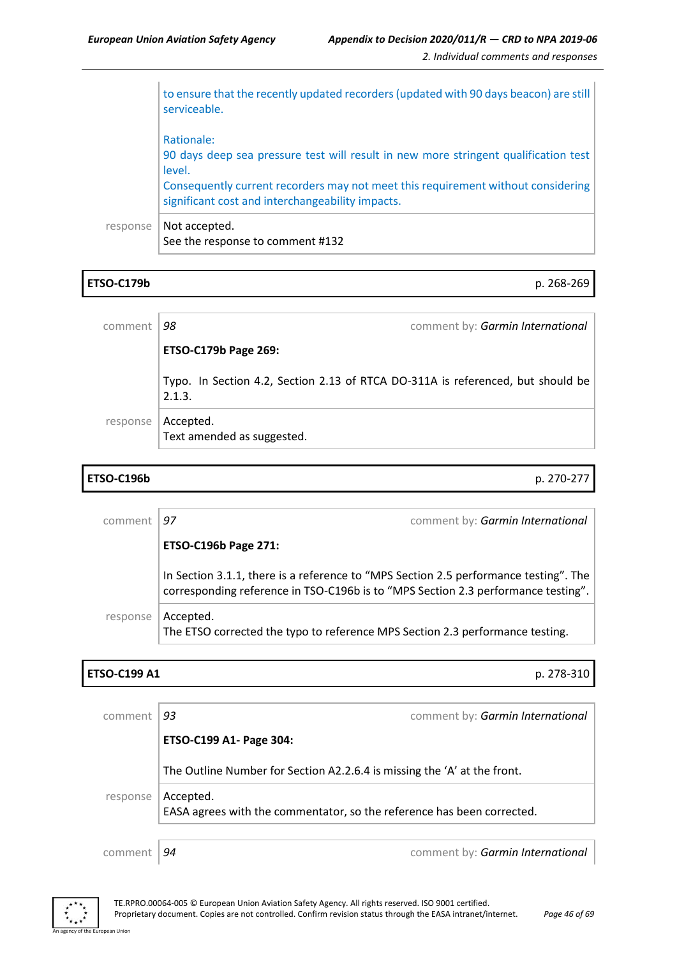to ensure that the recently updated recorders (updated with 90 days beacon) are still serviceable. Rationale: 90 days deep sea pressure test will result in new more stringent qualification test level. Consequently current recorders may not meet this requirement without considering significant cost and interchangeability impacts. response | Not accepted. See the response to comment #132

### **ETSO-C179b** p. 268-269

| comment  | 98                                                                                        | comment by: Garmin International |  |
|----------|-------------------------------------------------------------------------------------------|----------------------------------|--|
|          | <b>ETSO-C179b Page 269:</b>                                                               |                                  |  |
|          | Typo. In Section 4.2, Section 2.13 of RTCA DO-311A is referenced, but should be<br>2.1.3. |                                  |  |
| response | Accepted.<br>Text amended as suggested.                                                   |                                  |  |

### **ETSO-C196b** p. 270-277

| comment  | 97                                                                                                                                                                        | comment by: Garmin International |  |
|----------|---------------------------------------------------------------------------------------------------------------------------------------------------------------------------|----------------------------------|--|
|          | <b>ETSO-C196b Page 271:</b>                                                                                                                                               |                                  |  |
|          | In Section 3.1.1, there is a reference to "MPS Section 2.5 performance testing". The<br>corresponding reference in TSO-C196b is to "MPS Section 2.3 performance testing". |                                  |  |
| response | Accepted.<br>The ETSO corrected the typo to reference MPS Section 2.3 performance testing.                                                                                |                                  |  |

### **ETSO-C199 A1** p. 278-310

| comment                                                                                         | 93                                                                       | comment by: Garmin International |
|-------------------------------------------------------------------------------------------------|--------------------------------------------------------------------------|----------------------------------|
|                                                                                                 | ETSO-C199 A1- Page 304:                                                  |                                  |
|                                                                                                 | The Outline Number for Section A2.2.6.4 is missing the 'A' at the front. |                                  |
| Accepted.<br>response<br>EASA agrees with the commentator, so the reference has been corrected. |                                                                          |                                  |
|                                                                                                 |                                                                          |                                  |
| comment                                                                                         | 94                                                                       | comment by: Garmin International |

An agency of the European Union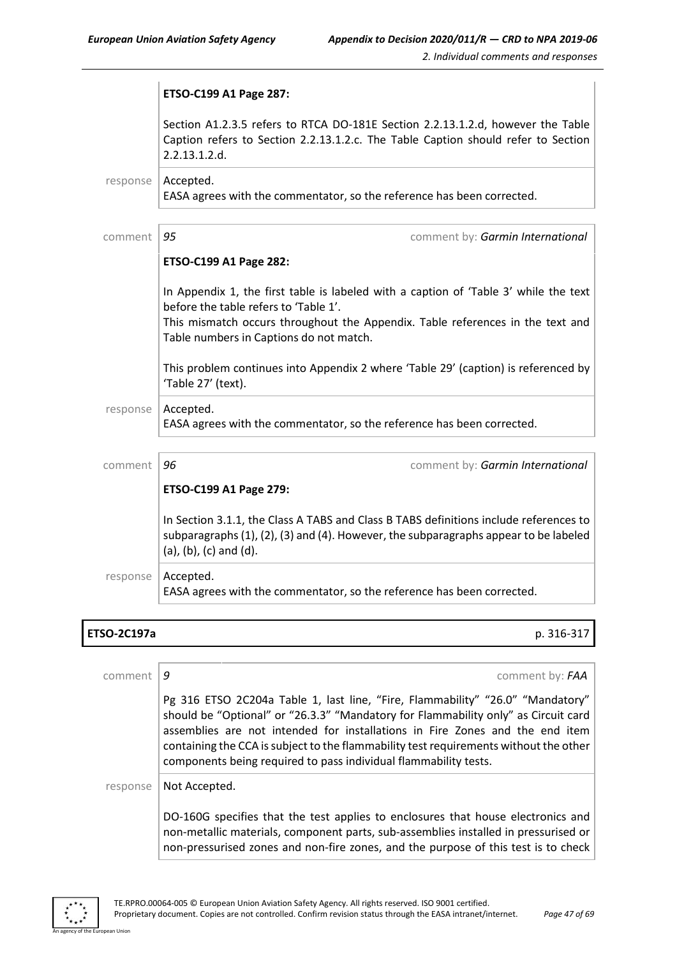|          | ETSO-C199 A1 Page 287:                                                                                                                                                                                                                                                                                                                           |
|----------|--------------------------------------------------------------------------------------------------------------------------------------------------------------------------------------------------------------------------------------------------------------------------------------------------------------------------------------------------|
|          | Section A1.2.3.5 refers to RTCA DO-181E Section 2.2.13.1.2.d, however the Table<br>Caption refers to Section 2.2.13.1.2.c. The Table Caption should refer to Section<br>2.2.13.1.2.d.                                                                                                                                                            |
| response | Accepted.<br>EASA agrees with the commentator, so the reference has been corrected.                                                                                                                                                                                                                                                              |
| comment  | 95<br>comment by: Garmin International                                                                                                                                                                                                                                                                                                           |
|          | ETSO-C199 A1 Page 282:                                                                                                                                                                                                                                                                                                                           |
|          | In Appendix 1, the first table is labeled with a caption of 'Table 3' while the text<br>before the table refers to 'Table 1'.<br>This mismatch occurs throughout the Appendix. Table references in the text and<br>Table numbers in Captions do not match.<br>This problem continues into Appendix 2 where 'Table 29' (caption) is referenced by |
|          | 'Table 27' (text).                                                                                                                                                                                                                                                                                                                               |
| response | Accepted.<br>EASA agrees with the commentator, so the reference has been corrected.                                                                                                                                                                                                                                                              |
| comment  | 96<br>comment by: Garmin International                                                                                                                                                                                                                                                                                                           |
|          | ETSO-C199 A1 Page 279:                                                                                                                                                                                                                                                                                                                           |
|          | In Section 3.1.1, the Class A TABS and Class B TABS definitions include references to<br>subparagraphs $(1)$ , $(2)$ , $(3)$ and $(4)$ . However, the subparagraphs appear to be labeled<br>$(a)$ , $(b)$ , $(c)$ and $(d)$ .                                                                                                                    |
| response | Accepted.<br>EASA agrees with the commentator, so the reference has been corrected.                                                                                                                                                                                                                                                              |

## **ETSO-2C197a** p. 316-317

| comment  | comment by: FAA<br>q                                                                                                                                                                                                                                                                                                                                                                                              |
|----------|-------------------------------------------------------------------------------------------------------------------------------------------------------------------------------------------------------------------------------------------------------------------------------------------------------------------------------------------------------------------------------------------------------------------|
|          | Pg 316 ETSO 2C204a Table 1, last line, "Fire, Flammability" "26.0" "Mandatory"<br>should be "Optional" or "26.3.3" "Mandatory for Flammability only" as Circuit card<br>assemblies are not intended for installations in Fire Zones and the end item<br>containing the CCA is subject to the flammability test requirements without the other<br>components being required to pass individual flammability tests. |
| response | Not Accepted.                                                                                                                                                                                                                                                                                                                                                                                                     |
|          | DO-160G specifies that the test applies to enclosures that house electronics and<br>non-metallic materials, component parts, sub-assemblies installed in pressurised or<br>non-pressurised zones and non-fire zones, and the purpose of this test is to check                                                                                                                                                     |

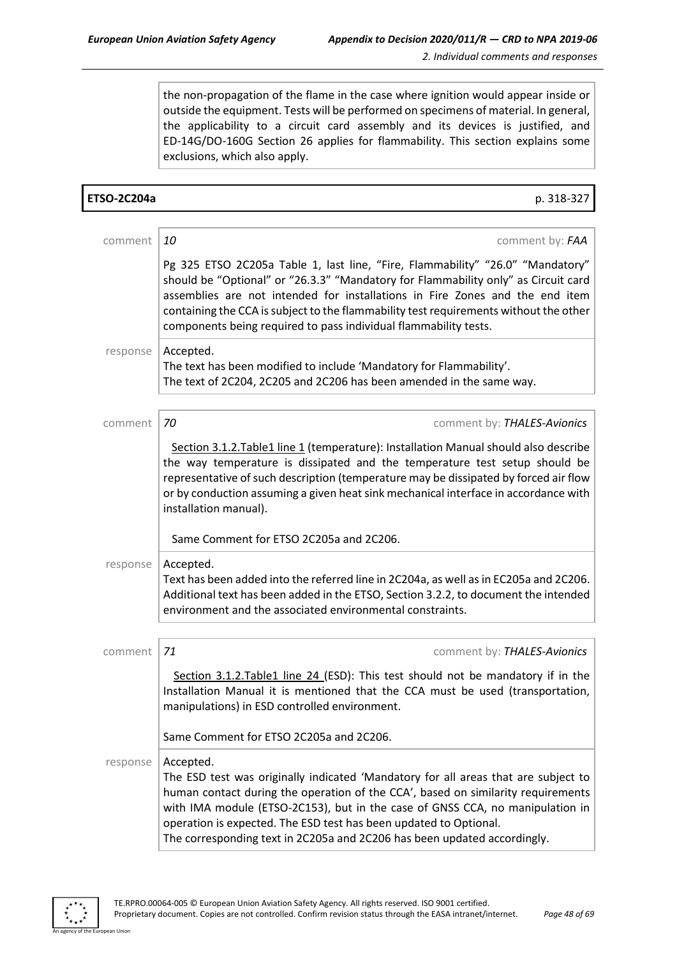the non-propagation of the flame in the case where ignition would appear inside or outside the equipment. Tests will be performed on specimens of material. In general, the applicability to a circuit card assembly and its devices is justified, and ED-14G/DO-160G Section 26 applies for flammability. This section explains some exclusions, which also apply.

| <b>ETSO-2C204a</b> | p. 318-327                                                                                                                                                                                                                                                                                                                                                                                                            |
|--------------------|-----------------------------------------------------------------------------------------------------------------------------------------------------------------------------------------------------------------------------------------------------------------------------------------------------------------------------------------------------------------------------------------------------------------------|
|                    |                                                                                                                                                                                                                                                                                                                                                                                                                       |
| comment            | 10<br>comment by: FAA                                                                                                                                                                                                                                                                                                                                                                                                 |
|                    | Pg 325 ETSO 2C205a Table 1, last line, "Fire, Flammability" "26.0" "Mandatory"<br>should be "Optional" or "26.3.3" "Mandatory for Flammability only" as Circuit card<br>assemblies are not intended for installations in Fire Zones and the end item<br>containing the CCA is subject to the flammability test requirements without the other<br>components being required to pass individual flammability tests.     |
| response           | Accepted.<br>The text has been modified to include 'Mandatory for Flammability'.<br>The text of 2C204, 2C205 and 2C206 has been amended in the same way.                                                                                                                                                                                                                                                              |
| comment            | 70<br>comment by: THALES-Avionics                                                                                                                                                                                                                                                                                                                                                                                     |
|                    | Section 3.1.2. Table1 line 1 (temperature): Installation Manual should also describe<br>the way temperature is dissipated and the temperature test setup should be<br>representative of such description (temperature may be dissipated by forced air flow<br>or by conduction assuming a given heat sink mechanical interface in accordance with<br>installation manual).                                            |
|                    | Same Comment for ETSO 2C205a and 2C206.                                                                                                                                                                                                                                                                                                                                                                               |
| response           | Accepted.<br>Text has been added into the referred line in 2C204a, as well as in EC205a and 2C206.<br>Additional text has been added in the ETSO, Section 3.2.2, to document the intended<br>environment and the associated environmental constraints.                                                                                                                                                                |
| comment            | 71<br>comment by: THALES-Avionics                                                                                                                                                                                                                                                                                                                                                                                     |
|                    | Section 3.1.2. Table1 line 24 (ESD): This test should not be mandatory if in the<br>Installation Manual it is mentioned that the CCA must be used (transportation,<br>manipulations) in ESD controlled environment.                                                                                                                                                                                                   |
|                    | Same Comment for ETSO 2C205a and 2C206.                                                                                                                                                                                                                                                                                                                                                                               |
| response           | Accepted.<br>The ESD test was originally indicated 'Mandatory for all areas that are subject to<br>human contact during the operation of the CCA', based on similarity requirements<br>with IMA module (ETSO-2C153), but in the case of GNSS CCA, no manipulation in<br>operation is expected. The ESD test has been updated to Optional.<br>The corresponding text in 2C205a and 2C206 has been updated accordingly. |



.<br>An I Ini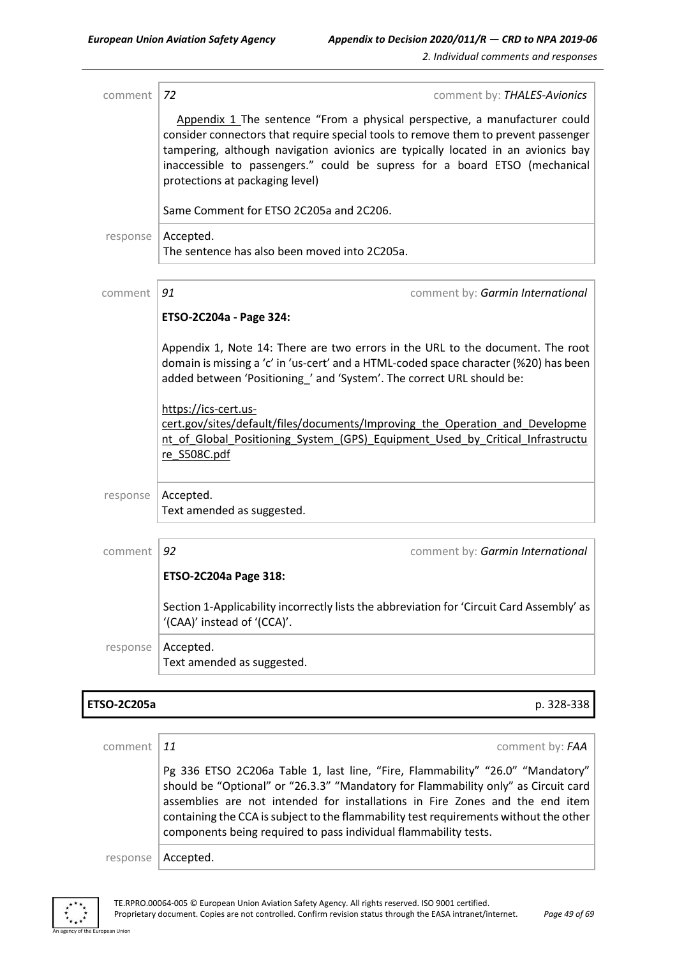comment *72* comment by: *THALES-Avionics* Appendix 1 The sentence "From a physical perspective, a manufacturer could consider connectors that require special tools to remove them to prevent passenger tampering, although navigation avionics are typically located in an avionics bay inaccessible to passengers." could be supress for a board ETSO (mechanical protections at packaging level) Same Comment for ETSO 2C205a and 2C206. response | Accepted. The sentence has also been moved into 2C205a. comment **91** comment **91** comment by: *Garmin International* **ETSO-2C204a - Page 324:** Appendix 1, Note 14: There are two errors in the URL to the document. The root domain is missing a 'c' in 'us-cert' and a HTML-coded space character (%20) has been added between 'Positioning\_' and 'System'. The correct URL should be: https://ics-cert.uscert.gov/sites/default/files/documents/Improving\_the\_Operation\_and\_Developme nt of Global Positioning System (GPS) Equipment Used by Critical Infrastructu re\_S508C.pdf response  $|$  Accepted. Text amended as suggested. comment *92* comment by: *Garmin International* **ETSO-2C204a Page 318:**

> Section 1-Applicability incorrectly lists the abbreviation for 'Circuit Card Assembly' as '(CAA)' instead of '(CCA)'.

response | Accepted. Text amended as suggested.

#### **ETSO-2C205a** p. 328-338

| comment   11 | comment by: FAA                                                                                                                                                                                                                                                                                                                                                                                                   |
|--------------|-------------------------------------------------------------------------------------------------------------------------------------------------------------------------------------------------------------------------------------------------------------------------------------------------------------------------------------------------------------------------------------------------------------------|
|              | Pg 336 ETSO 2C206a Table 1, last line, "Fire, Flammability" "26.0" "Mandatory"<br>should be "Optional" or "26.3.3" "Mandatory for Flammability only" as Circuit card<br>assemblies are not intended for installations in Fire Zones and the end item<br>containing the CCA is subject to the flammability test requirements without the other<br>components being required to pass individual flammability tests. |
| response     | Accepted.                                                                                                                                                                                                                                                                                                                                                                                                         |

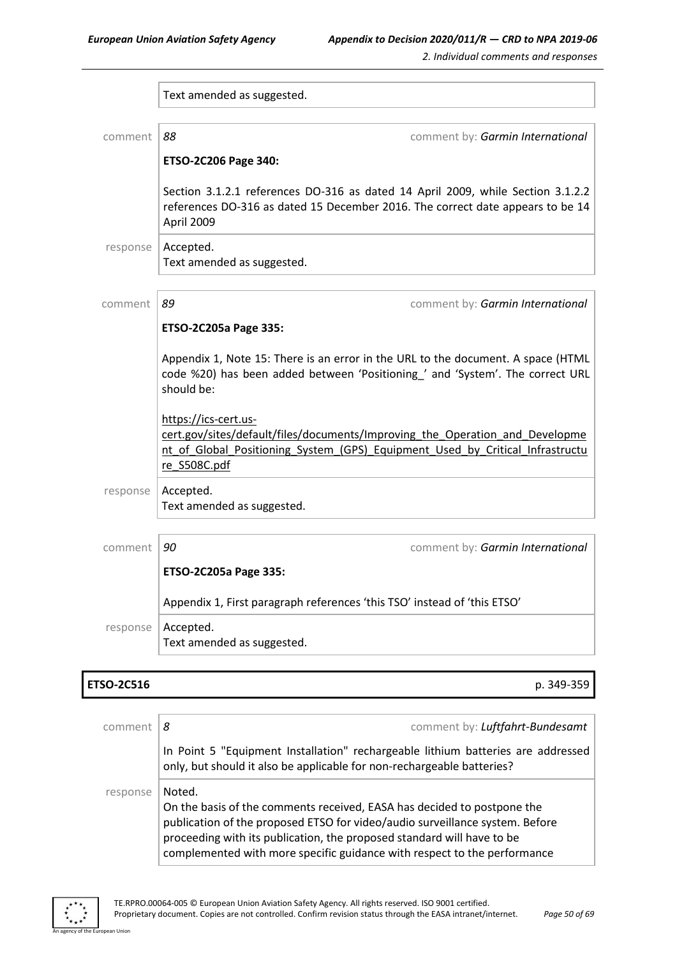|          | Text amended as suggested.                                                                                                                                                                            |
|----------|-------------------------------------------------------------------------------------------------------------------------------------------------------------------------------------------------------|
|          |                                                                                                                                                                                                       |
| comment  | 88<br>comment by: Garmin International                                                                                                                                                                |
|          | ETSO-2C206 Page 340:                                                                                                                                                                                  |
|          | Section 3.1.2.1 references DO-316 as dated 14 April 2009, while Section 3.1.2.2<br>references DO-316 as dated 15 December 2016. The correct date appears to be 14<br>April 2009                       |
| response | Accepted.<br>Text amended as suggested.                                                                                                                                                               |
| comment  | 89<br>comment by: Garmin International                                                                                                                                                                |
|          | ETSO-2C205a Page 335:                                                                                                                                                                                 |
|          | Appendix 1, Note 15: There is an error in the URL to the document. A space (HTML<br>code %20) has been added between 'Positioning_' and 'System'. The correct URL<br>should be:                       |
|          | https://ics-cert.us-<br>cert.gov/sites/default/files/documents/Improving the Operation and Developme<br>nt of Global Positioning System (GPS) Equipment Used by Critical Infrastructu<br>re S508C.pdf |
| response | Accepted.<br>Text amended as suggested.                                                                                                                                                               |
| comment  | 90<br>comment by: Garmin International                                                                                                                                                                |
|          | ETSO-2C205a Page 335:                                                                                                                                                                                 |
|          | Appendix 1, First paragraph references 'this TSO' instead of 'this ETSO'                                                                                                                              |
| response | Accepted.<br>Text amended as suggested.                                                                                                                                                               |

### **ETSO-2C516** p. 349-359

| comment  | comment by: Luftfahrt-Bundesamt<br>8                                                                                                                                                                                                                                                                                    |
|----------|-------------------------------------------------------------------------------------------------------------------------------------------------------------------------------------------------------------------------------------------------------------------------------------------------------------------------|
| response | In Point 5 "Equipment Installation" rechargeable lithium batteries are addressed<br>only, but should it also be applicable for non-rechargeable batteries?                                                                                                                                                              |
|          | Noted.<br>On the basis of the comments received, EASA has decided to postpone the<br>publication of the proposed ETSO for video/audio surveillance system. Before<br>proceeding with its publication, the proposed standard will have to be<br>complemented with more specific guidance with respect to the performance |

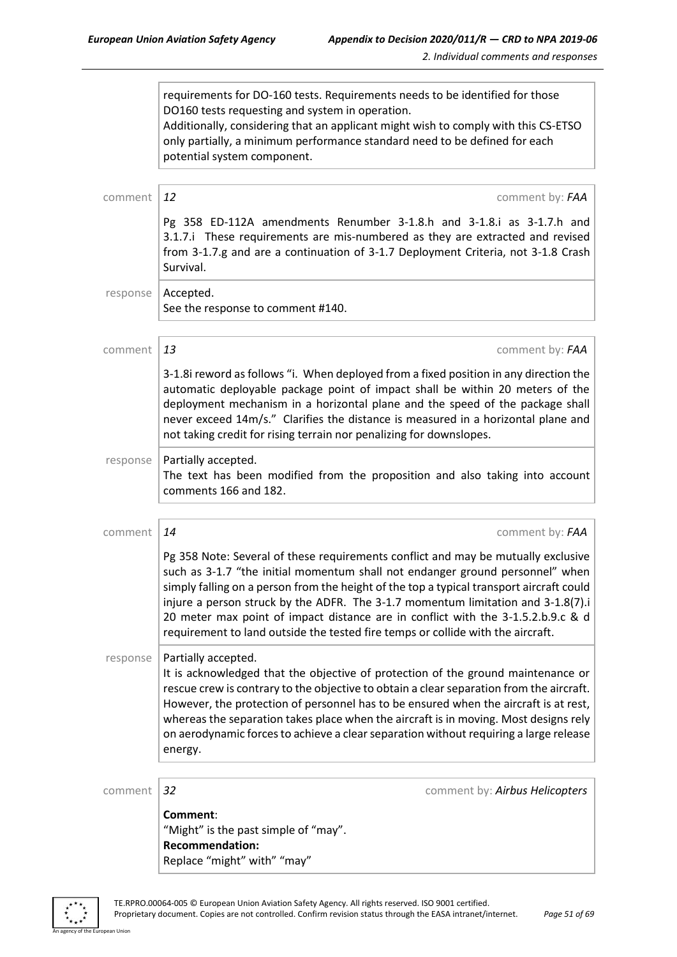requirements for DO-160 tests. Requirements needs to be identified for those DO160 tests requesting and system in operation. Additionally, considering that an applicant might wish to comply with this CS-ETSO only partially, a minimum performance standard need to be defined for each potential system component. comment 12 comment **12** Pg 358 ED-112A amendments Renumber 3-1.8.h and 3-1.8.i as 3-1.7.h and 3.1.7.i These requirements are mis-numbered as they are extracted and revised from 3-1.7.g and are a continuation of 3-1.7 Deployment Criteria, not 3-1.8 Crash Survival. response | Accepted. See the response to comment #140. comment *13* comment by: *FAA* 3-1.8i reword as follows "i. When deployed from a fixed position in any direction the automatic deployable package point of impact shall be within 20 meters of the deployment mechanism in a horizontal plane and the speed of the package shall never exceed 14m/s." Clarifies the distance is measured in a horizontal plane and not taking credit for rising terrain nor penalizing for downslopes.  $response$  | Partially accepted. The text has been modified from the proposition and also taking into account comments 166 and 182. comment *14* comment by: *FAA* Pg 358 Note: Several of these requirements conflict and may be mutually exclusive such as 3-1.7 "the initial momentum shall not endanger ground personnel" when simply falling on a person from the height of the top a typical transport aircraft could injure a person struck by the ADFR. The 3-1.7 momentum limitation and 3-1.8(7).i 20 meter max point of impact distance are in conflict with the 3-1.5.2.b.9.c & d requirement to land outside the tested fire temps or collide with the aircraft.  $response$  | Partially accepted. It is acknowledged that the objective of protection of the ground maintenance or rescue crew is contrary to the objective to obtain a clear separation from the aircraft. However, the protection of personnel has to be ensured when the aircraft is at rest, whereas the separation takes place when the aircraft is in moving. Most designs rely on aerodynamic forces to achieve a clear separation without requiring a large release energy. comment *32* comment by: *Airbus Helicopters* **Comment**: "Might" is the past simple of "may". **Recommendation:** Replace "might" with" "may"

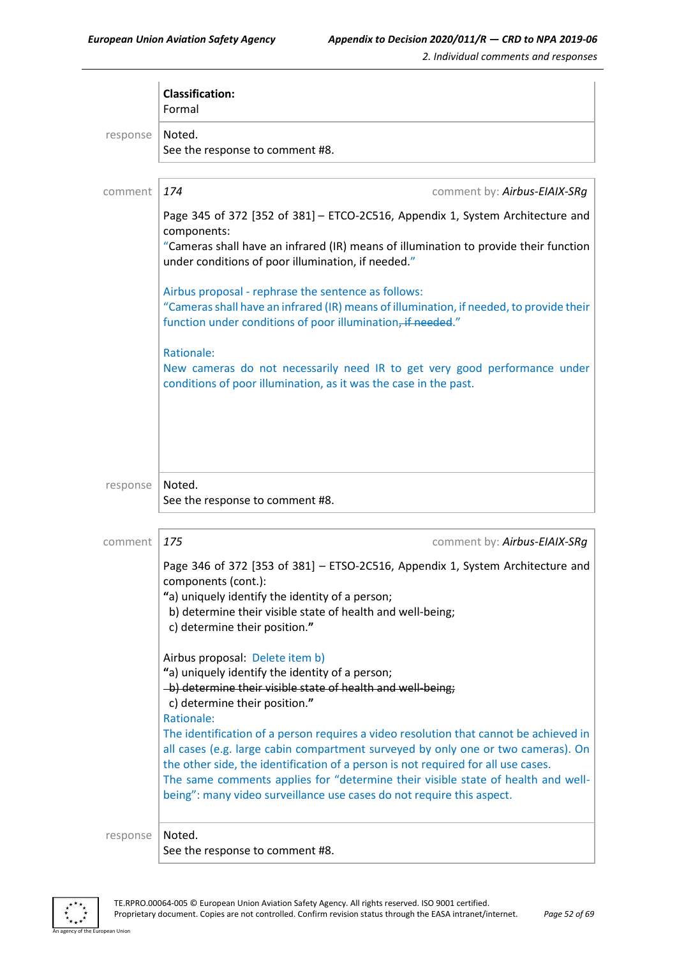|          | <b>Classification:</b><br>Formal                                                                                                                                                                                                                                                                                                                                                                                            |
|----------|-----------------------------------------------------------------------------------------------------------------------------------------------------------------------------------------------------------------------------------------------------------------------------------------------------------------------------------------------------------------------------------------------------------------------------|
| response | Noted.<br>See the response to comment #8.                                                                                                                                                                                                                                                                                                                                                                                   |
| comment  | 174<br>comment by: Airbus-EIAIX-SRg                                                                                                                                                                                                                                                                                                                                                                                         |
|          | Page 345 of 372 [352 of 381] - ETCO-2C516, Appendix 1, System Architecture and<br>components:<br>"Cameras shall have an infrared (IR) means of illumination to provide their function<br>under conditions of poor illumination, if needed."                                                                                                                                                                                 |
|          | Airbus proposal - rephrase the sentence as follows:<br>"Cameras shall have an infrared (IR) means of illumination, if needed, to provide their<br>function under conditions of poor illumination, if needed."                                                                                                                                                                                                               |
|          | Rationale:<br>New cameras do not necessarily need IR to get very good performance under<br>conditions of poor illumination, as it was the case in the past.                                                                                                                                                                                                                                                                 |
|          |                                                                                                                                                                                                                                                                                                                                                                                                                             |
| response | Noted.<br>See the response to comment #8.                                                                                                                                                                                                                                                                                                                                                                                   |
| comment  | 175<br>comment by: Airbus-EIAIX-SRg                                                                                                                                                                                                                                                                                                                                                                                         |
|          | Page 346 of 372 [353 of 381] - ETSO-2C516, Appendix 1, System Architecture and<br>components (cont.):<br>"a) uniquely identify the identity of a person;<br>b) determine their visible state of health and well-being;<br>c) determine their position."                                                                                                                                                                     |
|          | Airbus proposal: Delete item b)<br>"a) uniquely identify the identity of a person;<br>-b) determine their visible state of health and well-being;<br>c) determine their position."<br>Rationale:                                                                                                                                                                                                                            |
|          | The identification of a person requires a video resolution that cannot be achieved in<br>all cases (e.g. large cabin compartment surveyed by only one or two cameras). On<br>the other side, the identification of a person is not required for all use cases.<br>The same comments applies for "determine their visible state of health and well-<br>being": many video surveillance use cases do not require this aspect. |
| response | Noted.<br>See the response to comment #8.                                                                                                                                                                                                                                                                                                                                                                                   |

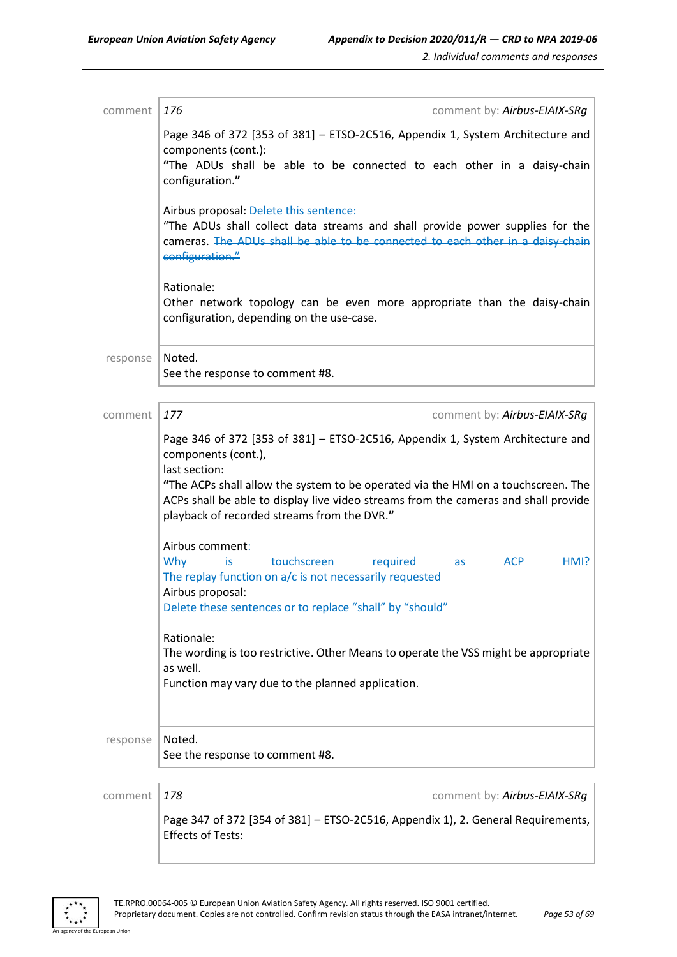| comment  | 176<br>comment by: Airbus-EIAIX-SRg                                                                                                                                                                                                                                                                                                                                                                  |
|----------|------------------------------------------------------------------------------------------------------------------------------------------------------------------------------------------------------------------------------------------------------------------------------------------------------------------------------------------------------------------------------------------------------|
|          | Page 346 of 372 [353 of 381] - ETSO-2C516, Appendix 1, System Architecture and<br>components (cont.):                                                                                                                                                                                                                                                                                                |
|          | "The ADUs shall be able to be connected to each other in a daisy-chain<br>configuration."                                                                                                                                                                                                                                                                                                            |
|          | Airbus proposal: Delete this sentence:<br>"The ADUs shall collect data streams and shall provide power supplies for the<br>cameras. The ADUs shall be able to be connected to each other in a daisy chain<br>configuration."                                                                                                                                                                         |
|          | Rationale:<br>Other network topology can be even more appropriate than the daisy-chain<br>configuration, depending on the use-case.                                                                                                                                                                                                                                                                  |
| response | Noted.<br>See the response to comment #8.                                                                                                                                                                                                                                                                                                                                                            |
| comment  | 177<br>comment by: Airbus-EIAIX-SRg                                                                                                                                                                                                                                                                                                                                                                  |
|          | Page 346 of 372 [353 of 381] - ETSO-2C516, Appendix 1, System Architecture and<br>components (cont.),<br>last section:<br>"The ACPs shall allow the system to be operated via the HMI on a touchscreen. The<br>ACPs shall be able to display live video streams from the cameras and shall provide<br>playback of recorded streams from the DVR."                                                    |
|          | Airbus comment:<br>Why<br>touchscreen<br>required<br><b>ACP</b><br>HMI?<br>is<br>as<br>The replay function on a/c is not necessarily requested<br>Airbus proposal:<br>Delete these sentences or to replace "shall" by "should"<br>Rationale:<br>The wording is too restrictive. Other Means to operate the VSS might be appropriate<br>as well.<br>Function may vary due to the planned application. |
| response | Noted.<br>See the response to comment #8.                                                                                                                                                                                                                                                                                                                                                            |
| comment  | 178<br>comment by: Airbus-EIAIX-SRg                                                                                                                                                                                                                                                                                                                                                                  |
|          | Page 347 of 372 [354 of 381] - ETSO-2C516, Appendix 1), 2. General Requirements,<br><b>Effects of Tests:</b>                                                                                                                                                                                                                                                                                         |

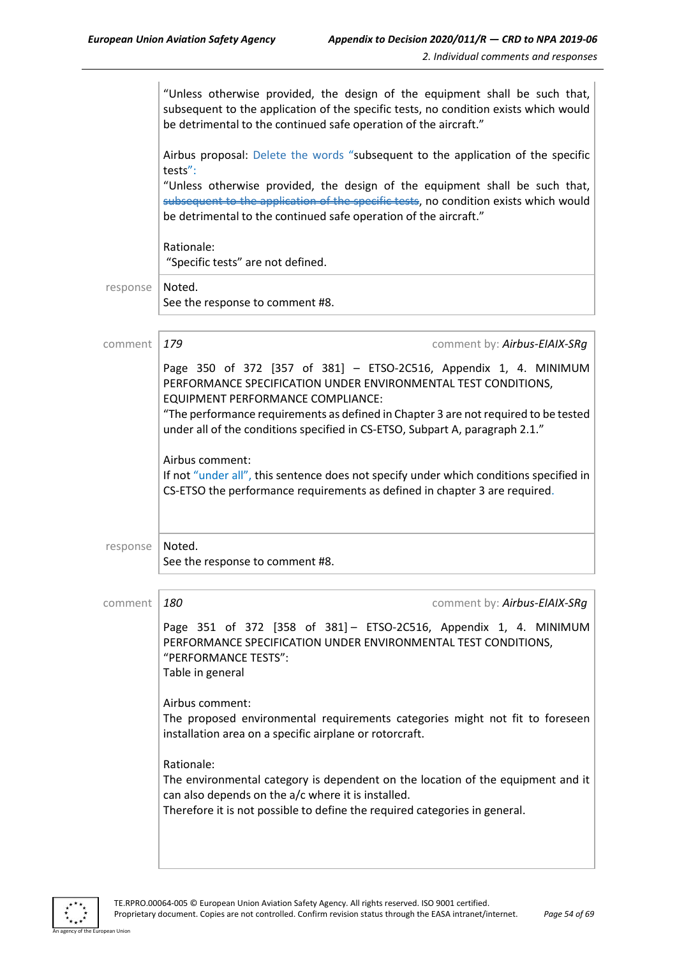| "Unless otherwise provided, the design of the equipment shall be such that,<br>subsequent to the application of the specific tests, no condition exists which would<br>be detrimental to the continued safe operation of the aircraft."                                                                                                         |
|-------------------------------------------------------------------------------------------------------------------------------------------------------------------------------------------------------------------------------------------------------------------------------------------------------------------------------------------------|
| Airbus proposal: Delete the words "subsequent to the application of the specific<br>tests":                                                                                                                                                                                                                                                     |
| "Unless otherwise provided, the design of the equipment shall be such that,<br>subsequent to the application of the specific tests, no condition exists which would<br>be detrimental to the continued safe operation of the aircraft."                                                                                                         |
| Rationale:<br>"Specific tests" are not defined.                                                                                                                                                                                                                                                                                                 |
| Noted.<br>See the response to comment #8.                                                                                                                                                                                                                                                                                                       |
| 179<br>comment by: Airbus-EIAIX-SRg                                                                                                                                                                                                                                                                                                             |
| Page 350 of 372 [357 of 381] - ETSO-2C516, Appendix 1, 4. MINIMUM<br>PERFORMANCE SPECIFICATION UNDER ENVIRONMENTAL TEST CONDITIONS,<br>EQUIPMENT PERFORMANCE COMPLIANCE:<br>"The performance requirements as defined in Chapter 3 are not required to be tested<br>under all of the conditions specified in CS-ETSO, Subpart A, paragraph 2.1." |
| Airbus comment:<br>If not "under all", this sentence does not specify under which conditions specified in<br>CS-ETSO the performance requirements as defined in chapter 3 are required.                                                                                                                                                         |
| Noted.<br>See the response to comment #8.                                                                                                                                                                                                                                                                                                       |
| 180<br>comment by: Airbus-EIAIX-SRg                                                                                                                                                                                                                                                                                                             |
| Page 351 of 372 [358 of 381] - ETSO-2C516, Appendix 1, 4. MINIMUM<br>PERFORMANCE SPECIFICATION UNDER ENVIRONMENTAL TEST CONDITIONS,<br>"PERFORMANCE TESTS":<br>Table in general                                                                                                                                                                 |
| Airbus comment:<br>The proposed environmental requirements categories might not fit to foreseen<br>installation area on a specific airplane or rotorcraft.                                                                                                                                                                                      |
| Rationale:<br>The environmental category is dependent on the location of the equipment and it<br>can also depends on the a/c where it is installed.<br>Therefore it is not possible to define the required categories in general.                                                                                                               |
|                                                                                                                                                                                                                                                                                                                                                 |

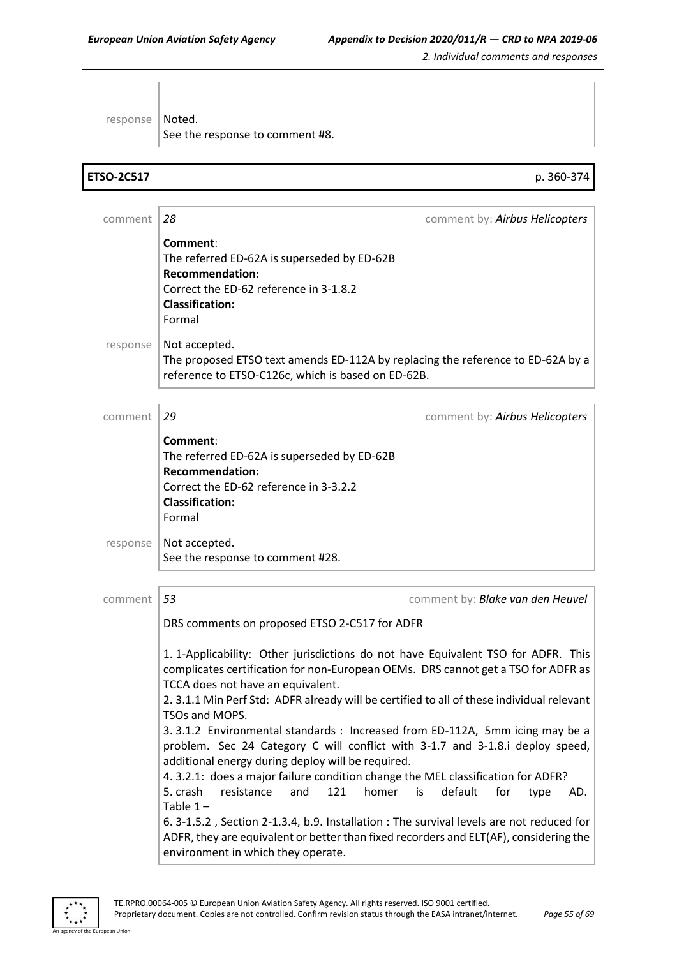| response          | Noted.<br>See the response to comment #8.                                                                                                                                                                                                                                                                                                                                                                                                                                                                                                                                                                                                                                                                                                                                                                                                                                                                                                                                                                               |
|-------------------|-------------------------------------------------------------------------------------------------------------------------------------------------------------------------------------------------------------------------------------------------------------------------------------------------------------------------------------------------------------------------------------------------------------------------------------------------------------------------------------------------------------------------------------------------------------------------------------------------------------------------------------------------------------------------------------------------------------------------------------------------------------------------------------------------------------------------------------------------------------------------------------------------------------------------------------------------------------------------------------------------------------------------|
| <b>ETSO-2C517</b> | p. 360-374                                                                                                                                                                                                                                                                                                                                                                                                                                                                                                                                                                                                                                                                                                                                                                                                                                                                                                                                                                                                              |
| comment           | 28<br>comment by: Airbus Helicopters                                                                                                                                                                                                                                                                                                                                                                                                                                                                                                                                                                                                                                                                                                                                                                                                                                                                                                                                                                                    |
|                   | Comment:<br>The referred ED-62A is superseded by ED-62B<br><b>Recommendation:</b><br>Correct the ED-62 reference in 3-1.8.2<br><b>Classification:</b><br>Formal                                                                                                                                                                                                                                                                                                                                                                                                                                                                                                                                                                                                                                                                                                                                                                                                                                                         |
| response          | Not accepted.<br>The proposed ETSO text amends ED-112A by replacing the reference to ED-62A by a<br>reference to ETSO-C126c, which is based on ED-62B.                                                                                                                                                                                                                                                                                                                                                                                                                                                                                                                                                                                                                                                                                                                                                                                                                                                                  |
| comment           | 29<br>comment by: Airbus Helicopters                                                                                                                                                                                                                                                                                                                                                                                                                                                                                                                                                                                                                                                                                                                                                                                                                                                                                                                                                                                    |
|                   | Comment:<br>The referred ED-62A is superseded by ED-62B<br><b>Recommendation:</b><br>Correct the ED-62 reference in 3-3.2.2<br><b>Classification:</b><br>Formal                                                                                                                                                                                                                                                                                                                                                                                                                                                                                                                                                                                                                                                                                                                                                                                                                                                         |
| response          | Not accepted.<br>See the response to comment #28.                                                                                                                                                                                                                                                                                                                                                                                                                                                                                                                                                                                                                                                                                                                                                                                                                                                                                                                                                                       |
| comment           | 53<br>comment by: Blake van den Heuvel                                                                                                                                                                                                                                                                                                                                                                                                                                                                                                                                                                                                                                                                                                                                                                                                                                                                                                                                                                                  |
|                   | DRS comments on proposed ETSO 2-C517 for ADFR<br>1. 1-Applicability: Other jurisdictions do not have Equivalent TSO for ADFR. This<br>complicates certification for non-European OEMs. DRS cannot get a TSO for ADFR as<br>TCCA does not have an equivalent.<br>2. 3.1.1 Min Perf Std: ADFR already will be certified to all of these individual relevant<br>TSOs and MOPS.<br>3. 3.1.2 Environmental standards : Increased from ED-112A, 5mm icing may be a<br>problem. Sec 24 Category C will conflict with 3-1.7 and 3-1.8.i deploy speed,<br>additional energy during deploy will be required.<br>4. 3.2.1: does a major failure condition change the MEL classification for ADFR?<br>121<br>homer<br>default<br>5. crash<br>resistance<br>and<br>is<br>for<br>AD.<br>type<br>Table $1-$<br>6. 3-1.5.2, Section 2-1.3.4, b.9. Installation : The survival levels are not reduced for<br>ADFR, they are equivalent or better than fixed recorders and ELT(AF), considering the<br>environment in which they operate. |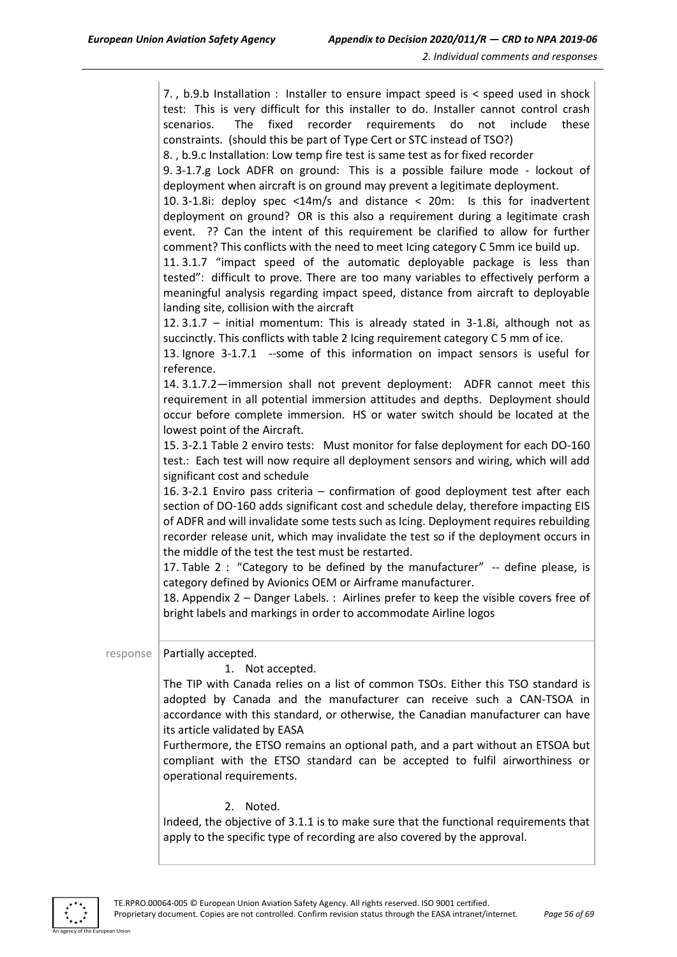|          | 7., b.9.b Installation : Installer to ensure impact speed is < speed used in shock<br>test: This is very difficult for this installer to do. Installer cannot control crash<br>fixed<br>recorder requirements<br>scenarios.<br>The<br>do<br>not<br>include<br>these<br>constraints. (should this be part of Type Cert or STC instead of TSO?)<br>8., b.9.c Installation: Low temp fire test is same test as for fixed recorder<br>9. 3-1.7.g Lock ADFR on ground: This is a possible failure mode - lockout of<br>deployment when aircraft is on ground may prevent a legitimate deployment.<br>10. 3-1.8i: deploy spec <14m/s and distance < 20m: Is this for inadvertent<br>deployment on ground? OR is this also a requirement during a legitimate crash<br>event. ?? Can the intent of this requirement be clarified to allow for further<br>comment? This conflicts with the need to meet Icing category C 5mm ice build up.<br>11.3.1.7 "impact speed of the automatic deployable package is less than<br>tested": difficult to prove. There are too many variables to effectively perform a<br>meaningful analysis regarding impact speed, distance from aircraft to deployable<br>landing site, collision with the aircraft<br>12.3.1.7 - initial momentum: This is already stated in 3-1.8i, although not as<br>succinctly. This conflicts with table 2 Icing requirement category C 5 mm of ice.<br>13. Ignore 3-1.7.1 --some of this information on impact sensors is useful for<br>reference.<br>14. 3.1.7.2-immersion shall not prevent deployment: ADFR cannot meet this<br>requirement in all potential immersion attitudes and depths. Deployment should<br>occur before complete immersion. HS or water switch should be located at the<br>lowest point of the Aircraft.<br>15. 3-2.1 Table 2 enviro tests: Must monitor for false deployment for each DO-160<br>test.: Each test will now require all deployment sensors and wiring, which will add<br>significant cost and schedule<br>16. 3-2.1 Enviro pass criteria - confirmation of good deployment test after each<br>section of DO-160 adds significant cost and schedule delay, therefore impacting EIS<br>of ADFR and will invalidate some tests such as Icing. Deployment requires rebuilding<br>recorder release unit, which may invalidate the test so if the deployment occurs in<br>the middle of the test the test must be restarted.<br>17. Table 2 : "Category to be defined by the manufacturer" -- define please, is<br>category defined by Avionics OEM or Airframe manufacturer.<br>18. Appendix 2 - Danger Labels. : Airlines prefer to keep the visible covers free of<br>bright labels and markings in order to accommodate Airline logos |
|----------|-------------------------------------------------------------------------------------------------------------------------------------------------------------------------------------------------------------------------------------------------------------------------------------------------------------------------------------------------------------------------------------------------------------------------------------------------------------------------------------------------------------------------------------------------------------------------------------------------------------------------------------------------------------------------------------------------------------------------------------------------------------------------------------------------------------------------------------------------------------------------------------------------------------------------------------------------------------------------------------------------------------------------------------------------------------------------------------------------------------------------------------------------------------------------------------------------------------------------------------------------------------------------------------------------------------------------------------------------------------------------------------------------------------------------------------------------------------------------------------------------------------------------------------------------------------------------------------------------------------------------------------------------------------------------------------------------------------------------------------------------------------------------------------------------------------------------------------------------------------------------------------------------------------------------------------------------------------------------------------------------------------------------------------------------------------------------------------------------------------------------------------------------------------------------------------------------------------------------------------------------------------------------------------------------------------------------------------------------------------------------------------------------------------------------------------------------------------------------------------------------------------------------------------------------------------------------------------------------------------------------------------------------------------------------------------------------------------------------------------|
| response | Partially accepted.                                                                                                                                                                                                                                                                                                                                                                                                                                                                                                                                                                                                                                                                                                                                                                                                                                                                                                                                                                                                                                                                                                                                                                                                                                                                                                                                                                                                                                                                                                                                                                                                                                                                                                                                                                                                                                                                                                                                                                                                                                                                                                                                                                                                                                                                                                                                                                                                                                                                                                                                                                                                                                                                                                                 |
|          | 1. Not accepted.<br>The TIP with Canada relies on a list of common TSOs. Either this TSO standard is<br>adopted by Canada and the manufacturer can receive such a CAN-TSOA in<br>accordance with this standard, or otherwise, the Canadian manufacturer can have<br>its article validated by EASA<br>Furthermore, the ETSO remains an optional path, and a part without an ETSOA but<br>compliant with the ETSO standard can be accepted to fulfil airworthiness or<br>operational requirements.                                                                                                                                                                                                                                                                                                                                                                                                                                                                                                                                                                                                                                                                                                                                                                                                                                                                                                                                                                                                                                                                                                                                                                                                                                                                                                                                                                                                                                                                                                                                                                                                                                                                                                                                                                                                                                                                                                                                                                                                                                                                                                                                                                                                                                    |
|          | Noted.<br>2.                                                                                                                                                                                                                                                                                                                                                                                                                                                                                                                                                                                                                                                                                                                                                                                                                                                                                                                                                                                                                                                                                                                                                                                                                                                                                                                                                                                                                                                                                                                                                                                                                                                                                                                                                                                                                                                                                                                                                                                                                                                                                                                                                                                                                                                                                                                                                                                                                                                                                                                                                                                                                                                                                                                        |

Indeed, the objective of 3.1.1 is to make sure that the functional requirements that apply to the specific type of recording are also covered by the approval.



.<br>An Union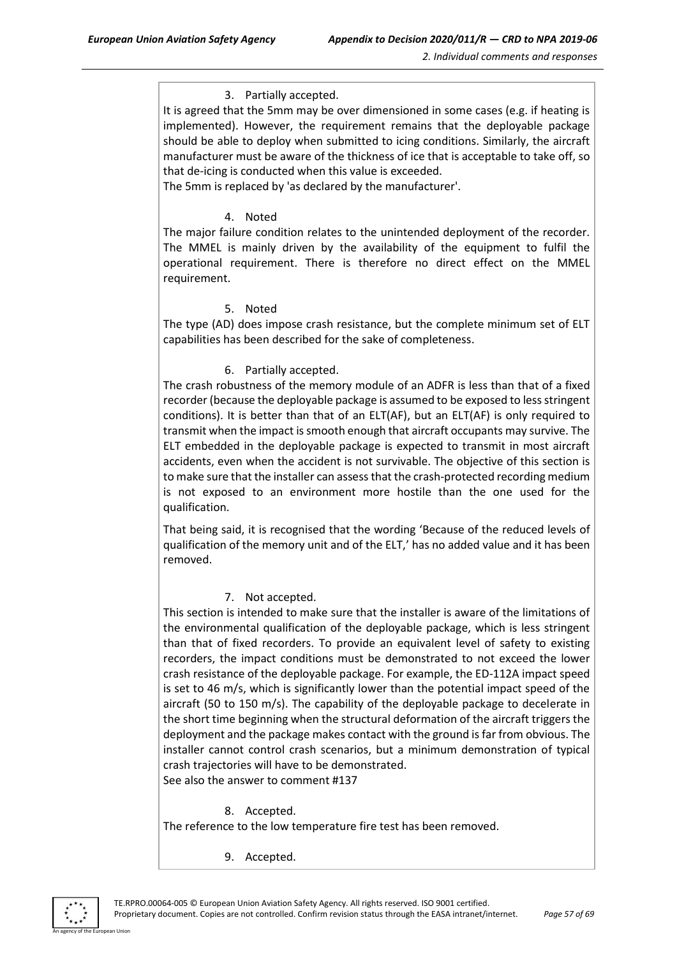#### 3. Partially accepted.

It is agreed that the 5mm may be over dimensioned in some cases (e.g. if heating is implemented). However, the requirement remains that the deployable package should be able to deploy when submitted to icing conditions. Similarly, the aircraft manufacturer must be aware of the thickness of ice that is acceptable to take off, so that de-icing is conducted when this value is exceeded.

The 5mm is replaced by 'as declared by the manufacturer'.

#### 4. Noted

The major failure condition relates to the unintended deployment of the recorder. The MMEL is mainly driven by the availability of the equipment to fulfil the operational requirement. There is therefore no direct effect on the MMEL requirement.

#### 5. Noted

The type (AD) does impose crash resistance, but the complete minimum set of ELT capabilities has been described for the sake of completeness.

#### 6. Partially accepted.

The crash robustness of the memory module of an ADFR is less than that of a fixed recorder (because the deployable package is assumed to be exposed to less stringent conditions). It is better than that of an ELT(AF), but an ELT(AF) is only required to transmit when the impact is smooth enough that aircraft occupants may survive. The ELT embedded in the deployable package is expected to transmit in most aircraft accidents, even when the accident is not survivable. The objective of this section is to make sure that the installer can assess that the crash-protected recording medium is not exposed to an environment more hostile than the one used for the qualification.

That being said, it is recognised that the wording 'Because of the reduced levels of qualification of the memory unit and of the ELT,' has no added value and it has been removed.

#### 7. Not accepted.

This section is intended to make sure that the installer is aware of the limitations of the environmental qualification of the deployable package, which is less stringent than that of fixed recorders. To provide an equivalent level of safety to existing recorders, the impact conditions must be demonstrated to not exceed the lower crash resistance of the deployable package. For example, the ED-112A impact speed is set to 46 m/s, which is significantly lower than the potential impact speed of the aircraft (50 to 150 m/s). The capability of the deployable package to decelerate in the short time beginning when the structural deformation of the aircraft triggers the deployment and the package makes contact with the ground is far from obvious. The installer cannot control crash scenarios, but a minimum demonstration of typical crash trajectories will have to be demonstrated. See also the answer to comment #137

8. Accepted.

The reference to the low temperature fire test has been removed.

9. Accepted.

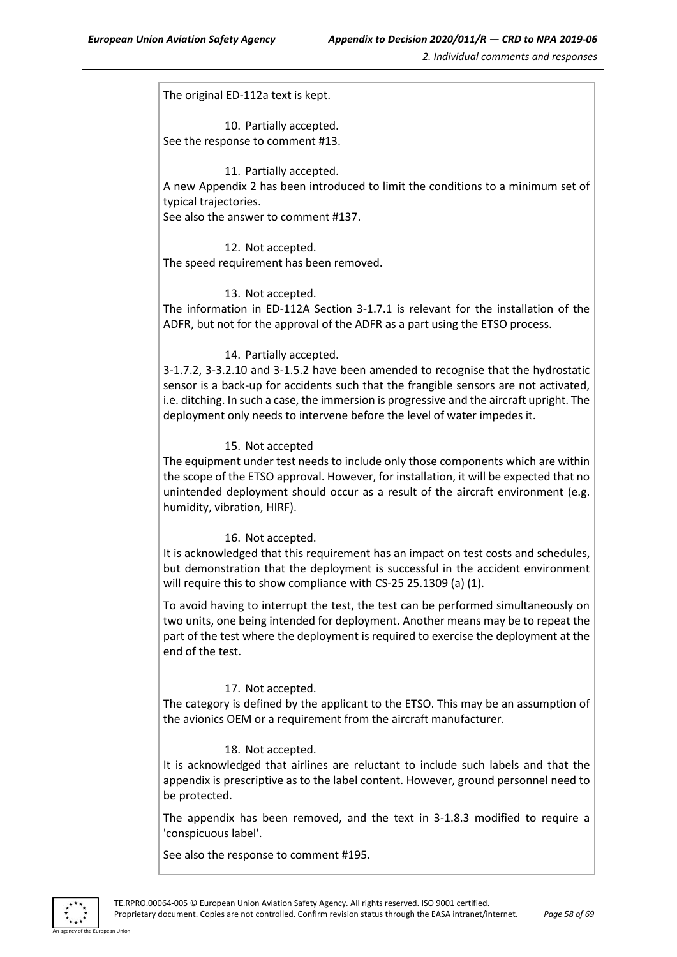The original ED-112a text is kept.

10. Partially accepted. See the response to comment #13.

#### 11. Partially accepted.

A new Appendix 2 has been introduced to limit the conditions to a minimum set of typical trajectories.

See also the answer to comment #137.

12. Not accepted. The speed requirement has been removed.

#### 13. Not accepted.

The information in ED-112A Section 3-1.7.1 is relevant for the installation of the ADFR, but not for the approval of the ADFR as a part using the ETSO process.

#### 14. Partially accepted.

3-1.7.2, 3-3.2.10 and 3-1.5.2 have been amended to recognise that the hydrostatic sensor is a back-up for accidents such that the frangible sensors are not activated, i.e. ditching. In such a case, the immersion is progressive and the aircraft upright. The deployment only needs to intervene before the level of water impedes it.

#### 15. Not accepted

The equipment under test needs to include only those components which are within the scope of the ETSO approval. However, for installation, it will be expected that no unintended deployment should occur as a result of the aircraft environment (e.g. humidity, vibration, HIRF).

#### 16. Not accepted.

It is acknowledged that this requirement has an impact on test costs and schedules, but demonstration that the deployment is successful in the accident environment will require this to show compliance with CS-25 25.1309 (a) (1).

To avoid having to interrupt the test, the test can be performed simultaneously on two units, one being intended for deployment. Another means may be to repeat the part of the test where the deployment is required to exercise the deployment at the end of the test.

#### 17. Not accepted.

The category is defined by the applicant to the ETSO. This may be an assumption of the avionics OEM or a requirement from the aircraft manufacturer.

#### 18. Not accepted.

It is acknowledged that airlines are reluctant to include such labels and that the appendix is prescriptive as to the label content. However, ground personnel need to be protected.

The appendix has been removed, and the text in 3-1.8.3 modified to require a 'conspicuous label'.

See also the response to comment #195.

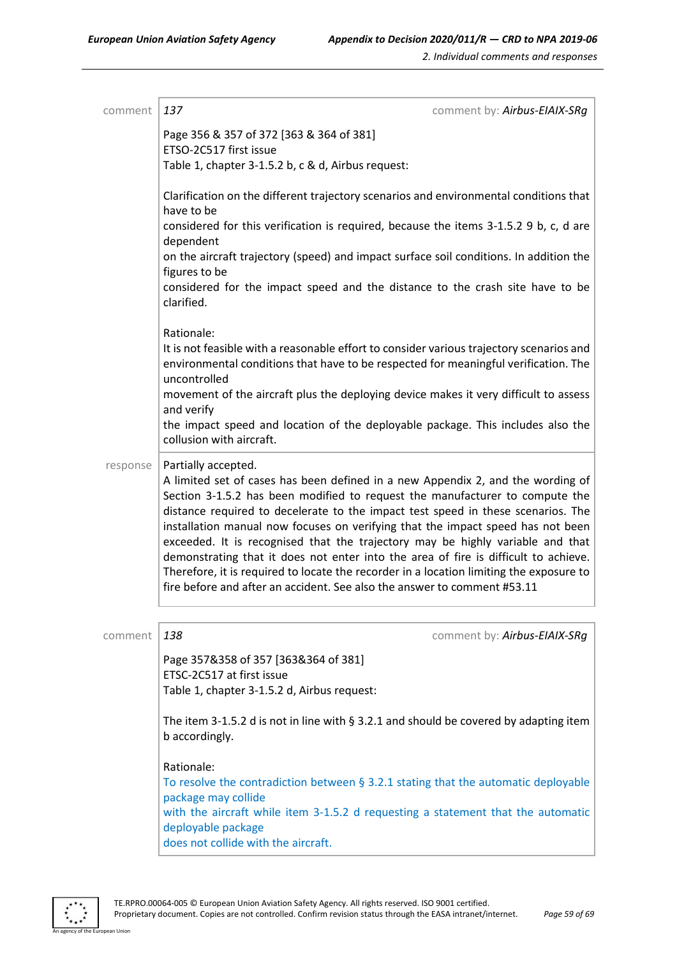| comment  | 137<br>comment by: Airbus-EIAIX-SRg                                                                                                                                                                                                                                                                                                                                                                                                                                                                                                                                                                                                                                                                           |
|----------|---------------------------------------------------------------------------------------------------------------------------------------------------------------------------------------------------------------------------------------------------------------------------------------------------------------------------------------------------------------------------------------------------------------------------------------------------------------------------------------------------------------------------------------------------------------------------------------------------------------------------------------------------------------------------------------------------------------|
|          | Page 356 & 357 of 372 [363 & 364 of 381]<br>ETSO-2C517 first issue<br>Table 1, chapter 3-1.5.2 b, c & d, Airbus request:                                                                                                                                                                                                                                                                                                                                                                                                                                                                                                                                                                                      |
|          | Clarification on the different trajectory scenarios and environmental conditions that<br>have to be                                                                                                                                                                                                                                                                                                                                                                                                                                                                                                                                                                                                           |
|          | considered for this verification is required, because the items 3-1.5.2 9 b, c, d are<br>dependent                                                                                                                                                                                                                                                                                                                                                                                                                                                                                                                                                                                                            |
|          | on the aircraft trajectory (speed) and impact surface soil conditions. In addition the<br>figures to be                                                                                                                                                                                                                                                                                                                                                                                                                                                                                                                                                                                                       |
|          | considered for the impact speed and the distance to the crash site have to be<br>clarified.                                                                                                                                                                                                                                                                                                                                                                                                                                                                                                                                                                                                                   |
|          | Rationale:<br>It is not feasible with a reasonable effort to consider various trajectory scenarios and<br>environmental conditions that have to be respected for meaningful verification. The<br>uncontrolled                                                                                                                                                                                                                                                                                                                                                                                                                                                                                                 |
|          | movement of the aircraft plus the deploying device makes it very difficult to assess<br>and verify                                                                                                                                                                                                                                                                                                                                                                                                                                                                                                                                                                                                            |
|          | the impact speed and location of the deployable package. This includes also the<br>collusion with aircraft.                                                                                                                                                                                                                                                                                                                                                                                                                                                                                                                                                                                                   |
| response | Partially accepted.<br>A limited set of cases has been defined in a new Appendix 2, and the wording of<br>Section 3-1.5.2 has been modified to request the manufacturer to compute the<br>distance required to decelerate to the impact test speed in these scenarios. The<br>installation manual now focuses on verifying that the impact speed has not been<br>exceeded. It is recognised that the trajectory may be highly variable and that<br>demonstrating that it does not enter into the area of fire is difficult to achieve.<br>Therefore, it is required to locate the recorder in a location limiting the exposure to<br>fire before and after an accident. See also the answer to comment #53.11 |
|          |                                                                                                                                                                                                                                                                                                                                                                                                                                                                                                                                                                                                                                                                                                               |
| comment  | 138<br>comment by: Airbus-EIAIX-SRg<br>Page 357&358 of 357 [363&364 of 381]<br>ETSC-2C517 at first issue<br>Table 1, chapter 3-1.5.2 d, Airbus request:                                                                                                                                                                                                                                                                                                                                                                                                                                                                                                                                                       |
|          | The item 3-1.5.2 d is not in line with $\S$ 3.2.1 and should be covered by adapting item<br>b accordingly.                                                                                                                                                                                                                                                                                                                                                                                                                                                                                                                                                                                                    |
|          | Rationale:<br>To resolve the contradiction between $\S$ 3.2.1 stating that the automatic deployable<br>package may collide<br>with the aircraft while item 3-1.5.2 d requesting a statement that the automatic<br>deployable package<br>does not collide with the aircraft.                                                                                                                                                                                                                                                                                                                                                                                                                                   |

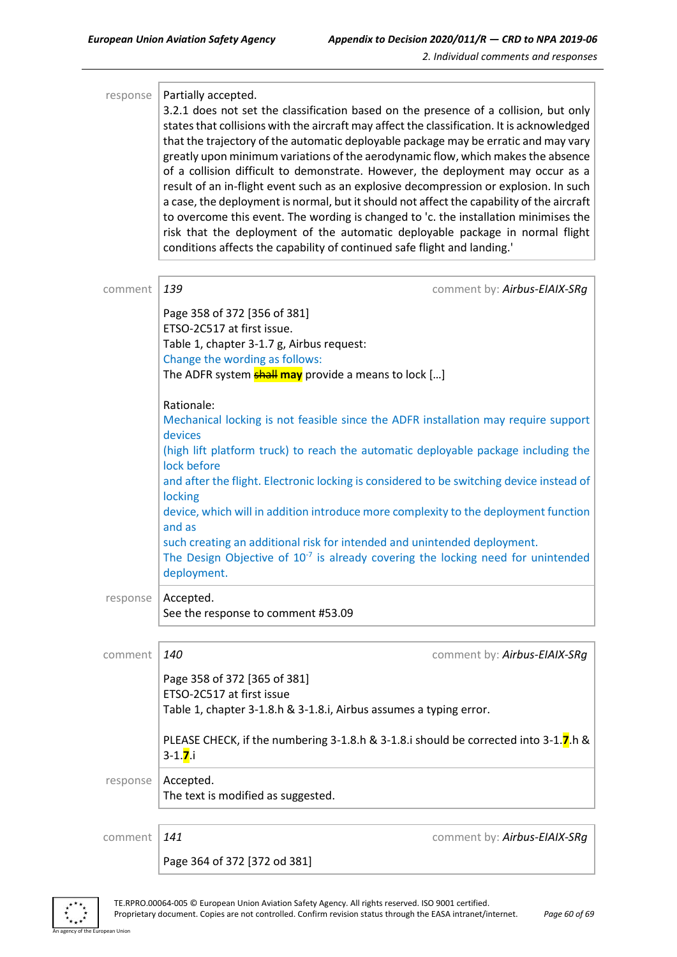| response | Partially accepted.<br>3.2.1 does not set the classification based on the presence of a collision, but only<br>states that collisions with the aircraft may affect the classification. It is acknowledged<br>that the trajectory of the automatic deployable package may be erratic and may vary<br>greatly upon minimum variations of the aerodynamic flow, which makes the absence<br>of a collision difficult to demonstrate. However, the deployment may occur as a<br>result of an in-flight event such as an explosive decompression or explosion. In such<br>a case, the deployment is normal, but it should not affect the capability of the aircraft<br>to overcome this event. The wording is changed to 'c. the installation minimises the<br>risk that the deployment of the automatic deployable package in normal flight<br>conditions affects the capability of continued safe flight and landing.' |
|----------|--------------------------------------------------------------------------------------------------------------------------------------------------------------------------------------------------------------------------------------------------------------------------------------------------------------------------------------------------------------------------------------------------------------------------------------------------------------------------------------------------------------------------------------------------------------------------------------------------------------------------------------------------------------------------------------------------------------------------------------------------------------------------------------------------------------------------------------------------------------------------------------------------------------------|
| comment  | 139<br>comment by: Airbus-EIAIX-SRg                                                                                                                                                                                                                                                                                                                                                                                                                                                                                                                                                                                                                                                                                                                                                                                                                                                                                |
|          | Page 358 of 372 [356 of 381]<br>ETSO-2C517 at first issue.<br>Table 1, chapter 3-1.7 g, Airbus request:<br>Change the wording as follows:<br>The ADFR system <b>shall may</b> provide a means to lock []                                                                                                                                                                                                                                                                                                                                                                                                                                                                                                                                                                                                                                                                                                           |
|          | Rationale:<br>Mechanical locking is not feasible since the ADFR installation may require support<br>devices<br>(high lift platform truck) to reach the automatic deployable package including the<br>lock before<br>and after the flight. Electronic locking is considered to be switching device instead of<br>locking<br>device, which will in addition introduce more complexity to the deployment function<br>and as<br>such creating an additional risk for intended and unintended deployment.<br>The Design Objective of $10^{-7}$ is already covering the locking need for unintended<br>deployment.                                                                                                                                                                                                                                                                                                       |
| response | Accepted.<br>See the response to comment #53.09                                                                                                                                                                                                                                                                                                                                                                                                                                                                                                                                                                                                                                                                                                                                                                                                                                                                    |
| comment  | 140<br>comment by: Airbus-EIAIX-SRg                                                                                                                                                                                                                                                                                                                                                                                                                                                                                                                                                                                                                                                                                                                                                                                                                                                                                |
|          | Page 358 of 372 [365 of 381]<br>ETSO-2C517 at first issue<br>Table 1, chapter 3-1.8.h & 3-1.8.i, Airbus assumes a typing error.                                                                                                                                                                                                                                                                                                                                                                                                                                                                                                                                                                                                                                                                                                                                                                                    |
|          | PLEASE CHECK, if the numbering 3-1.8.h & 3-1.8.i should be corrected into 3-1.7.h &<br>$3 - 1.7i$ .                                                                                                                                                                                                                                                                                                                                                                                                                                                                                                                                                                                                                                                                                                                                                                                                                |
| response | Accepted.<br>The text is modified as suggested.                                                                                                                                                                                                                                                                                                                                                                                                                                                                                                                                                                                                                                                                                                                                                                                                                                                                    |
| comment  | 141<br>comment by: Airbus-EIAIX-SRg                                                                                                                                                                                                                                                                                                                                                                                                                                                                                                                                                                                                                                                                                                                                                                                                                                                                                |
|          | Page 364 of 372 [372 od 381]                                                                                                                                                                                                                                                                                                                                                                                                                                                                                                                                                                                                                                                                                                                                                                                                                                                                                       |



an Union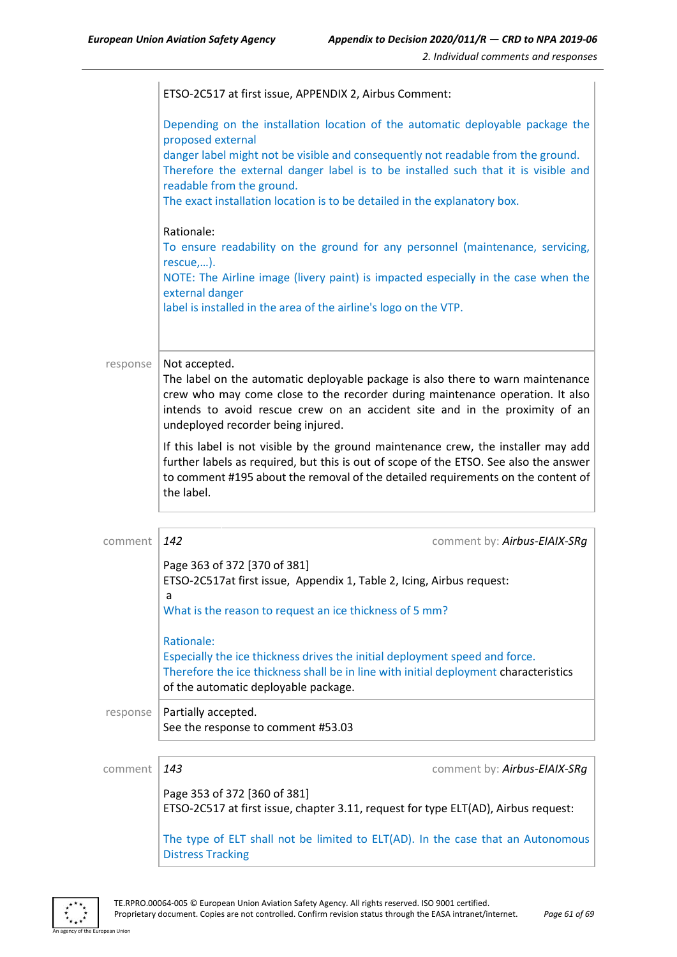|          | ETSO-2C517 at first issue, APPENDIX 2, Airbus Comment:                                                                                                                |                                                                                                                                                                                                                                                                 |
|----------|-----------------------------------------------------------------------------------------------------------------------------------------------------------------------|-----------------------------------------------------------------------------------------------------------------------------------------------------------------------------------------------------------------------------------------------------------------|
|          | proposed external<br>readable from the ground.                                                                                                                        | Depending on the installation location of the automatic deployable package the<br>danger label might not be visible and consequently not readable from the ground.<br>Therefore the external danger label is to be installed such that it is visible and        |
|          | The exact installation location is to be detailed in the explanatory box.                                                                                             |                                                                                                                                                                                                                                                                 |
|          | Rationale:<br>rescue,).                                                                                                                                               | To ensure readability on the ground for any personnel (maintenance, servicing,                                                                                                                                                                                  |
|          | external danger<br>label is installed in the area of the airline's logo on the VTP.                                                                                   | NOTE: The Airline image (livery paint) is impacted especially in the case when the                                                                                                                                                                              |
|          |                                                                                                                                                                       |                                                                                                                                                                                                                                                                 |
| response | Not accepted.                                                                                                                                                         |                                                                                                                                                                                                                                                                 |
|          | undeployed recorder being injured.                                                                                                                                    | The label on the automatic deployable package is also there to warn maintenance<br>crew who may come close to the recorder during maintenance operation. It also<br>intends to avoid rescue crew on an accident site and in the proximity of an                 |
|          | the label.                                                                                                                                                            | If this label is not visible by the ground maintenance crew, the installer may add<br>further labels as required, but this is out of scope of the ETSO. See also the answer<br>to comment #195 about the removal of the detailed requirements on the content of |
| comment  | 142                                                                                                                                                                   | comment by: Airbus-EIAIX-SRg                                                                                                                                                                                                                                    |
|          | Page 363 of 372 [370 of 381]<br>ETSO-2C517at first issue, Appendix 1, Table 2, Icing, Airbus request:<br>a<br>What is the reason to request an ice thickness of 5 mm? |                                                                                                                                                                                                                                                                 |
|          | Rationale:<br>of the automatic deployable package.                                                                                                                    | Especially the ice thickness drives the initial deployment speed and force.<br>Therefore the ice thickness shall be in line with initial deployment characteristics                                                                                             |
| response | Partially accepted.<br>See the response to comment #53.03                                                                                                             |                                                                                                                                                                                                                                                                 |
|          |                                                                                                                                                                       |                                                                                                                                                                                                                                                                 |
| comment  | 143                                                                                                                                                                   | comment by: Airbus-EIAIX-SRg                                                                                                                                                                                                                                    |
|          | Page 353 of 372 [360 of 381]                                                                                                                                          | ETSO-2C517 at first issue, chapter 3.11, request for type ELT(AD), Airbus request:                                                                                                                                                                              |
|          |                                                                                                                                                                       | The type of ELT shall not be limited to ELT(AD). In the case that an Autonomous                                                                                                                                                                                 |



an Unior

Distress Tracking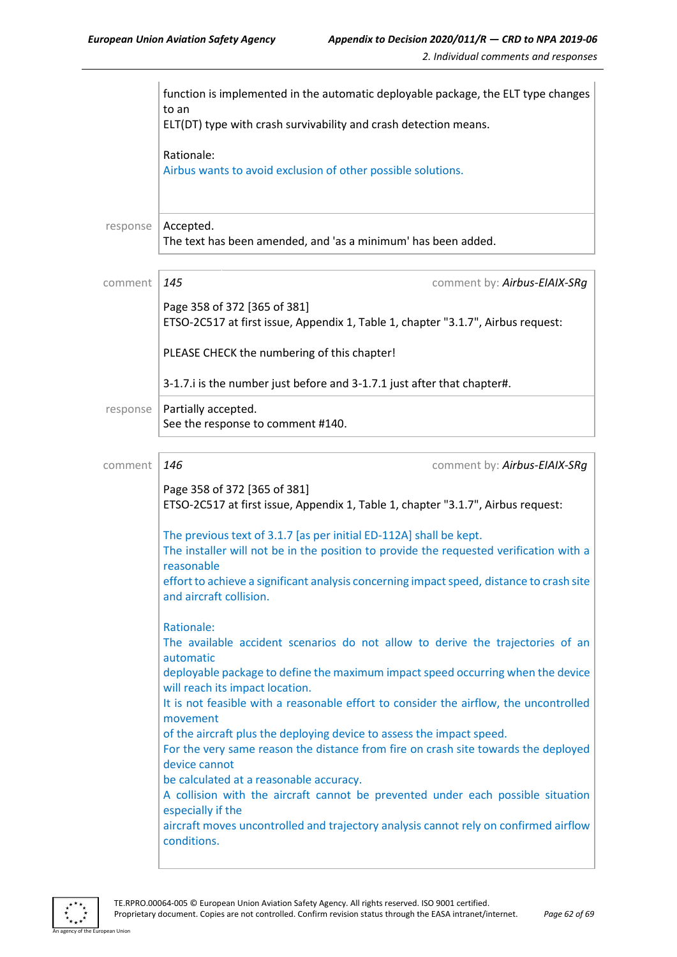|          | function is implemented in the automatic deployable package, the ELT type changes<br>to an<br>ELT(DT) type with crash survivability and crash detection means.                                                                                                                                                                                                                                                                                                                                                                                                                                                                                                                                                                                                                 |
|----------|--------------------------------------------------------------------------------------------------------------------------------------------------------------------------------------------------------------------------------------------------------------------------------------------------------------------------------------------------------------------------------------------------------------------------------------------------------------------------------------------------------------------------------------------------------------------------------------------------------------------------------------------------------------------------------------------------------------------------------------------------------------------------------|
|          | Rationale:<br>Airbus wants to avoid exclusion of other possible solutions.                                                                                                                                                                                                                                                                                                                                                                                                                                                                                                                                                                                                                                                                                                     |
| response | Accepted.<br>The text has been amended, and 'as a minimum' has been added.                                                                                                                                                                                                                                                                                                                                                                                                                                                                                                                                                                                                                                                                                                     |
| comment  | 145<br>comment by: Airbus-EIAIX-SRg<br>Page 358 of 372 [365 of 381]<br>ETSO-2C517 at first issue, Appendix 1, Table 1, chapter "3.1.7", Airbus request:                                                                                                                                                                                                                                                                                                                                                                                                                                                                                                                                                                                                                        |
|          | PLEASE CHECK the numbering of this chapter!<br>3-1.7. i is the number just before and 3-1.7.1 just after that chapter#.                                                                                                                                                                                                                                                                                                                                                                                                                                                                                                                                                                                                                                                        |
| response | Partially accepted.<br>See the response to comment #140.                                                                                                                                                                                                                                                                                                                                                                                                                                                                                                                                                                                                                                                                                                                       |
| comment  | 146<br>comment by: Airbus-EIAIX-SRg                                                                                                                                                                                                                                                                                                                                                                                                                                                                                                                                                                                                                                                                                                                                            |
|          | Page 358 of 372 [365 of 381]<br>ETSO-2C517 at first issue, Appendix 1, Table 1, chapter "3.1.7", Airbus request:                                                                                                                                                                                                                                                                                                                                                                                                                                                                                                                                                                                                                                                               |
|          | The previous text of 3.1.7 [as per initial ED-112A] shall be kept.<br>The installer will not be in the position to provide the requested verification with a<br>reasonable<br>effort to achieve a significant analysis concerning impact speed, distance to crash site<br>and aircraft collision.                                                                                                                                                                                                                                                                                                                                                                                                                                                                              |
|          | Rationale:<br>The available accident scenarios do not allow to derive the trajectories of an<br>automatic<br>deployable package to define the maximum impact speed occurring when the device<br>will reach its impact location.<br>It is not feasible with a reasonable effort to consider the airflow, the uncontrolled<br>movement<br>of the aircraft plus the deploying device to assess the impact speed.<br>For the very same reason the distance from fire on crash site towards the deployed<br>device cannot<br>be calculated at a reasonable accuracy.<br>A collision with the aircraft cannot be prevented under each possible situation<br>especially if the<br>aircraft moves uncontrolled and trajectory analysis cannot rely on confirmed airflow<br>conditions. |

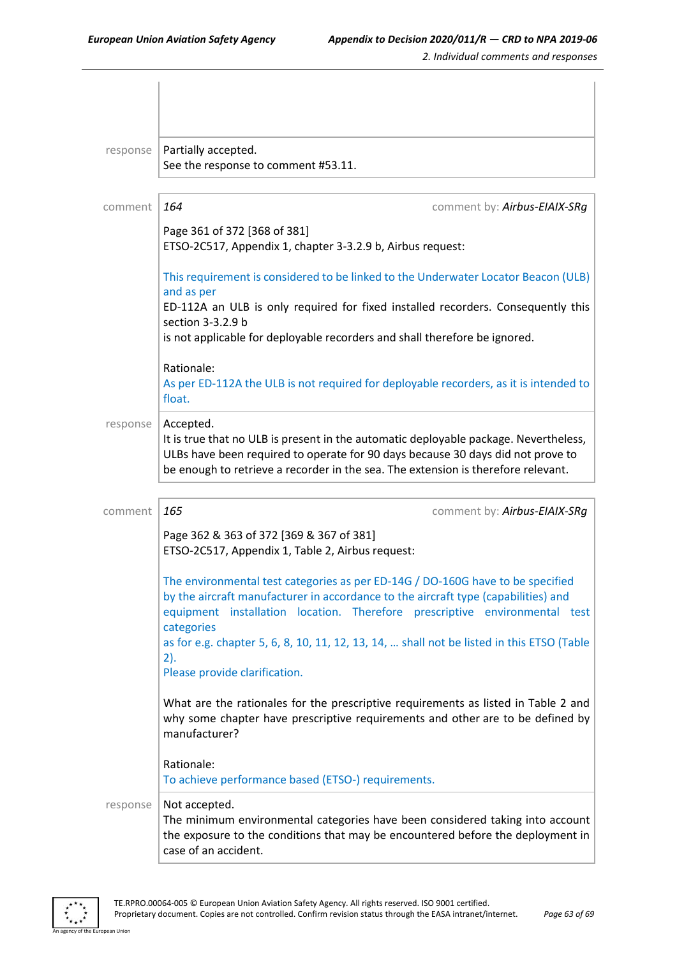| response | Partially accepted.<br>See the response to comment #53.11.                                                                                                                                                                                                                |
|----------|---------------------------------------------------------------------------------------------------------------------------------------------------------------------------------------------------------------------------------------------------------------------------|
| comment  | 164<br>comment by: Airbus-EIAIX-SRg                                                                                                                                                                                                                                       |
|          | Page 361 of 372 [368 of 381]<br>ETSO-2C517, Appendix 1, chapter 3-3.2.9 b, Airbus request:                                                                                                                                                                                |
|          | This requirement is considered to be linked to the Underwater Locator Beacon (ULB)<br>and as per                                                                                                                                                                          |
|          | ED-112A an ULB is only required for fixed installed recorders. Consequently this<br>section 3-3.2.9 b                                                                                                                                                                     |
|          | is not applicable for deployable recorders and shall therefore be ignored.                                                                                                                                                                                                |
|          | Rationale:<br>As per ED-112A the ULB is not required for deployable recorders, as it is intended to<br>float.                                                                                                                                                             |
| response | Accepted.<br>It is true that no ULB is present in the automatic deployable package. Nevertheless,<br>ULBs have been required to operate for 90 days because 30 days did not prove to<br>be enough to retrieve a recorder in the sea. The extension is therefore relevant. |
| comment  | 165<br>comment by: Airbus-EIAIX-SRg                                                                                                                                                                                                                                       |
|          | Page 362 & 363 of 372 [369 & 367 of 381]<br>ETSO-2C517, Appendix 1, Table 2, Airbus request:                                                                                                                                                                              |
|          | The environmental test categories as per ED-14G / DO-160G have to be specified<br>by the aircraft manufacturer in accordance to the aircraft type (capabilities) and<br>equipment installation location. Therefore prescriptive environmental test<br>categories          |
|          | as for e.g. chapter 5, 6, 8, 10, 11, 12, 13, 14,  shall not be listed in this ETSO (Table<br>2).<br>Please provide clarification.                                                                                                                                         |
|          | What are the rationales for the prescriptive requirements as listed in Table 2 and<br>why some chapter have prescriptive requirements and other are to be defined by<br>manufacturer?                                                                                     |
|          | Rationale:<br>To achieve performance based (ETSO-) requirements.                                                                                                                                                                                                          |
| response | Not accepted.<br>The minimum environmental categories have been considered taking into account<br>the exposure to the conditions that may be encountered before the deployment in<br>case of an accident.                                                                 |

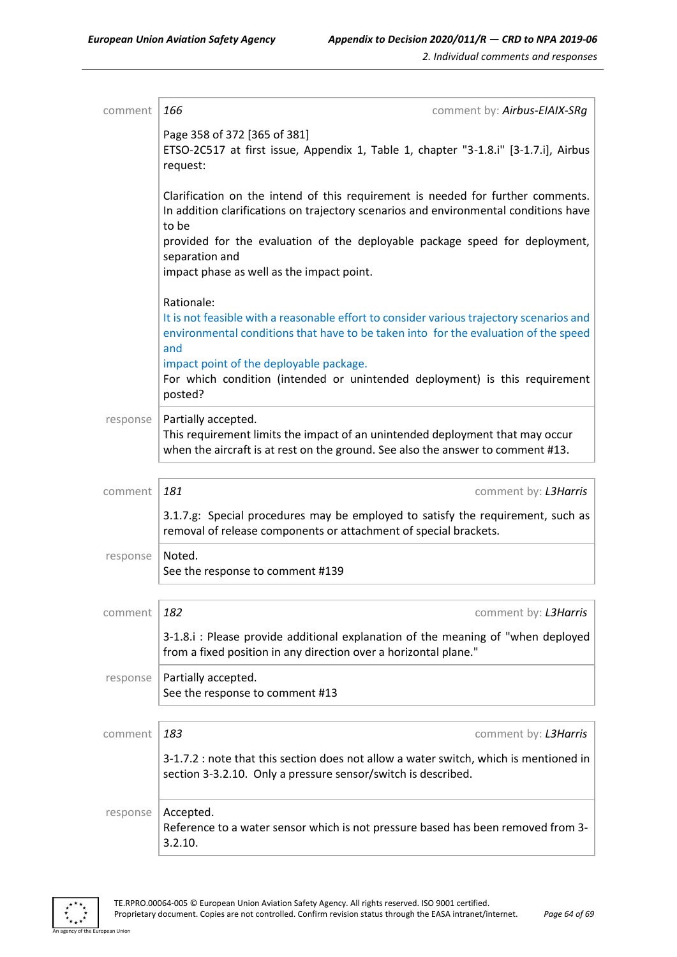| comment  | 166<br>comment by: Airbus-EIAIX-SRg                                                                                                                                                                  |
|----------|------------------------------------------------------------------------------------------------------------------------------------------------------------------------------------------------------|
|          | Page 358 of 372 [365 of 381]<br>ETSO-2C517 at first issue, Appendix 1, Table 1, chapter "3-1.8.i" [3-1.7.i], Airbus<br>request:                                                                      |
|          | Clarification on the intend of this requirement is needed for further comments.<br>In addition clarifications on trajectory scenarios and environmental conditions have<br>to be                     |
|          | provided for the evaluation of the deployable package speed for deployment,<br>separation and<br>impact phase as well as the impact point.                                                           |
|          | Rationale:<br>It is not feasible with a reasonable effort to consider various trajectory scenarios and<br>environmental conditions that have to be taken into for the evaluation of the speed<br>and |
|          | impact point of the deployable package.<br>For which condition (intended or unintended deployment) is this requirement<br>posted?                                                                    |
| response | Partially accepted.<br>This requirement limits the impact of an unintended deployment that may occur<br>when the aircraft is at rest on the ground. See also the answer to comment #13.              |
| comment  | 181<br>comment by: L3Harris                                                                                                                                                                          |
|          | 3.1.7.g: Special procedures may be employed to satisfy the requirement, such as<br>removal of release components or attachment of special brackets.                                                  |
| response | Noted.<br>See the response to comment #139                                                                                                                                                           |
| comment  | 182<br>comment by: L3Harris                                                                                                                                                                          |
|          | 3-1.8.i : Please provide additional explanation of the meaning of "when deployed<br>from a fixed position in any direction over a horizontal plane."                                                 |
| response | Partially accepted.<br>See the response to comment #13                                                                                                                                               |
| comment  | 183<br>comment by: L3Harris                                                                                                                                                                          |
|          | 3-1.7.2 : note that this section does not allow a water switch, which is mentioned in<br>section 3-3.2.10. Only a pressure sensor/switch is described.                                               |
| response | Accepted.<br>Reference to a water sensor which is not pressure based has been removed from 3-<br>3.2.10.                                                                                             |

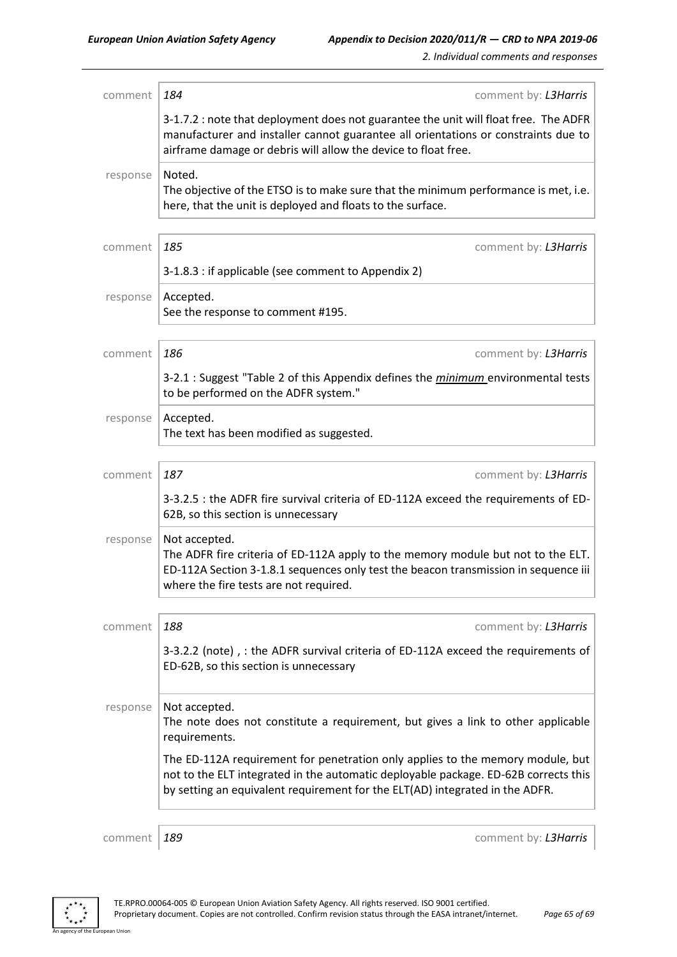| comment  | 184<br>comment by: L3Harris                                                                                                                                                                                                                           |
|----------|-------------------------------------------------------------------------------------------------------------------------------------------------------------------------------------------------------------------------------------------------------|
|          | 3-1.7.2 : note that deployment does not guarantee the unit will float free. The ADFR<br>manufacturer and installer cannot guarantee all orientations or constraints due to<br>airframe damage or debris will allow the device to float free.          |
| response | Noted.<br>The objective of the ETSO is to make sure that the minimum performance is met, i.e.<br>here, that the unit is deployed and floats to the surface.                                                                                           |
| comment  | 185<br>comment by: L3Harris                                                                                                                                                                                                                           |
|          | 3-1.8.3 : if applicable (see comment to Appendix 2)                                                                                                                                                                                                   |
| response | Accepted.<br>See the response to comment #195.                                                                                                                                                                                                        |
| comment  | 186<br>comment by: L3Harris                                                                                                                                                                                                                           |
|          | 3-2.1 : Suggest "Table 2 of this Appendix defines the <i>minimum</i> environmental tests<br>to be performed on the ADFR system."                                                                                                                      |
| response | Accepted.<br>The text has been modified as suggested.                                                                                                                                                                                                 |
| comment  | 187<br>comment by: L3Harris                                                                                                                                                                                                                           |
|          | 3-3.2.5 : the ADFR fire survival criteria of ED-112A exceed the requirements of ED-<br>62B, so this section is unnecessary                                                                                                                            |
| response | Not accepted.<br>The ADFR fire criteria of ED-112A apply to the memory module but not to the ELT.<br>ED-112A Section 3-1.8.1 sequences only test the beacon transmission in sequence iii<br>where the fire tests are not required.                    |
| comment  | 188<br>comment by: L3Harris                                                                                                                                                                                                                           |
|          | 3-3.2.2 (note), : the ADFR survival criteria of ED-112A exceed the requirements of<br>ED-62B, so this section is unnecessary                                                                                                                          |
| response | Not accepted.<br>The note does not constitute a requirement, but gives a link to other applicable<br>requirements.                                                                                                                                    |
|          | The ED-112A requirement for penetration only applies to the memory module, but<br>not to the ELT integrated in the automatic deployable package. ED-62B corrects this<br>by setting an equivalent requirement for the ELT(AD) integrated in the ADFR. |
| comment  | 189<br>comment by: L3Harris                                                                                                                                                                                                                           |

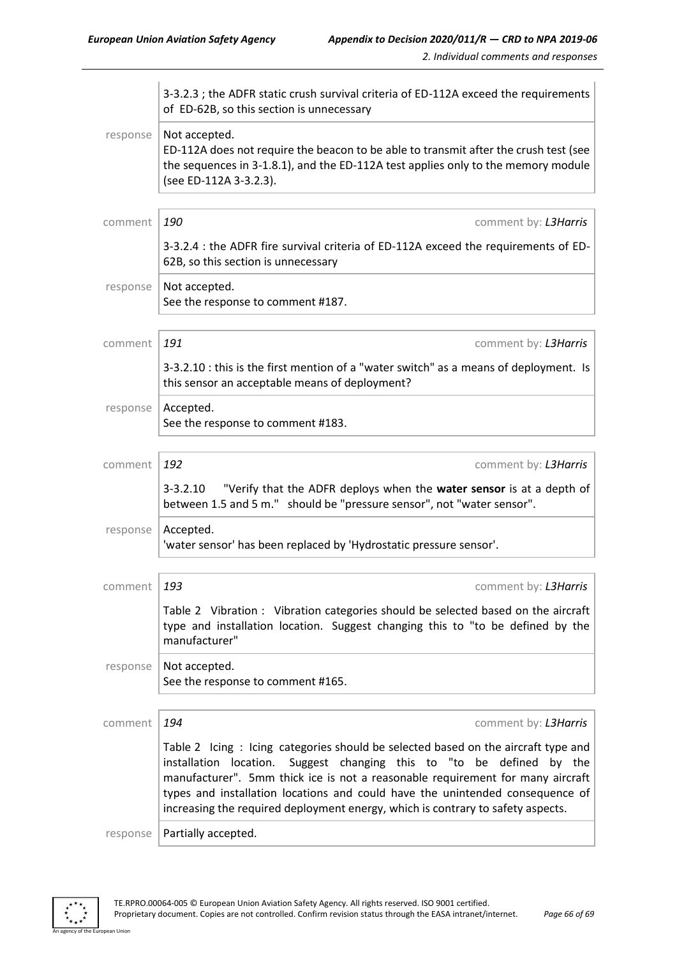|                | 3-3.2.3 ; the ADFR static crush survival criteria of ED-112A exceed the requirements<br>of ED-62B, so this section is unnecessary                                                                                                                                                                                                                                                                                   |
|----------------|---------------------------------------------------------------------------------------------------------------------------------------------------------------------------------------------------------------------------------------------------------------------------------------------------------------------------------------------------------------------------------------------------------------------|
| response       | Not accepted.<br>ED-112A does not require the beacon to be able to transmit after the crush test (see<br>the sequences in 3-1.8.1), and the ED-112A test applies only to the memory module<br>(see ED-112A 3-3.2.3).                                                                                                                                                                                                |
| comment        | 190<br>comment by: L3Harris                                                                                                                                                                                                                                                                                                                                                                                         |
|                | 3-3.2.4 : the ADFR fire survival criteria of ED-112A exceed the requirements of ED-<br>62B, so this section is unnecessary                                                                                                                                                                                                                                                                                          |
| response       | Not accepted.<br>See the response to comment #187.                                                                                                                                                                                                                                                                                                                                                                  |
| comment        | 191<br>comment by: L3Harris                                                                                                                                                                                                                                                                                                                                                                                         |
|                | 3-3.2.10 : this is the first mention of a "water switch" as a means of deployment. Is<br>this sensor an acceptable means of deployment?                                                                                                                                                                                                                                                                             |
| response       | Accepted.<br>See the response to comment #183.                                                                                                                                                                                                                                                                                                                                                                      |
| comment        | 192<br>comment by: L3Harris                                                                                                                                                                                                                                                                                                                                                                                         |
|                | "Verify that the ADFR deploys when the water sensor is at a depth of<br>$3 - 3.2.10$<br>between 1.5 and 5 m." should be "pressure sensor", not "water sensor".                                                                                                                                                                                                                                                      |
| response       | Accepted.<br>'water sensor' has been replaced by 'Hydrostatic pressure sensor'.                                                                                                                                                                                                                                                                                                                                     |
| comment $ 193$ | comment by: L3Harris                                                                                                                                                                                                                                                                                                                                                                                                |
|                | Table 2 Vibration : Vibration categories should be selected based on the aircraft<br>type and installation location. Suggest changing this to "to be defined by the<br>manufacturer"                                                                                                                                                                                                                                |
| response       | Not accepted.<br>See the response to comment #165.                                                                                                                                                                                                                                                                                                                                                                  |
| comment        | 194<br>comment by: L3Harris                                                                                                                                                                                                                                                                                                                                                                                         |
|                | Table 2 Icing: Icing categories should be selected based on the aircraft type and<br>installation location.<br>Suggest changing this to "to be defined by the<br>manufacturer". 5mm thick ice is not a reasonable requirement for many aircraft<br>types and installation locations and could have the unintended consequence of<br>increasing the required deployment energy, which is contrary to safety aspects. |
| response       | Partially accepted.                                                                                                                                                                                                                                                                                                                                                                                                 |



ean Union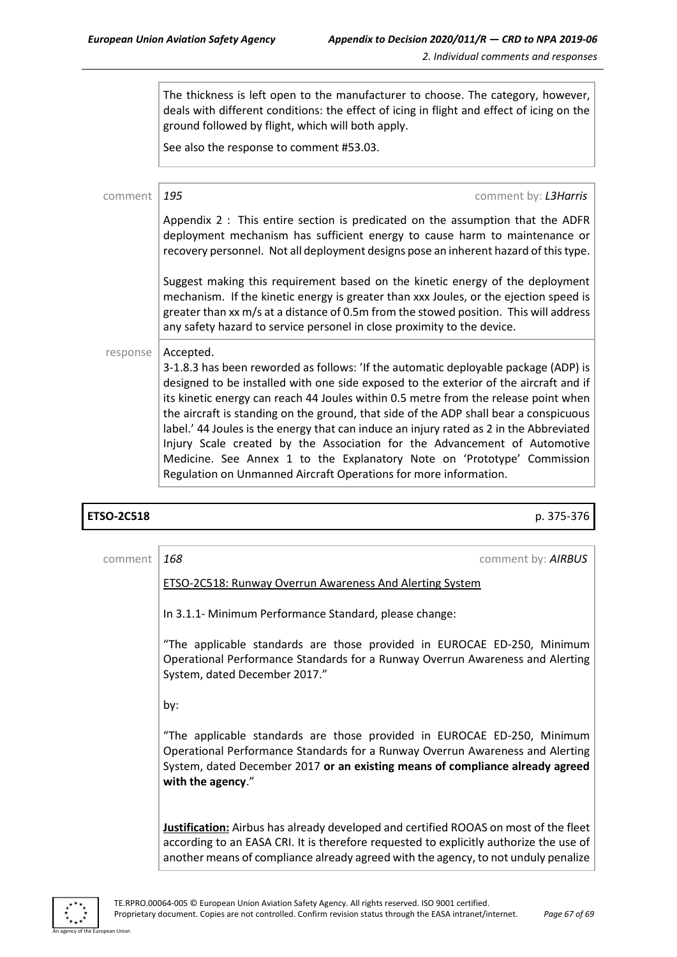The thickness is left open to the manufacturer to choose. The category, however, deals with different conditions: the effect of icing in flight and effect of icing on the ground followed by flight, which will both apply.

See also the response to comment #53.03.

| comment  | 195<br>comment by: L3Harris                                                                                                                                                                                                                                                                                                                                                                                                                                                                                                                                                                                                                                                                      |
|----------|--------------------------------------------------------------------------------------------------------------------------------------------------------------------------------------------------------------------------------------------------------------------------------------------------------------------------------------------------------------------------------------------------------------------------------------------------------------------------------------------------------------------------------------------------------------------------------------------------------------------------------------------------------------------------------------------------|
|          | Appendix 2 : This entire section is predicated on the assumption that the ADFR<br>deployment mechanism has sufficient energy to cause harm to maintenance or<br>recovery personnel. Not all deployment designs pose an inherent hazard of this type.                                                                                                                                                                                                                                                                                                                                                                                                                                             |
|          | Suggest making this requirement based on the kinetic energy of the deployment<br>mechanism. If the kinetic energy is greater than xxx Joules, or the ejection speed is<br>greater than xx m/s at a distance of 0.5m from the stowed position. This will address<br>any safety hazard to service personel in close proximity to the device.                                                                                                                                                                                                                                                                                                                                                       |
| response | Accepted.<br>3-1.8.3 has been reworded as follows: 'If the automatic deployable package (ADP) is<br>designed to be installed with one side exposed to the exterior of the aircraft and if<br>its kinetic energy can reach 44 Joules within 0.5 metre from the release point when<br>the aircraft is standing on the ground, that side of the ADP shall bear a conspicuous<br>label.' 44 Joules is the energy that can induce an injury rated as 2 in the Abbreviated<br>Injury Scale created by the Association for the Advancement of Automotive<br>Medicine. See Annex 1 to the Explanatory Note on 'Prototype' Commission<br>Regulation on Unmanned Aircraft Operations for more information. |

**ETSO-2C518** p. 375-376

| comment | 168<br>comment by: AIRBUS                                                                                                                                                                                                                                            |
|---------|----------------------------------------------------------------------------------------------------------------------------------------------------------------------------------------------------------------------------------------------------------------------|
|         | <b>ETSO-2C518: Runway Overrun Awareness And Alerting System</b>                                                                                                                                                                                                      |
|         | In 3.1.1- Minimum Performance Standard, please change:                                                                                                                                                                                                               |
|         | "The applicable standards are those provided in EUROCAE ED-250, Minimum<br>Operational Performance Standards for a Runway Overrun Awareness and Alerting<br>System, dated December 2017."                                                                            |
|         | by:                                                                                                                                                                                                                                                                  |
|         | "The applicable standards are those provided in EUROCAE ED-250, Minimum<br>Operational Performance Standards for a Runway Overrun Awareness and Alerting<br>System, dated December 2017 or an existing means of compliance already agreed<br>with the agency."       |
|         | Justification: Airbus has already developed and certified ROOAS on most of the fleet<br>according to an EASA CRI. It is therefore requested to explicitly authorize the use of<br>another means of compliance already agreed with the agency, to not unduly penalize |



n Hoio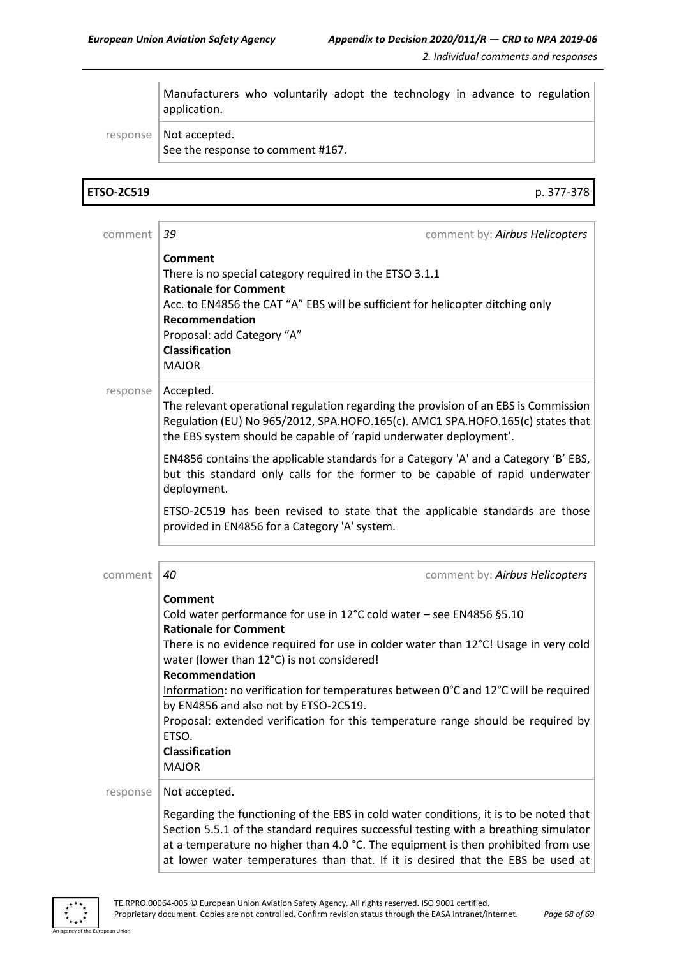Manufacturers who voluntarily adopt the technology in advance to regulation application.

response | Not accepted. See the response to comment #167.

**ETSO-2C519** p. 377-378

| comment  | 39<br>comment by: Airbus Helicopters                                                                                                                                                                                                                                                                                                                                                                                                                                                                                                                |
|----------|-----------------------------------------------------------------------------------------------------------------------------------------------------------------------------------------------------------------------------------------------------------------------------------------------------------------------------------------------------------------------------------------------------------------------------------------------------------------------------------------------------------------------------------------------------|
|          | <b>Comment</b><br>There is no special category required in the ETSO 3.1.1<br><b>Rationale for Comment</b><br>Acc. to EN4856 the CAT "A" EBS will be sufficient for helicopter ditching only<br>Recommendation<br>Proposal: add Category "A"<br><b>Classification</b><br><b>MAJOR</b>                                                                                                                                                                                                                                                                |
| response | Accepted.<br>The relevant operational regulation regarding the provision of an EBS is Commission<br>Regulation (EU) No 965/2012, SPA.HOFO.165(c). AMC1 SPA.HOFO.165(c) states that<br>the EBS system should be capable of 'rapid underwater deployment'.                                                                                                                                                                                                                                                                                            |
|          | EN4856 contains the applicable standards for a Category 'A' and a Category 'B' EBS,<br>but this standard only calls for the former to be capable of rapid underwater<br>deployment.                                                                                                                                                                                                                                                                                                                                                                 |
|          | ETSO-2C519 has been revised to state that the applicable standards are those<br>provided in EN4856 for a Category 'A' system.                                                                                                                                                                                                                                                                                                                                                                                                                       |
| comment  | 40<br>comment by: Airbus Helicopters                                                                                                                                                                                                                                                                                                                                                                                                                                                                                                                |
|          | <b>Comment</b><br>Cold water performance for use in 12°C cold water - see EN4856 §5.10<br><b>Rationale for Comment</b><br>There is no evidence required for use in colder water than 12°C! Usage in very cold<br>water (lower than 12°C) is not considered!<br>Recommendation<br>Information: no verification for temperatures between 0°C and 12°C will be required<br>by EN4856 and also not by ETSO-2C519.<br>Proposal: extended verification for this temperature range should be required by<br>ETSO.<br><b>Classification</b><br><b>MAJOR</b> |
| response | Not accepted.                                                                                                                                                                                                                                                                                                                                                                                                                                                                                                                                       |
|          | Regarding the functioning of the EBS in cold water conditions, it is to be noted that<br>Section 5.5.1 of the standard requires successful testing with a breathing simulator<br>at a temperature no higher than 4.0 °C. The equipment is then prohibited from use<br>at lower water temperatures than that. If it is desired that the EBS be used at                                                                                                                                                                                               |



an Union